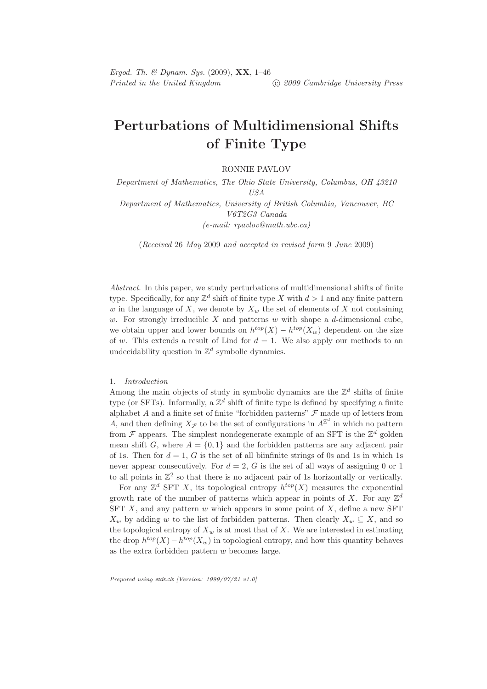# Perturbations of Multidimensional Shifts of Finite Type

RONNIE PAVLOV

Department of Mathematics, The Ohio State University, Columbus, OH 43210 USA Department of Mathematics, University of British Columbia, Vancouver, BC V6T2G3 Canada

(e-mail: rpavlov@math.ubc.ca)

(Received 26 May 2009 and accepted in revised form 9 June 2009)

Abstract. In this paper, we study perturbations of multidimensional shifts of finite type. Specifically, for any  $\mathbb{Z}^d$  shift of finite type X with  $d > 1$  and any finite pattern w in the language of X, we denote by  $X_w$  the set of elements of X not containing w. For strongly irreducible X and patterns w with shape a d-dimensional cube, we obtain upper and lower bounds on  $h^{top}(X) - h^{top}(X_w)$  dependent on the size of w. This extends a result of Lind for  $d = 1$ . We also apply our methods to an undecidability question in  $\mathbb{Z}^d$  symbolic dynamics.

## 1. Introduction

Among the main objects of study in symbolic dynamics are the  $\mathbb{Z}^d$  shifts of finite type (or SFTs). Informally, a  $\mathbb{Z}^d$  shift of finite type is defined by specifying a finite alphabet  $A$  and a finite set of finite "forbidden patterns"  $\mathcal F$  made up of letters from A, and then defining  $X_{\mathcal{F}}$  to be the set of configurations in  $A^{\mathbb{Z}^d}$  in which no pattern from  $\mathcal F$  appears. The simplest nondegenerate example of an SFT is the  $\mathbb Z^d$  golden mean shift G, where  $A = \{0, 1\}$  and the forbidden patterns are any adjacent pair of 1s. Then for  $d = 1$ , G is the set of all biinfinite strings of 0s and 1s in which 1s never appear consecutively. For  $d = 2$ , G is the set of all ways of assigning 0 or 1 to all points in  $\mathbb{Z}^2$  so that there is no adjacent pair of 1s horizontally or vertically.

For any  $\mathbb{Z}^d$  SFT X, its topological entropy  $h^{top}(X)$  measures the exponential growth rate of the number of patterns which appear in points of X. For any  $\mathbb{Z}^d$ SFT  $X$ , and any pattern  $w$  which appears in some point of  $X$ , define a new SFT  $X_w$  by adding w to the list of forbidden patterns. Then clearly  $X_w \subseteq X$ , and so the topological entropy of  $X_w$  is at most that of X. We are interested in estimating the drop  $h^{top}(X) - h^{top}(X_w)$  in topological entropy, and how this quantity behaves as the extra forbidden pattern  $w$  becomes large.

Prepared using etds.cls [Version: 1999/07/21 v1.0]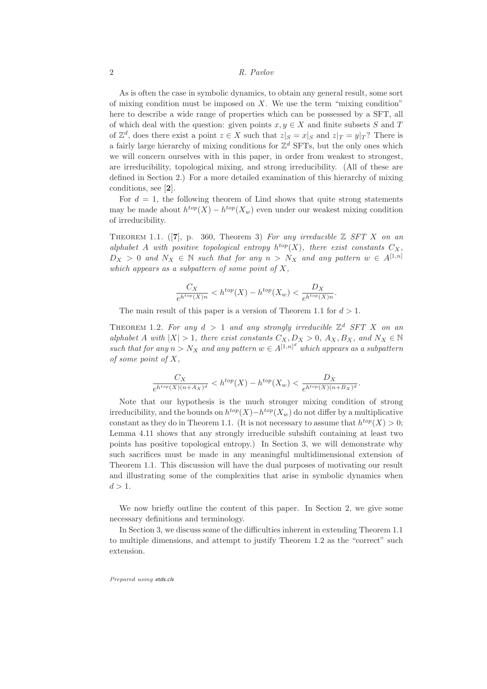As is often the case in symbolic dynamics, to obtain any general result, some sort of mixing condition must be imposed on  $X$ . We use the term "mixing condition" here to describe a wide range of properties which can be possessed by a SFT, all of which deal with the question: given points  $x, y \in X$  and finite subsets S and T of  $\mathbb{Z}^d$ , does there exist a point  $z \in X$  such that  $z|_S = x|_S$  and  $z|_T = y|_T$ ? There is a fairly large hierarchy of mixing conditions for  $\mathbb{Z}^d$  SFTs, but the only ones which we will concern ourselves with in this paper, in order from weakest to strongest, are irreducibility, topological mixing, and strong irreducibility. (All of these are defined in Section 2.) For a more detailed examination of this hierarchy of mixing conditions, see [2].

For  $d = 1$ , the following theorem of Lind shows that quite strong statements may be made about  $h^{top}(X) - h^{top}(X_w)$  even under our weakest mixing condition of irreducibility.

THEOREM 1.1. ([7], p. 360, Theorem 3) For any irreducible  $\mathbb Z$  SFT X on an alphabet A with positive topological entropy  $h^{top}(X)$ , there exist constants  $C_X$ ,  $D_X > 0$  and  $N_X \in \mathbb{N}$  such that for any  $n > N_X$  and any pattern  $w \in A^{[1,n]}$ which appears as a subpattern of some point of  $X$ ,

$$
\frac{C_X}{e^{h^{top}(X)n}} < h^{top}(X) - h^{top}(X_w) < \frac{D_X}{e^{h^{top}(X)n}}.
$$

The main result of this paper is a version of Theorem 1.1 for  $d > 1$ .

THEOREM 1.2. For any  $d > 1$  and any strongly irreducible  $\mathbb{Z}^d$  SFT X on an alphabet A with  $|X| > 1$ , there exist constants  $C_X, D_X > 0$ ,  $A_X, B_X$ , and  $N_X \in \mathbb{N}$ such that for any  $n > N_X$  and any pattern  $w \in A^{[1,n]^d}$  which appears as a subpattern of some point of  $X$ ,

$$
\frac{C_X}{e^{h^{top}(X)(n+A_X)^d}} < h^{top}(X) - h^{top}(X_w) < \frac{D_X}{e^{h^{top}(X)(n+B_X)^d}}
$$

.

Note that our hypothesis is the much stronger mixing condition of strong irreducibility, and the bounds on  $h^{top}(X) - h^{top}(X_w)$  do not differ by a multiplicative constant as they do in Theorem 1.1. (It is not necessary to assume that  $h^{top}(X) > 0$ ; Lemma 4.11 shows that any strongly irreducible subshift containing at least two points has positive topological entropy.) In Section 3, we will demonstrate why such sacrifices must be made in any meaningful multidimensional extension of Theorem 1.1. This discussion will have the dual purposes of motivating our result and illustrating some of the complexities that arise in symbolic dynamics when  $d > 1$ .

We now briefly outline the content of this paper. In Section 2, we give some necessary definitions and terminology.

In Section 3, we discuss some of the difficulties inherent in extending Theorem 1.1 to multiple dimensions, and attempt to justify Theorem 1.2 as the "correct" such extension.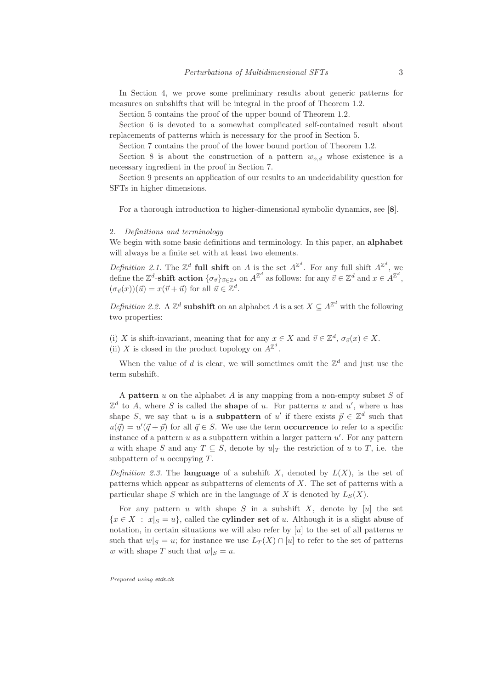In Section 4, we prove some preliminary results about generic patterns for measures on subshifts that will be integral in the proof of Theorem 1.2.

Section 5 contains the proof of the upper bound of Theorem 1.2.

Section 6 is devoted to a somewhat complicated self-contained result about replacements of patterns which is necessary for the proof in Section 5.

Section 7 contains the proof of the lower bound portion of Theorem 1.2.

Section 8 is about the construction of a pattern  $w_{o,d}$  whose existence is a necessary ingredient in the proof in Section 7.

Section 9 presents an application of our results to an undecidability question for SFTs in higher dimensions.

For a thorough introduction to higher-dimensional symbolic dynamics, see [8].

## 2. Definitions and terminology

We begin with some basic definitions and terminology. In this paper, an **alphabet** will always be a finite set with at least two elements.

*Definition 2.1.* The  $\mathbb{Z}^d$  full shift on A is the set  $A^{\mathbb{Z}^d}$ . For any full shift  $A^{\mathbb{Z}^d}$ , we define the  $\mathbb{Z}^d$ -shift action  $\{\sigma_{\vec{v}}\}_{\vec{v}\in\mathbb{Z}^d}$  on  $A^{\mathbb{Z}^d}$  as follows: for any  $\vec{v}\in\mathbb{Z}^d$  and  $x\in A^{\mathbb{Z}^d}$ ,  $(\sigma_{\vec{v}}(x))(\vec{u}) = x(\vec{v} + \vec{u})$  for all  $\vec{u} \in \mathbb{Z}^d$ .

Definition 2.2. A  $\mathbb{Z}^d$  **subshift** on an alphabet A is a set  $X \subseteq A^{\mathbb{Z}^d}$  with the following two properties:

(i) X is shift-invariant, meaning that for any  $x \in X$  and  $\vec{v} \in \mathbb{Z}^d$ ,  $\sigma_{\vec{v}}(x) \in X$ . (ii) X is closed in the product topology on  $A^{\mathbb{Z}^d}$ .

When the value of d is clear, we will sometimes omit the  $\mathbb{Z}^d$  and just use the term subshift.

A **pattern**  $u$  on the alphabet  $A$  is any mapping from a non-empty subset  $S$  of  $\mathbb{Z}^d$  to A, where S is called the **shape** of u. For patterns u and u', where u has shape S, we say that u is a **subpattern** of u' if there exists  $\vec{p} \in \mathbb{Z}^d$  such that  $u(\vec{q}) = u'(\vec{q} + \vec{p})$  for all  $\vec{q} \in S$ . We use the term **occurrence** to refer to a specific instance of a pattern  $u$  as a subpattern within a larger pattern  $u'$ . For any pattern u with shape S and any  $T \subseteq S$ , denote by  $u|_T$  the restriction of u to T, i.e. the subpattern of u occupying  $T$ .

Definition 2.3. The **language** of a subshift X, denoted by  $L(X)$ , is the set of patterns which appear as subpatterns of elements of X. The set of patterns with a particular shape S which are in the language of X is denoted by  $L_S(X)$ .

For any pattern u with shape S in a subshift X, denote by [u] the set  ${x \in X : x|_S = u}$ , called the **cylinder set** of u. Although it is a slight abuse of notation, in certain situations we will also refer by  $[u]$  to the set of all patterns w such that  $w|_S = u$ ; for instance we use  $L_T(X) \cap [u]$  to refer to the set of patterns w with shape T such that  $w|_S = u$ .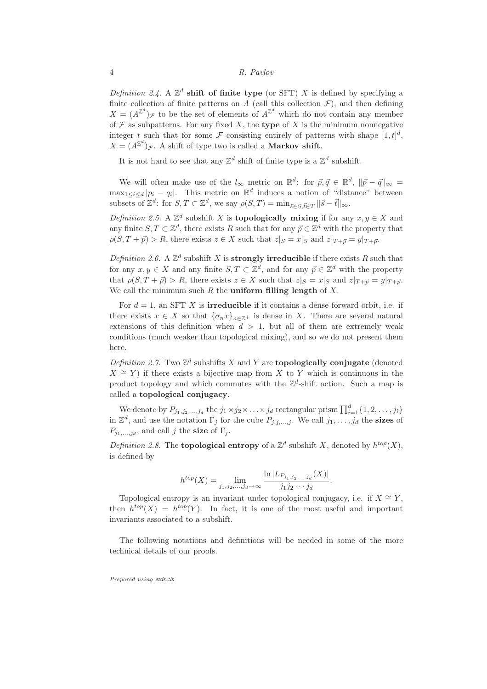Definition 2.4. A  $\mathbb{Z}^d$  shift of finite type (or SFT) X is defined by specifying a finite collection of finite patterns on A (call this collection  $\mathcal{F}$ ), and then defining  $X = (A^{\mathbb{Z}^d})_{\mathcal{F}}$  to be the set of elements of  $A^{\mathbb{Z}^d}$  which do not contain any member of  $\mathcal F$  as subpatterns. For any fixed  $X$ , the type of  $X$  is the minimum nonnegative integer t such that for some  $\mathcal F$  consisting entirely of patterns with shape  $[1,t]^d$ ,  $X = (A^{\mathbb{Z}^d})_{\mathcal{F}}$ . A shift of type two is called a **Markov shift**.

It is not hard to see that any  $\mathbb{Z}^d$  shift of finite type is a  $\mathbb{Z}^d$  subshift.

We will often make use of the  $l_{\infty}$  metric on  $\mathbb{R}^d$ : for  $\vec{p}, \vec{q} \in \mathbb{R}^d$ ,  $\|\vec{p} - \vec{q}\|_{\infty} =$  $\max_{1 \leq i \leq d} |p_i - q_i|$ . This metric on  $\mathbb{R}^d$  induces a notion of "distance" between subsets of  $\mathbb{Z}^d$ : for  $S, T \subset \mathbb{Z}^d$ , we say  $\rho(S, T) = \min_{\vec{s} \in S, \vec{t} \in T} ||\vec{s} - \vec{t}||_{\infty}$ .

Definition 2.5. A  $\mathbb{Z}^d$  subshift X is **topologically mixing** if for any  $x, y \in X$  and any finite  $S, T \subset \mathbb{Z}^d$ , there exists R such that for any  $\vec{p} \in \mathbb{Z}^d$  with the property that  $\rho(S,T+\vec{p}) > R$ , there exists  $z \in X$  such that  $z|_S = x|_S$  and  $z|_{T+\vec{p}} = y|_{T+\vec{p}}$ .

Definition 2.6. A  $\mathbb{Z}^d$  subshift X is **strongly irreducible** if there exists R such that for any  $x, y \in X$  and any finite  $S, T \subset \mathbb{Z}^d$ , and for any  $\vec{p} \in \mathbb{Z}^d$  with the property that  $\rho(S,T+\vec{p}) > R$ , there exists  $z \in X$  such that  $z|_S = x|_S$  and  $z|_{T+\vec{p}} = y|_{T+\vec{p}}$ . We call the minimum such  $R$  the **uniform filling length** of  $X$ .

For  $d = 1$ , an SFT X is **irreducible** if it contains a dense forward orbit, i.e. if there exists  $x \in X$  so that  $\{\sigma_n x\}_{n \in \mathbb{Z}^+}$  is dense in X. There are several natural extensions of this definition when  $d > 1$ , but all of them are extremely weak conditions (much weaker than topological mixing), and so we do not present them here.

Definition 2.7. Two  $\mathbb{Z}^d$  subshifts X and Y are **topologically conjugate** (denoted  $X \cong Y$ ) if there exists a bijective map from X to Y which is continuous in the product topology and which commutes with the  $\mathbb{Z}^d$ -shift action. Such a map is called a topological conjugacy.

We denote by  $P_{j_1,j_2,...,j_d}$  the  $j_1 \times j_2 \times ... \times j_d$  rectangular prism  $\prod_{i=1}^d \{1,2,...,j_i\}$ in  $\mathbb{Z}^d$ , and use the notation  $\Gamma_j$  for the cube  $P_{j,j,\dots,j}$ . We call  $j_1,\dots,j_d$  the **sizes** of  $P_{j_1,\ldots,j_d}$ , and call j the **size** of  $\Gamma_j$ .

Definition 2.8. The **topological entropy** of a  $\mathbb{Z}^d$  subshift X, denoted by  $h^{top}(X)$ , is defined by

$$
h^{top}(X) = \lim_{j_1, j_2, \dots, j_d \to \infty} \frac{\ln |L_{P_{j_1, j_2, \dots, j_d}}(X)|}{j_1 j_2 \cdots j_d}.
$$

Topological entropy is an invariant under topological conjugacy, i.e. if  $X \cong Y$ , then  $h^{top}(X) = h^{top}(Y)$ . In fact, it is one of the most useful and important invariants associated to a subshift.

The following notations and definitions will be needed in some of the more technical details of our proofs.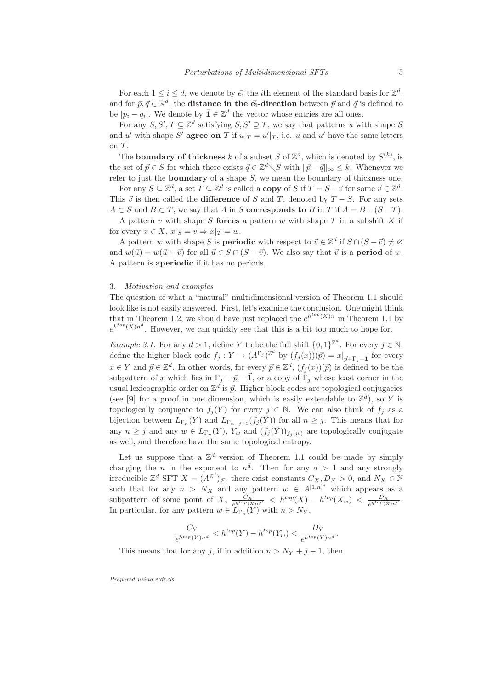For each  $1 \leq i \leq d$ , we denote by  $\vec{e_i}$  the *i*th element of the standard basis for  $\mathbb{Z}^d$ , and for  $\vec{p}, \vec{q} \in \mathbb{R}^d$ , the **distance in the**  $\vec{e_i}$ **-direction** between  $\vec{p}$  and  $\vec{q}$  is defined to be  $|p_i - q_i|$ . We denote by  $\vec{\mathbf{1}} \in \mathbb{Z}^d$  the vector whose entries are all ones.

For any  $S, S', T \subseteq \mathbb{Z}^d$  satisfying  $S, S' \supseteq T$ , we say that patterns u with shape S and u' with shape S' **agree on** T if  $u|_T = u'|_T$ , i.e. u and u' have the same letters on T.

The **boundary of thickness** k of a subset S of  $\mathbb{Z}^d$ , which is denoted by  $S^{(k)}$ , is the set of  $\vec{p} \in S$  for which there exists  $\vec{q} \in \mathbb{Z}^d \setminus S$  with  $\|\vec{p} - \vec{q}\|_{\infty} \leq k$ . Whenever we refer to just the boundary of a shape S, we mean the boundary of thickness one.

For any  $S \subseteq \mathbb{Z}^d$ , a set  $T \subseteq \mathbb{Z}^d$  is called a **copy** of S if  $T = S + \vec{v}$  for some  $\vec{v} \in \mathbb{Z}^d$ . This  $\vec{v}$  is then called the **difference** of S and T, denoted by  $T - S$ . For any sets  $A \subset S$  and  $B \subset T$ , we say that A in S **corresponds to** B in T if  $A = B + (S - T)$ .

A pattern v with shape S forces a pattern w with shape  $T$  in a subshift  $X$  if for every  $x \in X$ ,  $x|_S = v \Rightarrow x|_T = w$ .

A pattern w with shape S is **periodic** with respect to  $\vec{v} \in \mathbb{Z}^d$  if  $S \cap (S - \vec{v}) \neq \emptyset$ and  $w(\vec{u}) = w(\vec{u} + \vec{v})$  for all  $\vec{u} \in S \cap (S - \vec{v})$ . We also say that  $\vec{v}$  is a **period** of w. A pattern is aperiodic if it has no periods.

#### 3. Motivation and examples

The question of what a "natural" multidimensional version of Theorem 1.1 should look like is not easily answered. First, let's examine the conclusion. One might think that in Theorem 1.2, we should have just replaced the  $e^{h^{top}(X)n}$  in Theorem 1.1 by  $e^{h^{top}(X)n^d}$ . However, we can quickly see that this is a bit too much to hope for.

*Example 3.1.* For any  $d > 1$ , define Y to be the full shift  $\{0,1\}^{\mathbb{Z}^d}$ . For every  $j \in \mathbb{N}$ , define the higher block code  $f_j: Y \to (A^{\Gamma_j})^{\mathbb{Z}^d}$  by  $(f_j(x))(\vec{p}) = x|_{\vec{p} + \Gamma_j - \vec{\mathbf{1}}}$  for every  $x \in Y$  and  $\vec{p} \in \mathbb{Z}^d$ . In other words, for every  $\vec{p} \in \mathbb{Z}^d$ ,  $(f_j(x))(\vec{p})$  is defined to be the subpattern of x which lies in  $\Gamma_i + \vec{p} - \vec{1}$ , or a copy of  $\Gamma_i$  whose least corner in the usual lexicographic order on  $\mathbb{Z}^d$  is  $\vec{p}$ . Higher block codes are topological conjugacies (see [9] for a proof in one dimension, which is easily extendable to  $\mathbb{Z}^d$ ), so Y is topologically conjugate to  $f_i(Y)$  for every  $j \in \mathbb{N}$ . We can also think of  $f_i$  as a bijection between  $L_{\Gamma_n}(Y)$  and  $L_{\Gamma_{n-j+1}}(f_j(Y))$  for all  $n \geq j$ . This means that for any  $n \geq j$  and any  $w \in L_{\Gamma_n}(Y)$ ,  $Y_w$  and  $(f_j(Y))_{f_j(w)}$  are topologically conjugate as well, and therefore have the same topological entropy.

Let us suppose that a  $\mathbb{Z}^d$  version of Theorem 1.1 could be made by simply changing the *n* in the exponent to  $n^d$ . Then for any  $d > 1$  and any strongly irreducible  $\mathbb{Z}^d$  SFT  $X = (A^{\mathbb{Z}^d})_{\mathcal{F}}$ , there exist constants  $C_X, D_X > 0$ , and  $N_X \in \mathbb{N}$ such that for any  $n > N_X$  and any pattern  $w \in A^{[1,n]^d}$  which appears as a subpattern of some point of X,  $\frac{C_X}{e^{h^{top}(X)n^d}} < h^{top}(X) - h^{top}(X_w) < \frac{D_X}{e^{h^{top}(X)n^d}}$ . In particular, for any pattern  $w \in L_{\Gamma_n}(Y)$  with  $n > N_Y$ ,

$$
\frac{C_Y}{e^{h^{top}(Y)n^d}} < h^{top}(Y) - h^{top}(Y_w) < \frac{D_Y}{e^{h^{top}(Y)n^d}}.
$$

This means that for any j, if in addition  $n > N_Y + j - 1$ , then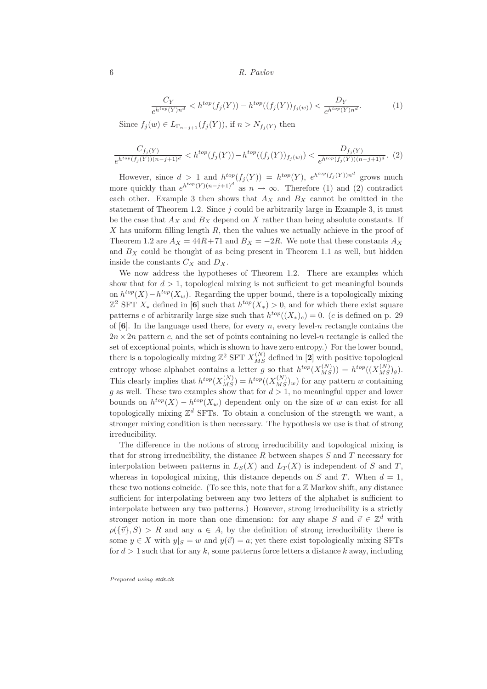$$
\frac{C_Y}{e^{h^{top}(Y)n^d}} < h^{top}(f_j(Y)) - h^{top}((f_j(Y))_{f_j(w)}) < \frac{D_Y}{e^{h^{top}(Y)n^d}}.\tag{1}
$$

Since  $f_j(w) \in L_{\Gamma_{n-j+1}}(f_j(Y))$ , if  $n > N_{f_j(Y)}$  then

$$
\frac{C_{f_j(Y)}}{e^{h^{top}(f_j(Y))(n-j+1)^d}} < h^{top}(f_j(Y)) - h^{top}((f_j(Y))_{f_j(w)}) < \frac{D_{f_j(Y)}}{e^{h^{top}(f_j(Y))(n-j+1)^d}}.\tag{2}
$$

However, since  $d > 1$  and  $h^{top}(f_j(Y)) = h^{top}(Y)$ ,  $e^{h^{top}(f_j(Y))n^d}$  grows much more quickly than  $e^{h^{top}(Y)(n-j+1)^d}$  as  $n \to \infty$ . Therefore (1) and (2) contradict each other. Example 3 then shows that  $A_X$  and  $B_X$  cannot be omitted in the statement of Theorem 1.2. Since  $j$  could be arbitrarily large in Example 3, it must be the case that  $A_X$  and  $B_X$  depend on X rather than being absolute constants. If  $X$  has uniform filling length  $R$ , then the values we actually achieve in the proof of Theorem 1.2 are  $A_X = 44R + 71$  and  $B_X = -2R$ . We note that these constants  $A_X$ and  $B_X$  could be thought of as being present in Theorem 1.1 as well, but hidden inside the constants  $C_X$  and  $D_X$ .

We now address the hypotheses of Theorem 1.2. There are examples which show that for  $d > 1$ , topological mixing is not sufficient to get meaningful bounds on  $h^{top}(X) - h^{top}(X_w)$ . Regarding the upper bound, there is a topologically mixing  $\mathbb{Z}^2$  SFT  $X_*$  defined in [6] such that  $h^{top}(X_*) > 0$ , and for which there exist square patterns c of arbitrarily large size such that  $h^{top}((X_*)_c) = 0$ . (c is defined on p. 29 of  $[6]$ . In the language used there, for every n, every level-n rectangle contains the  $2n \times 2n$  pattern c, and the set of points containing no level-n rectangle is called the set of exceptional points, which is shown to have zero entropy.) For the lower bound, there is a topologically mixing  $\mathbb{Z}^2$  SFT  $X_{MS}^{(N)}$  defined in [2] with positive topological entropy whose alphabet contains a letter g so that  $h^{top}(X_{MS}^{(N)}) = h^{top}((X_{MS}^{(N)})_g)$ . This clearly implies that  $h^{top}(X_{MS}^{(N)}) = h^{top}((X_{MS}^{(N)})_w)$  for any pattern w containing g as well. These two examples show that for  $d > 1$ , no meaningful upper and lower bounds on  $h^{top}(X) - h^{top}(X_w)$  dependent only on the size of w can exist for all topologically mixing  $\mathbb{Z}^d$  SFTs. To obtain a conclusion of the strength we want, a stronger mixing condition is then necessary. The hypothesis we use is that of strong irreducibility.

The difference in the notions of strong irreducibility and topological mixing is that for strong irreducibility, the distance  $R$  between shapes  $S$  and  $T$  necessary for interpolation between patterns in  $L_S(X)$  and  $L_T(X)$  is independent of S and T, whereas in topological mixing, this distance depends on S and T. When  $d = 1$ , these two notions coincide. (To see this, note that for a  $\mathbb Z$  Markov shift, any distance sufficient for interpolating between any two letters of the alphabet is sufficient to interpolate between any two patterns.) However, strong irreducibility is a strictly stronger notion in more than one dimension: for any shape S and  $\vec{v} \in \mathbb{Z}^d$  with  $\rho({\{\vec{v}\},S}) > R$  and any  $a \in A$ , by the definition of strong irreducibility there is some  $y \in X$  with  $y|_S = w$  and  $y(\vec{v}) = a$ ; yet there exist topologically mixing SFTs for  $d > 1$  such that for any k, some patterns force letters a distance k away, including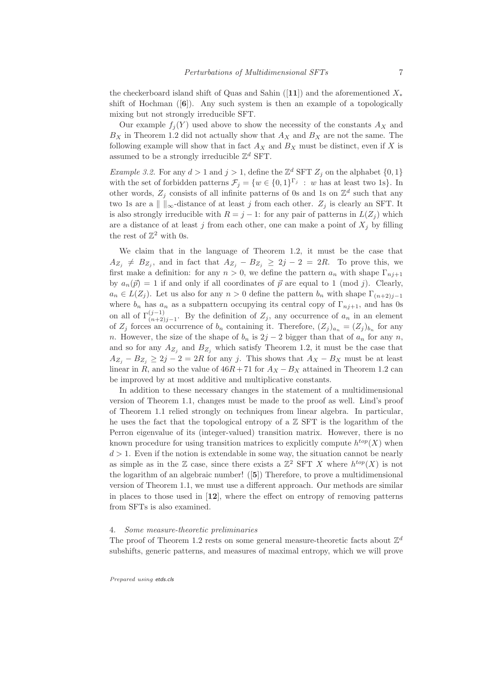the checkerboard island shift of Quas and Sahin ([11]) and the aforementioned  $X_*$ shift of Hochman  $(6)$ . Any such system is then an example of a topologically mixing but not strongly irreducible SFT.

Our example  $f_i(Y)$  used above to show the necessity of the constants  $A_X$  and  $B_X$  in Theorem 1.2 did not actually show that  $A_X$  and  $B_X$  are not the same. The following example will show that in fact  $A_X$  and  $B_X$  must be distinct, even if X is assumed to be a strongly irreducible  $\mathbb{Z}^d$  SFT.

*Example 3.2.* For any  $d > 1$  and  $j > 1$ , define the  $\mathbb{Z}_p^d$  SFT  $Z_j$  on the alphabet  $\{0, 1\}$ with the set of forbidden patterns  $\mathcal{F}_j = \{w \in \{0,1\}^{\Gamma_j} : w \text{ has at least two 1s}\}\.$  In other words,  $Z_j$  consists of all infinite patterns of 0s and 1s on  $\mathbb{Z}^d$  such that any two 1s are a  $\| \cdot \|_{\infty}$ -distance of at least j from each other.  $Z_j$  is clearly an SFT. It is also strongly irreducible with  $R = j - 1$ : for any pair of patterns in  $L(Z_i)$  which are a distance of at least j from each other, one can make a point of  $X_i$  by filling the rest of  $\mathbb{Z}^2$  with 0s.

We claim that in the language of Theorem 1.2, it must be the case that  $A_{Z_j} \neq B_{Z_j}$ , and in fact that  $A_{Z_j} - B_{Z_j} \geq 2j - 2 = 2R$ . To prove this, we first make a definition: for any  $n > 0$ , we define the pattern  $a_n$  with shape  $\Gamma_{n,j+1}$ by  $a_n(\vec{p}) = 1$  if and only if all coordinates of  $\vec{p}$  are equal to 1 (mod j). Clearly,  $a_n \in L(Z_j)$ . Let us also for any  $n > 0$  define the pattern  $b_n$  with shape  $\Gamma_{(n+2)j-1}$ where  $b_n$  has  $a_n$  as a subpattern occupying its central copy of  $\Gamma_{nj+1}$ , and has 0s on all of  $\Gamma^{(j-1)}_{(n+2)j-1}$ . By the definition of  $Z_j$ , any occurrence of  $a_n$  in an element of  $Z_j$  forces an occurrence of  $b_n$  containing it. Therefore,  $(Z_j)_{a_n} = (Z_j)_{b_n}$  for any n. However, the size of the shape of  $b_n$  is  $2j - 2$  bigger than that of  $a_n$  for any n, and so for any  $A_{Z_j}$  and  $B_{Z_j}$  which satisfy Theorem 1.2, it must be the case that  $A_{Z_i} - B_{Z_i} \geq 2j - 2 = 2R$  for any j. This shows that  $A_X - B_X$  must be at least linear in R, and so the value of  $46R + 71$  for  $A_X - B_X$  attained in Theorem 1.2 can be improved by at most additive and multiplicative constants.

In addition to these necessary changes in the statement of a multidimensional version of Theorem 1.1, changes must be made to the proof as well. Lind's proof of Theorem 1.1 relied strongly on techniques from linear algebra. In particular, he uses the fact that the topological entropy of a  $\mathbb Z$  SFT is the logarithm of the Perron eigenvalue of its (integer-valued) transition matrix. However, there is no known procedure for using transition matrices to explicitly compute  $h^{top}(X)$  when  $d > 1$ . Even if the notion is extendable in some way, the situation cannot be nearly as simple as in the Z case, since there exists a  $\mathbb{Z}^2$  SFT X where  $h^{top}(X)$  is not the logarithm of an algebraic number! ([5]) Therefore, to prove a multidimensional version of Theorem 1.1, we must use a different approach. Our methods are similar in places to those used in  $[12]$ , where the effect on entropy of removing patterns from SFTs is also examined.

#### 4. Some measure-theoretic preliminaries

The proof of Theorem 1.2 rests on some general measure-theoretic facts about  $\mathbb{Z}^d$ subshifts, generic patterns, and measures of maximal entropy, which we will prove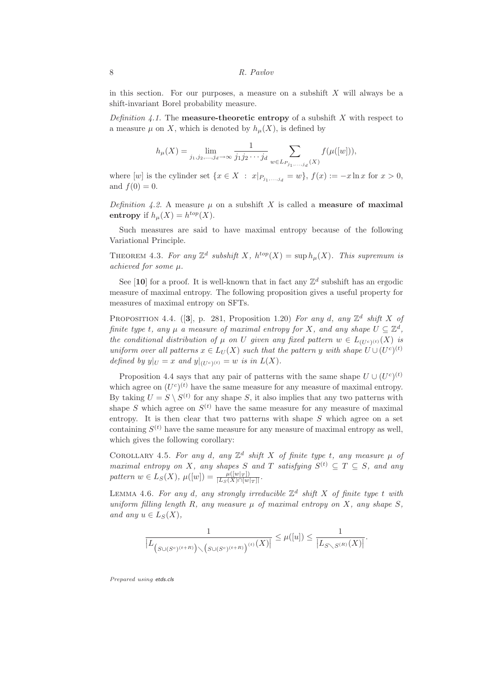in this section. For our purposes, a measure on a subshift  $X$  will always be a shift-invariant Borel probability measure.

*Definition 4.1.* The **measure-theoretic entropy** of a subshift X with respect to a measure  $\mu$  on X, which is denoted by  $h_{\mu}(X)$ , is defined by

$$
h_{\mu}(X) = \lim_{j_1, j_2, \dots, j_d \to \infty} \frac{1}{j_1 j_2 \cdots j_d} \sum_{w \in L_{P_{j_1, \dots, j_d}}(X)} f(\mu([w])),
$$

where  $[w]$  is the cylinder set  $\{x \in X : x|_{P_{j_1,\ldots,j_d}} = w\}, f(x) := -x \ln x$  for  $x > 0$ , and  $f(0) = 0$ .

Definition 4.2. A measure  $\mu$  on a subshift X is called a **measure of maximal** entropy if  $h_\mu(X) = h^{top}(X)$ .

Such measures are said to have maximal entropy because of the following Variational Principle.

THEOREM 4.3. For any  $\mathbb{Z}^d$  subshift X,  $h^{top}(X) = \sup h_{\mu}(X)$ . This supremum is achieved for some µ.

See [10] for a proof. It is well-known that in fact any  $\mathbb{Z}^d$  subshift has an ergodic measure of maximal entropy. The following proposition gives a useful property for measures of maximal entropy on SFTs.

PROPOSITION 4.4. ([3], p. 281, Proposition 1.20) For any d, any  $\mathbb{Z}^d$  shift X of finite type t, any  $\mu$  a measure of maximal entropy for X, and any shape  $U \subseteq \mathbb{Z}^d$ , the conditional distribution of  $\mu$  on U given any fixed pattern  $w \in L_{(U^c)^{(t)}}(X)$  is uniform over all patterns  $x \in L_U(X)$  such that the pattern y with shape  $U \cup (U^c)^{(t)}$ defined by  $y|_U = x$  and  $y|_{(U^c)^{(t)}} = w$  is in  $L(X)$ .

Proposition 4.4 says that any pair of patterns with the same shape  $U \cup (U^c)^{(t)}$ which agree on  $(U^c)^{(t)}$  have the same measure for any measure of maximal entropy. By taking  $U = S \setminus S^{(t)}$  for any shape S, it also implies that any two patterns with shape S which agree on  $S^{(t)}$  have the same measure for any measure of maximal entropy. It is then clear that two patterns with shape  $S$  which agree on a set containing  $S^{(t)}$  have the same measure for any measure of maximal entropy as well, which gives the following corollary:

COROLLARY 4.5. For any d, any  $\mathbb{Z}^d$  shift X of finite type t, any measure  $\mu$  of maximal entropy on X, any shapes S and T satisfying  $S^{(t)} \subseteq T \subseteq S$ , and any pattern  $w \in L_S(X)$ ,  $\mu([w]) = \frac{\mu([w|_T])}{|L_S(X) \cap [w|_T]|}$ .

LEMMA 4.6. For any d, any strongly irreducible  $\mathbb{Z}^d$  shift X of finite type t with uniform filling length R, any measure  $\mu$  of maximal entropy on X, any shape S, and any  $u \in L_S(X)$ ,

$$
\frac{1}{\left|L_{\left(S\cup (S^c)^{(t+R)}\right)\diagdown\left(S\cup (S^c)^{(t+R)}\right)^{(t)}}(X)\right|} \leq \mu([u]) \leq \frac{1}{\left|L_{S\diagdown S^{(R)}}(X)\right|}.
$$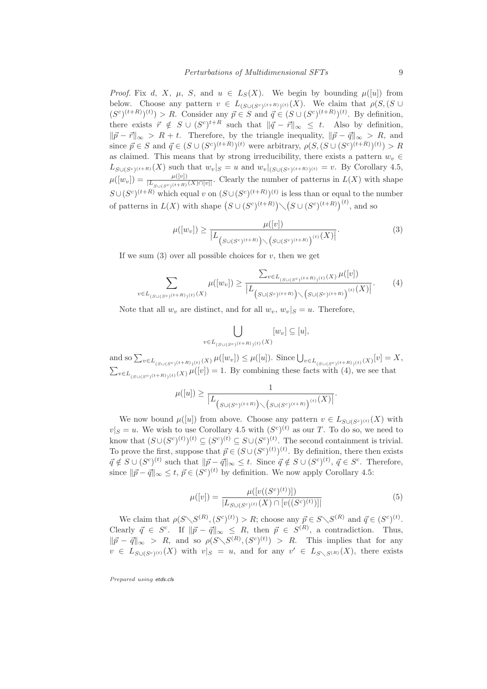*Proof.* Fix d, X,  $\mu$ , S, and  $u \in L_S(X)$ . We begin by bounding  $\mu([u])$  from below. Choose any pattern  $v \in L_{(S \cup (S^c)^{(t+R)})^{(t)}}(X)$ . We claim that  $\rho(S, (S \cup$  $(S<sup>c</sup>)(t+R)(t) > R$ . Consider any  $\vec{p} \in S$  and  $\vec{q} \in (S \cup (S<sup>c</sup>)(t+R)(t))$ . By definition, there exists  $\vec{r} \notin S \cup (S^c)^{t+R}$  such that  $\|\vec{q} - \vec{r}\|_{\infty} \leq t$ . Also by definition,  $\|\vec{p} - \vec{r}\|_{\infty} > R + t$ . Therefore, by the triangle inequality,  $\|\vec{p} - \vec{q}\|_{\infty} > R$ , and since  $\vec{p} \in S$  and  $\vec{q} \in (S \cup (S^c)^{(t+R)})^{(t)}$  were arbitrary,  $\rho(S, (S \cup (S^c)^{(t+R)})^{(t)}) > R$ as claimed. This means that by strong irreducibility, there exists a pattern  $w_v \in$  $L_{S\cup (S^c)^{(t+R)}}(X)$  such that  $w_v|_S = u$  and  $w_v|_{(S\cup (S^c)^{(t+R)})^{(t)}} = v$ . By Corollary 4.5,  $\mu([w_v]) = \frac{\mu([v])}{|L_{S \cup (S^c)(t+R)}(X) \cap [v]|}$ . Clearly the number of patterns in  $L(X)$  with shape  $S \cup (S^c)^{(t+R)}$  which equal v on  $(S \cup (S^c)^{(t+R)})^{(t)}$  is less than or equal to the number of patterns in  $L(X)$  with shape  $(S \cup (S^c)^{(t+R)}) \setminus (S \cup (S^c)^{(t+R)})^{(t)}$ , and so

$$
\mu([w_v]) \ge \frac{\mu([v])}{|L_{\left(S \cup (S^c)^{(t+R)}\right) \setminus \left(S \cup (S^c)^{(t+R)}\right)^{(t)}}(X)|}.
$$
\n(3)

If we sum  $(3)$  over all possible choices for v, then we get

$$
\sum_{v \in L_{(S \cup (S^c)(t+R))(t)}(X)} \mu([w_v]) \ge \frac{\sum_{v \in L_{(S \cup (S^c)(t+R))(t)}(X)} \mu([v])}{\left| L_{(S \cup (S^c)(t+R))}(\{S \cup (S^c)(t+R)\})^{(t)}(X) \right|}.
$$
 (4)

Note that all  $w_v$  are distinct, and for all  $w_v$ ,  $w_v|_S = u$ . Therefore,

$$
\bigcup_{v \in L_{(S \cup (S^c)^{(t+R)})^{(t)}}(X)} [w_v] \subseteq [u],
$$

and so  $\sum_{v \in L_{(S \cup (S^c)(t+R))(t)}(X)} \mu([w_v]) \leq \mu([u])$ . Since  $\bigcup_{v \in L_{(S \cup (S^c)(t+R))(t)}(x)} [v] = X$ ,  $\sum_{v \in L_{(S \cup (S^c)(t+R))(t)} (\chi) \mu([v]) = 1$ . By combining these facts with (4), we see that

$$
\mu([u]) \ge \frac{1}{\left|L_{\big(S \cup (S^c)^{(t+R)}\big) \diagdown\big(S \cup (S^c)^{(t+R)}\big)^{(t)}}(X)\right|}.
$$

We now bound  $\mu([u])$  from above. Choose any pattern  $v \in L_{S\cup (S^c)^{(t)}}(X)$  with  $|v|_S = u$ . We wish to use Corollary 4.5 with  $(S^c)^{(t)}$  as our T. To do so, we need to know that  $(S \cup (S^c)^{(t)})^{(t)} \subseteq (S^c)^{(t)} \subseteq S \cup (S^c)^{(t)}$ . The second containment is trivial. To prove the first, suppose that  $\vec{p} \in (S \cup (S^c)^{(t)})^{(t)}$ . By definition, there then exists  $\vec{q} \notin S \cup (S^c)^{(t)}$  such that  $\|\vec{p} - \vec{q}\|_{\infty} \leq t$ . Since  $\vec{q} \notin S \cup (S^c)^{(t)}$ ,  $\vec{q} \in S^c$ . Therefore, since  $\|\vec{p} - \vec{q}\|_{\infty} \leq t, \, \vec{p} \in (S^c)^{(t)}$  by definition. We now apply Corollary 4.5:

$$
\mu([v]) = \frac{\mu([v((S^c)^{(t)})])}{|L_{S \cup (S^c)^{(t)}}(X) \cap [v((S^c)^{(t)})]|} \tag{5}
$$

We claim that  $\rho(S\setminus S^{(R)}, (S^c)^{(t)}) > R$ ; choose any  $\vec{p} \in S\setminus S^{(R)}$  and  $\vec{q} \in (S^c)^{(t)}$ . Clearly  $\vec{q} \in S^c$ . If  $\|\vec{p} - \vec{q}\|_{\infty} \leq R$ , then  $\vec{p} \in S^{(R)}$ , a contradiction. Thus,  $\|\vec{p} - \vec{q}\|_{\infty} > R$ , and so  $\rho(S\setminus S^{(R)}, (S^c)^{(t)}) > R$ . This implies that for any  $v \in L_{S\cup (S^c)^{(t)}}(X)$  with  $v|_S = u$ , and for any  $v' \in L_{S\setminus S^{(R)}}(X)$ , there exists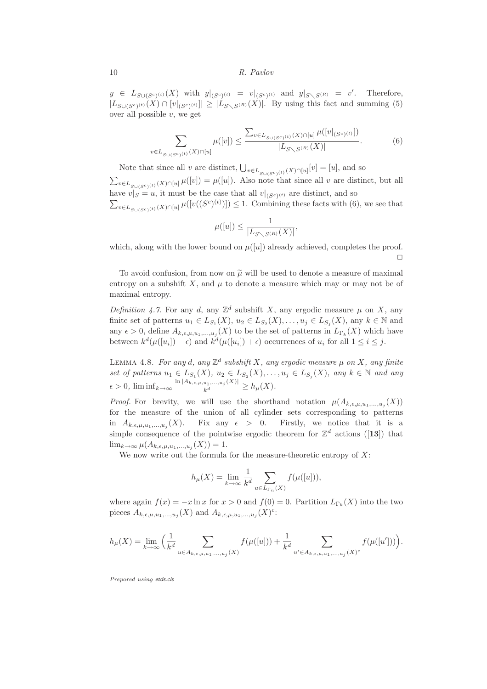$y \in L_{S \cup (S^c)^{(t)}}(X)$  with  $y|_{(S^c)^{(t)}} = v|_{(S^c)^{(t)}}$  and  $y|_{S \setminus S^{(R)}} = v'$ . Therefore,  $|L_{S\cup (S^c)^{(t)}}(X) \cap [v|_{(S^c)^{(t)}}]| \geq |L_{S\setminus S^{(R)}}(X)|$ . By using this fact and summing (5) over all possible  $v$ , we get

$$
\sum_{v \in L_{S \cup (S^c)}(t)} \mu([v]) \le \frac{\sum_{v \in L_{S \cup (S^c)}(t)} (X) \cap [u]}{|L_{S \setminus S^{(R)}}(X)|} \mu([v|_{(S^c)^{(t)}}]) \tag{6}
$$

Note that since all v are distinct,  $\bigcup_{v \in L_{S \cup (S^c)}(t)} (X) \cap [u][v] = [u]$ , and so  $\sum_{v \in L_{S \cup (S^c)}(t)} \mu([v]) = \mu([u])$ . Also note that since all v are distinct, but all have  $v|_S = u$ , it must be the case that all  $v|_{(S^c)^{(t)}}$  are distinct, and so  $\sum_{v \in L_{S \cup (S^c)}(t)} \mu([v((S^c)^{(t)})]) \leq 1$ . Combining these facts with (6), we see that

$$
\mu([u]) \le \frac{1}{|L_{S\setminus S^{(R)}}(X)|},
$$

which, along with the lower bound on  $\mu([u])$  already achieved, completes the proof.  $\Box$ 

To avoid confusion, from now on  $\tilde{\mu}$  will be used to denote a measure of maximal entropy on a subshift X, and  $\mu$  to denote a measure which may or may not be of maximal entropy.

Definition 4.7. For any d, any  $\mathbb{Z}^d$  subshift X, any ergodic measure  $\mu$  on X, any finite set of patterns  $u_1 \in L_{S_1}(X)$ ,  $u_2 \in L_{S_2}(X)$ , ...,  $u_j \in L_{S_j}(X)$ , any  $k \in \mathbb{N}$  and any  $\epsilon > 0$ , define  $A_{k,\epsilon,\mu,u_1,...,u_j}(X)$  to be the set of patterns in  $L_{\Gamma_k}(X)$  which have between  $k^d(\mu([u_i]) - \epsilon)$  and  $k^d(\mu([u_i]) + \epsilon)$  occurrences of  $u_i$  for all  $1 \leq i \leq j$ .

LEMMA 4.8. For any d, any  $\mathbb{Z}^d$  subshift X, any ergodic measure  $\mu$  on X, any finite set of patterns  $u_1 \in L_{S_1}(X)$ ,  $u_2 \in L_{S_2}(X)$ , ...,  $u_j \in L_{S_j}(X)$ , any  $k \in \mathbb{N}$  and any  $\epsilon > 0$ ,  $\liminf_{k \to \infty} \frac{\ln |A_{k,\epsilon,\mu,u_1,...,u_j}(X)|}{k^d} \ge h_\mu(X)$ .

*Proof.* For brevity, we will use the shorthand notation  $\mu(A_{k,\epsilon,\mu,u_1,...,u_j}(X))$ for the measure of the union of all cylinder sets corresponding to patterns in  $A_{k,\epsilon,\mu,u_1,...,u_j}(X)$ . Fix any  $\epsilon > 0$ . Firstly, we notice that it is a simple consequence of the pointwise ergodic theorem for  $\mathbb{Z}^d$  actions ([13]) that  $\lim_{k\to\infty}\mu(A_{k,\epsilon,\mu,u_1,\ldots,u_j}(X))=1.$ 

We now write out the formula for the measure-theoretic entropy of  $X$ :

$$
h_{\mu}(X) = \lim_{k \to \infty} \frac{1}{k^d} \sum_{u \in L_{\Gamma_n}(X)} f(\mu([u])),
$$

where again  $f(x) = -x \ln x$  for  $x > 0$  and  $f(0) = 0$ . Partition  $L_{\Gamma_k}(X)$  into the two pieces  $A_{k,\epsilon,\mu,u_1,...,u_j}(X)$  and  $A_{k,\epsilon,\mu,u_1,...,u_j}(X)^c$ :

$$
h_{\mu}(X) = \lim_{k \to \infty} \left( \frac{1}{k^d} \sum_{u \in A_{k,\epsilon,\mu,u_1,...,u_j}(X)} f(\mu([u])) + \frac{1}{k^d} \sum_{u' \in A_{k,\epsilon,\mu,u_1,...,u_j}(X)^c} f(\mu([u'])) \right).
$$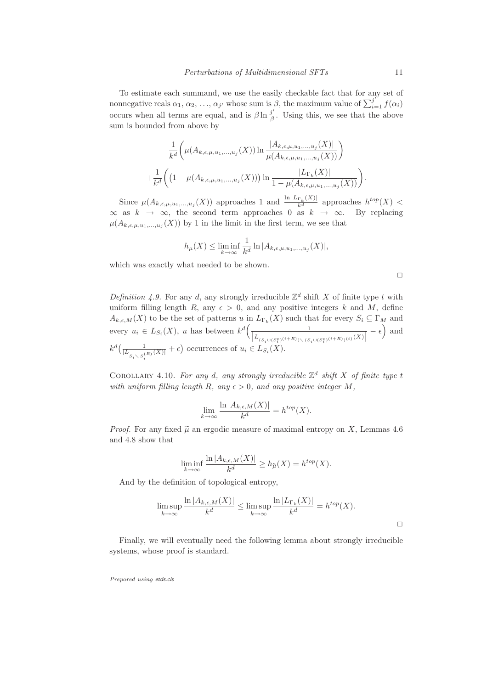To estimate each summand, we use the easily checkable fact that for any set of nonnegative reals  $\alpha_1, \alpha_2, ..., \alpha_{j'}$  whose sum is  $\beta$ , the maximum value of  $\sum_{i=1}^{j'} f(\alpha_i)$ occurs when all terms are equal, and is  $\beta \ln \frac{j'}{\beta}$ . Using this, we see that the above sum is bounded from above by

$$
\frac{1}{k^d} \left( \mu(A_{k,\epsilon,\mu,u_1,\ldots,u_j}(X)) \ln \frac{|A_{k,\epsilon,\mu,u_1,\ldots,u_j}(X)|}{\mu(A_{k,\epsilon,\mu,u_1,\ldots,u_j}(X))} \right)
$$

$$
+ \frac{1}{k^d} \left( \left( 1 - \mu(A_{k,\epsilon,\mu,u_1,\ldots,u_j}(X)) \right) \ln \frac{|L_{\Gamma_k}(X)|}{1 - \mu(A_{k,\epsilon,\mu,u_1,\ldots,u_j}(X))} \right).
$$

Since  $\mu(A_{k,\epsilon,\mu,u_1,...,u_j}(X))$  approaches 1 and  $\frac{\ln |L_{\Gamma_k}(X)|}{k^d}$  approaches  $h^{top}(X)$  <  $\infty$  as  $k \to \infty$ , the second term approaches 0 as  $k \to \infty$ . By replacing  $\mu(A_{k,\epsilon,\mu,u_1,...,u_j}(X))$  by 1 in the limit in the first term, we see that

$$
h_{\mu}(X) \le \liminf_{k \to \infty} \frac{1}{k^d} \ln |A_{k,\epsilon,\mu,u_1,\ldots,u_j}(X)|,
$$

which was exactly what needed to be shown.

 $\Box$ 

 $\Box$ 

Definition 4.9. For any d, any strongly irreducible  $\mathbb{Z}^d$  shift X of finite type t with uniform filling length R, any  $\epsilon > 0$ , and any positive integers k and M, define  $A_{k,\epsilon,M}(X)$  to be the set of patterns u in  $L_{\Gamma_k}(X)$  such that for every  $S_i \subseteq \Gamma_M$  and every  $u_i \in L_{S_i}(X)$ , u has between  $k^d \left( \frac{1}{|L_{(S_i \cup (S_i^c)^{(t+R)}) \setminus (S_i \cup (S_i^c)^{(t+R)})^{(t)}(X)|}} - \epsilon \right)$  and  $k^d\left(\frac{1}{|L_{S_i \setminus S_i^{(R)}(X)|} + \epsilon\right)$  occurrences of  $u_i \in L_{S_i}(X)$ .

COROLLARY 4.10. For any d, any strongly irreducible  $\mathbb{Z}^d$  shift X of finite type t with uniform filling length R, any  $\epsilon > 0$ , and any positive integer M,

$$
\lim_{k \to \infty} \frac{\ln |A_{k,\epsilon,M}(X)|}{k^d} = h^{top}(X).
$$

*Proof.* For any fixed  $\tilde{\mu}$  an ergodic measure of maximal entropy on X, Lemmas 4.6 and 4.8 show that

$$
\liminf_{k \to \infty} \frac{\ln |A_{k,\epsilon,M}(X)|}{k^d} \ge h_{\widetilde{\mu}}(X) = h^{top}(X).
$$

And by the definition of topological entropy,

$$
\limsup_{k \to \infty} \frac{\ln |A_{k,\epsilon,M}(X)|}{k^d} \le \limsup_{k \to \infty} \frac{\ln |L_{\Gamma_k}(X)|}{k^d} = h^{top}(X).
$$

Finally, we will eventually need the following lemma about strongly irreducible systems, whose proof is standard.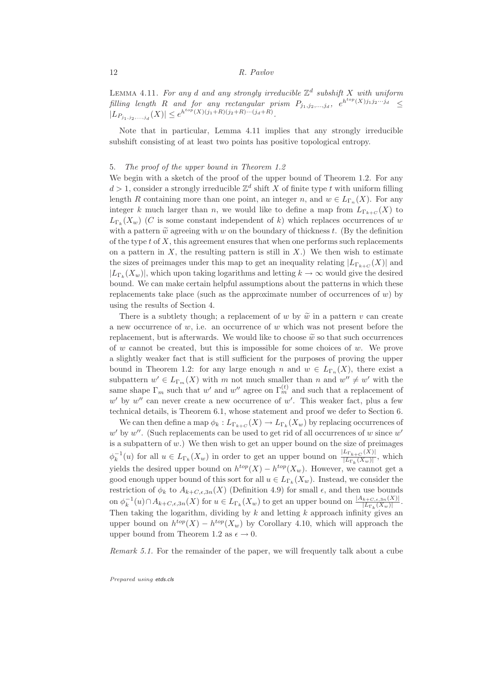LEMMA 4.11. For any d and any strongly irreducible  $\mathbb{Z}^d$  subshift X with uniform filling length R and for any rectangular prism  $P_{j_1,j_2,\dots,j_d}$ ,  $e^{h^{top}(X)j_1j_2\cdots j_d} \leq$  $|L_{P_{j_1,j_2,...,j_d}}(X)| \leq e^{h^{top}(X)(j_1+R)(j_2+R)...(j_d+R)}.$ 

Note that in particular, Lemma 4.11 implies that any strongly irreducible subshift consisting of at least two points has positive topological entropy.

## 5. The proof of the upper bound in Theorem 1.2

We begin with a sketch of the proof of the upper bound of Theorem 1.2. For any  $d > 1$ , consider a strongly irreducible  $\mathbb{Z}^d$  shift X of finite type t with uniform filling length R containing more than one point, an integer n, and  $w \in L_{\Gamma_n}(X)$ . For any integer k much larger than n, we would like to define a map from  $L_{\Gamma_{k+C}}(X)$  to  $L_{\Gamma_k}(X_w)$  (C is some constant independent of k) which replaces occurrences of w with a pattern  $\tilde{w}$  agreeing with w on the boundary of thickness t. (By the definition of the type  $t$  of  $X$ , this agreement ensures that when one performs such replacements on a pattern in  $X$ , the resulting pattern is still in  $X$ .) We then wish to estimate the sizes of preimages under this map to get an inequality relating  $|L_{\Gamma_{k+C}}(X)|$  and  $|L_{\Gamma_k}(X_w)|$ , which upon taking logarithms and letting  $k \to \infty$  would give the desired bound. We can make certain helpful assumptions about the patterns in which these replacements take place (such as the approximate number of occurrences of  $w$ ) by using the results of Section 4.

There is a subtlety though; a replacement of w by  $\tilde{w}$  in a pattern v can create a new occurrence of  $w$ , i.e. an occurrence of  $w$  which was not present before the replacement, but is afterwards. We would like to choose  $\tilde{w}$  so that such occurrences of w cannot be created, but this is impossible for some choices of w. We prove a slightly weaker fact that is still sufficient for the purposes of proving the upper bound in Theorem 1.2: for any large enough n and  $w \in L_{\Gamma_n}(X)$ , there exist a subpattern  $w' \in L_{\Gamma_m}(X)$  with m not much smaller than n and  $w'' \neq w'$  with the same shape  $\Gamma_m$  such that w' and w'' agree on  $\Gamma_m^{(t)}$  and such that a replacement of  $w'$  by  $w''$  can never create a new occurrence of  $w'$ . This weaker fact, plus a few technical details, is Theorem 6.1, whose statement and proof we defer to Section 6.

We can then define a map  $\phi_k: L_{\Gamma_{k+C}}(X) \to L_{\Gamma_k}(X_w)$  by replacing occurrences of  $w'$  by  $w''$ . (Such replacements can be used to get rid of all occurrences of w since  $w'$ is a subpattern of  $w$ .) We then wish to get an upper bound on the size of preimages  $\phi_k^{-1}(u)$  for all  $u \in L_{\Gamma_k}(X_w)$  in order to get an upper bound on  $\frac{|L_{\Gamma_{k+C}}(X)|}{|L_{\Gamma_k}(X_w)|}$  $\frac{E_1_{k+C}(X)}{|L_{\Gamma_k}(X_w)|}$ , which yields the desired upper bound on  $h^{top}(X) - h^{top}(X_w)$ . However, we cannot get a good enough upper bound of this sort for all  $u \in L_{\Gamma_k}(X_w)$ . Instead, we consider the restriction of  $\phi_k$  to  $A_{k+C,\epsilon,3n}(X)$  (Definition 4.9) for small  $\epsilon$ , and then use bounds on  $\phi_k^{-1}(u) \cap A_{k+C,\epsilon,3n}(X)$  for  $u \in L_{\Gamma_k}(X_w)$  to get an upper bound on  $\frac{|A_{k+C,\epsilon,3n}(X)|}{|L_{\Gamma_k}(X_w)|}$ . Then taking the logarithm, dividing by  $k$  and letting  $k$  approach infinity gives an upper bound on  $h^{top}(X) - h^{top}(X_w)$  by Corollary 4.10, which will approach the upper bound from Theorem 1.2 as  $\epsilon \to 0$ .

Remark 5.1. For the remainder of the paper, we will frequently talk about a cube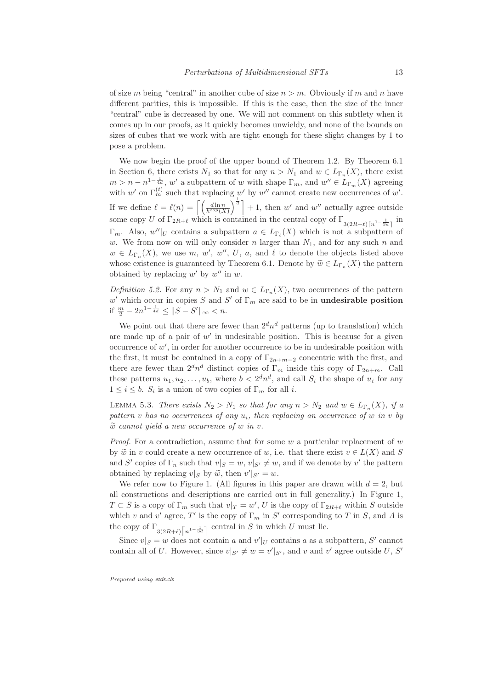of size m being "central" in another cube of size  $n > m$ . Obviously if m and n have different parities, this is impossible. If this is the case, then the size of the inner "central" cube is decreased by one. We will not comment on this subtlety when it comes up in our proofs, as it quickly becomes unwieldy, and none of the bounds on sizes of cubes that we work with are tight enough for these slight changes by 1 to pose a problem.

We now begin the proof of the upper bound of Theorem 1.2. By Theorem 6.1 in Section 6, there exists  $N_1$  so that for any  $n > N_1$  and  $w \in L_{\Gamma_n}(X)$ , there exist  $m > n - n^{1 - \frac{1}{4d}}$ , w' a subpattern of w with shape  $\Gamma_m$ , and  $w'' \in L_{\Gamma_m}(X)$  agreeing with w' on  $\Gamma_m^{(t)}$  such that replacing w' by w'' cannot create new occurrences of w'. If we define  $\ell = \ell(n) = \left[ \left( \frac{d \ln n}{h^{top}(X)} \right) \right]$  $\int_{0}^{\frac{1}{d}}$  + 1, then w' and w'' actually agree outside some copy U of  $\Gamma_{2R+\ell}$  which is contained in the central copy of  $\Gamma_{3(2R+\ell)\lceil n^{1-\frac{1}{3d}}\rceil}$  in  $\Gamma_m$ . Also,  $w''|_U$  contains a subpattern  $a \in L_{\Gamma_{\ell}}(X)$  which is not a subpattern of w. We from now on will only consider n larger than  $N_1$ , and for any such n and  $w \in L_{\Gamma_n}(X)$ , we use m, w', w'', U, a, and  $\ell$  to denote the objects listed above whose existence is guaranteed by Theorem 6.1. Denote by  $\widetilde{w} \in L_{\Gamma_n}(X)$  the pattern obtained by replacing  $w'$  by  $w''$  in  $w$ .

*Definition 5.2.* For any  $n > N_1$  and  $w \in L_{\Gamma_n}(X)$ , two occurrences of the pattern w' which occur in copies S and S' of  $\Gamma_m$  are said to be in **undesirable position** if  $\frac{m}{2} - 2n^{1-\frac{1}{4d}} \leq ||S - S'||_{\infty} < n.$ 

We point out that there are fewer than  $2<sup>d</sup>n<sup>d</sup>$  patterns (up to translation) which are made up of a pair of  $w'$  in undesirable position. This is because for a given occurrence of w ′ , in order for another occurrence to be in undesirable position with the first, it must be contained in a copy of  $\Gamma_{2n+m-2}$  concentric with the first, and there are fewer than  $2^d n^d$  distinct copies of  $\Gamma_m$  inside this copy of  $\Gamma_{2n+m}$ . Call these patterns  $u_1, u_2, \ldots, u_b$ , where  $b < 2^d n^d$ , and call  $S_i$  the shape of  $u_i$  for any  $1 \leq i \leq b$ .  $S_i$  is a union of two copies of  $\Gamma_m$  for all *i*.

LEMMA 5.3. There exists  $N_2 > N_1$  so that for any  $n > N_2$  and  $w \in L_{\Gamma_n}(X)$ , if a pattern v has no occurrences of any  $u_i$ , then replacing an occurrence of w in v by  $\tilde{w}$  cannot yield a new occurrence of w in v.

*Proof.* For a contradiction, assume that for some  $w$  a particular replacement of  $w$ by  $\widetilde{w}$  in v could create a new occurrence of w, i.e. that there exist  $v \in L(X)$  and S and S' copies of  $\Gamma_n$  such that  $v|_S = w$ ,  $v|_{S'} \neq w$ , and if we denote by v' the pattern obtained by replacing  $v|_S$  by  $\widetilde{w}$ , then  $v'|_{S'} = w$ .

We refer now to Figure 1. (All figures in this paper are drawn with  $d = 2$ , but all constructions and descriptions are carried out in full generality.) In Figure 1,  $T \subset S$  is a copy of  $\Gamma_m$  such that  $v|_T = w'$ , U is the copy of  $\Gamma_{2R+\ell}$  within S outside which v and v' agree, T' is the copy of  $\Gamma_m$  in S' corresponding to T in S, and A is the copy of  $\Gamma_{3(2R+\ell)\lceil n^{1-\frac{1}{3d}}\rceil}$  central in S in which U must lie.

Since  $v|_S = w$  does not contain a and  $v'|_U$  contains a as a subpattern, S' cannot contain all of U. However, since  $v|_{S'} \neq w = v'|_{S'}$ , and v and v' agree outside U, S'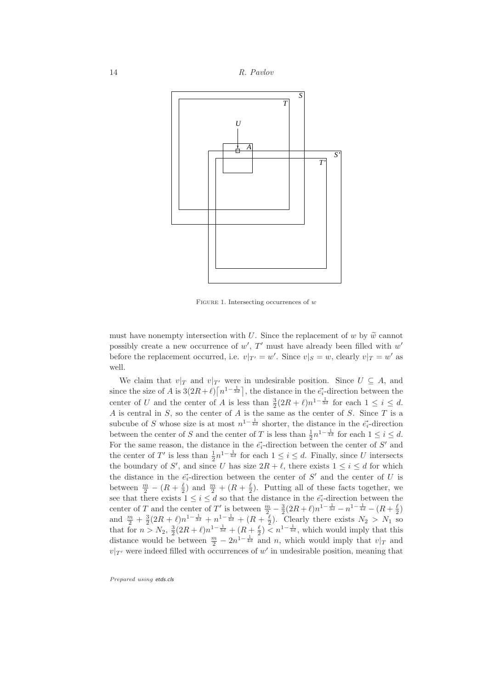

FIGURE 1. Intersecting occurrences of  $w$ 

must have nonempty intersection with U. Since the replacement of w by  $\tilde{w}$  cannot possibly create a new occurrence of  $w'$ ,  $T'$  must have already been filled with  $w'$ before the replacement occurred, i.e.  $v|_{T'} = w'$ . Since  $v|_S = w$ , clearly  $v|_T = w'$  as well.

We claim that  $v|_T$  and  $v|_{T'}$  were in undesirable position. Since  $U \subseteq A$ , and since the size of A is  $3(2R+\ell)\left[n^{1-\frac{1}{3d}}\right]$ , the distance in the  $\vec{e_i}$ -direction between the center of U and the center of A is less than  $\frac{3}{2}(2R+\ell)n^{1-\frac{1}{3d}}$  for each  $1 \leq i \leq d$ . A is central in  $S$ , so the center of A is the same as the center of  $S$ . Since  $T$  is a subcube of S whose size is at most  $n^{1-\frac{1}{4d}}$  shorter, the distance in the  $\vec{e}_i$ -direction between the center of S and the center of T is less than  $\frac{1}{2}n^{1-\frac{1}{4d}}$  for each  $1 \leq i \leq d$ . For the same reason, the distance in the  $\vec{e}_i$ -direction between the center of S' and the center of T' is less than  $\frac{1}{2}n^{1-\frac{1}{4d}}$  for each  $1 \leq i \leq d$ . Finally, since U intersects the boundary of S', and since U has size  $2R + \ell$ , there exists  $1 \leq i \leq d$  for which the distance in the  $\vec{e}_i$ -direction between the center of S' and the center of U is between  $\frac{m}{2} - (R + \frac{\ell}{2})$  and  $\frac{m}{2} + (R + \frac{\ell}{2})$ . Putting all of these facts together, we see that there exists  $1 \leq i \leq d$  so that the distance in the  $\vec{e_i}$ -direction between the center of T and the center of T' is between  $\frac{m}{2} - \frac{3}{2}(2R+\ell)n^{1-\frac{1}{3d}} - n^{1-\frac{1}{4d}} - (R+\frac{\ell}{2})$ and  $\frac{m}{2} + \frac{3}{2}(2R + \ell)n^{1-\frac{1}{3d}} + n^{\frac{1}{4d}} + (R + \frac{\ell}{2})$ . Clearly there exists  $N_2 > N_1$  so that for  $n > N_2$ ,  $\frac{3}{2}(2R+\ell)n^{1-\frac{1}{3d}} + (R+\frac{\ell}{2}) \leq n^{1-\frac{1}{4d}}$ , which would imply that this distance would be between  $\frac{m}{2} - 2n^{1-\frac{1}{4d}}$  and n, which would imply that  $v|_T$  and  $v|_{T'}$  were indeed filled with occurrences of w' in undesirable position, meaning that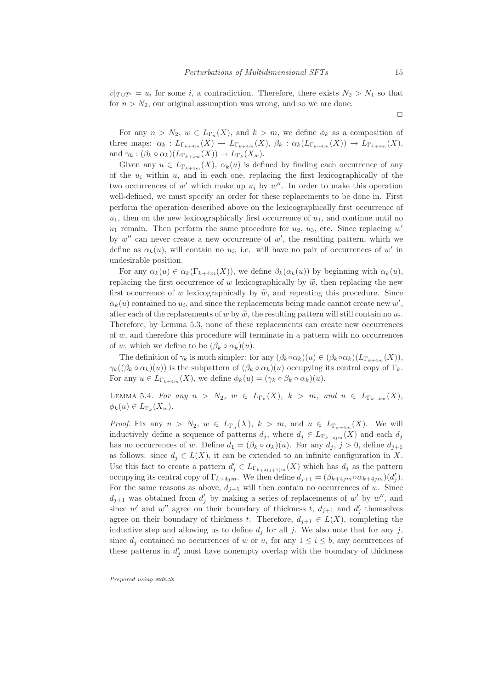$v|_{T\cup T'} = u_i$  for some i, a contradiction. Therefore, there exists  $N_2 > N_1$  so that for  $n > N_2$ , our original assumption was wrong, and so we are done.

 $\Box$ 

For any  $n > N_2$ ,  $w \in L_{\Gamma_n}(X)$ , and  $k > m$ , we define  $\phi_k$  as a composition of three maps:  $\alpha_k : L_{\Gamma_{k+4m}}(X) \to L_{\Gamma_{k+4m}}(X)$ ,  $\beta_k : \alpha_k(L_{\Gamma_{k+4m}}(X)) \to L_{\Gamma_{k+4m}}(X)$ , and  $\gamma_k : (\beta_k \circ \alpha_k)(L_{\Gamma_{k+4m}}(X)) \to L_{\Gamma_k}(X_w).$ 

Given any  $u \in L_{\Gamma_{k+4m}}(X)$ ,  $\alpha_k(u)$  is defined by finding each occurrence of any of the  $u_i$  within u, and in each one, replacing the first lexicographically of the two occurrences of  $w'$  which make up  $u_i$  by  $w''$ . In order to make this operation well-defined, we must specify an order for these replacements to be done in. First perform the operation described above on the lexicographically first occurrence of  $u_1$ , then on the new lexicographically first occurrence of  $u_1$ , and continue until no  $u_1$  remain. Then perform the same procedure for  $u_2$ ,  $u_3$ , etc. Since replacing  $w'$ by  $w''$  can never create a new occurrence of  $w'$ , the resulting pattern, which we define as  $\alpha_k(u)$ , will contain no  $u_i$ , i.e. will have no pair of occurrences of w' in undesirable position.

For any  $\alpha_k(u) \in \alpha_k(\Gamma_{k+4m}(X))$ , we define  $\beta_k(\alpha_k(u))$  by beginning with  $\alpha_k(u)$ , replacing the first occurrence of w lexicographically by  $\tilde{w}$ , then replacing the new first occurrence of w lexicographically by  $\tilde{w}$ , and repeating this procedure. Since  $\alpha_k(u)$  contained no  $u_i$ , and since the replacements being made cannot create new  $w'$ , after each of the replacements of w by  $\widetilde{w}$ , the resulting pattern will still contain no  $u_i$ . Therefore, by Lemma 5.3, none of these replacements can create new occurrences of w, and therefore this procedure will terminate in a pattern with no occurrences of w, which we define to be  $(\beta_k \circ \alpha_k)(u)$ .

The definition of  $\gamma_k$  is much simpler: for any  $(\beta_k \circ \alpha_k)(u) \in (\beta_k \circ \alpha_k)(L_{\Gamma_{k+4m}}(X)),$  $\gamma_k((\beta_k \circ \alpha_k)(u))$  is the subpattern of  $(\beta_k \circ \alpha_k)(u)$  occupying its central copy of  $\Gamma_k$ . For any  $u \in L_{\Gamma_{k+4m}}(X)$ , we define  $\phi_k(u) = (\gamma_k \circ \beta_k \circ \alpha_k)(u)$ .

LEMMA 5.4. For any  $n > N_2$ ,  $w \in L_{\Gamma_n}(X)$ ,  $k > m$ , and  $u \in L_{\Gamma_{k+4m}}(X)$ ,  $\phi_k(u) \in L_{\Gamma_k}(X_w).$ 

*Proof.* Fix any  $n > N_2$ ,  $w \in L_{\Gamma_n}(X)$ ,  $k > m$ , and  $u \in L_{\Gamma_{k+4m}}(X)$ . We will inductively define a sequence of patterns  $d_j$ , where  $d_j \in L_{\Gamma_{k+4im}}(X)$  and each  $d_j$ has no occurrences of w. Define  $d_1 = (\beta_k \circ \alpha_k)(u)$ . For any  $d_j$ ,  $j > 0$ , define  $d_{j+1}$ as follows: since  $d_i \in L(X)$ , it can be extended to an infinite configuration in X. Use this fact to create a pattern  $d'_{j} \in L_{\Gamma_{k+4(j+1)m}}(X)$  which has  $d_{j}$  as the pattern occupying its central copy of  $\Gamma_{k+4jm}$ . We then define  $d_{j+1} = (\beta_{k+4jm} \circ \alpha_{k+4jm})(d'_{j}).$ For the same reasons as above,  $d_{i+1}$  will then contain no occurrences of w. Since  $d_{j+1}$  was obtained from  $d'_j$  by making a series of replacements of w' by w'', and since w' and w'' agree on their boundary of thickness t,  $d_{j+1}$  and  $d'_{j}$  themselves agree on their boundary of thickness t. Therefore,  $d_{j+1} \in L(X)$ , completing the inductive step and allowing us to define  $d_i$  for all j. We also note that for any j, since  $d_j$  contained no occurrences of w or  $u_i$  for any  $1 \leq i \leq b$ , any occurrences of these patterns in  $d'_j$  must have nonempty overlap with the boundary of thickness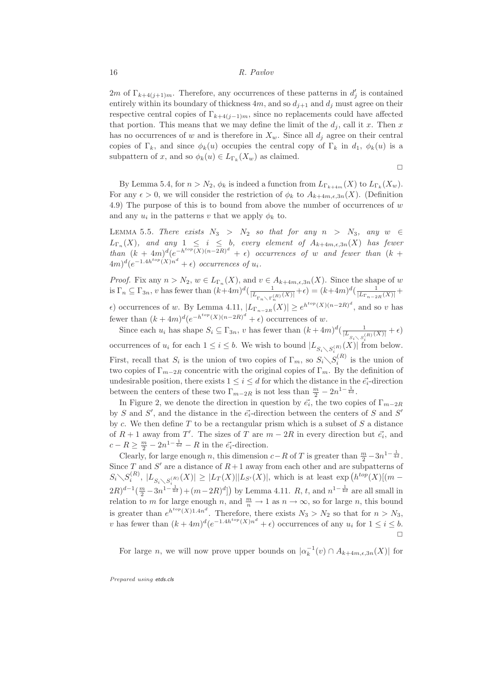2*m* of  $\Gamma_{k+4(j+1)m}$ . Therefore, any occurrences of these patterns in  $d'_{j}$  is contained entirely within its boundary of thickness  $4m$ , and so  $d_{i+1}$  and  $d_i$  must agree on their respective central copies of  $\Gamma_{k+4(j-1)m}$ , since no replacements could have affected that portion. This means that we may define the limit of the  $d_i$ , call it x. Then x has no occurrences of w and is therefore in  $X_w$ . Since all  $d_j$  agree on their central copies of Γ<sub>k</sub>, and since  $\phi_k(u)$  occupies the central copy of Γ<sub>k</sub> in  $d_1$ ,  $\phi_k(u)$  is a subpattern of x, and so  $\phi_k(u) \in L_{\Gamma_k}(X_w)$  as claimed.

 $\Box$ 

By Lemma 5.4, for  $n > N_2$ ,  $\phi_k$  is indeed a function from  $L_{\Gamma_{k+4m}}(X)$  to  $L_{\Gamma_k}(X_w)$ . For any  $\epsilon > 0$ , we will consider the restriction of  $\phi_k$  to  $A_{k+4m,\epsilon,3n}(X)$ . (Definition 4.9) The purpose of this is to bound from above the number of occurrences of  $w$ and any  $u_i$  in the patterns v that we apply  $\phi_k$  to.

LEMMA 5.5. There exists  $N_3 > N_2$  so that for any  $n > N_3$ , any  $w \in$  $L_{\Gamma_n}(X)$ , and any  $1 \leq i \leq b$ , every element of  $A_{k+4m,\epsilon,3n}(X)$  has fewer than  $(k+4m)^d(e^{-h^{top}(X)(n-2R)^d} + \epsilon)$  occurrences of w and fewer than  $(k+4m)^d$  $(4m)^d(e^{-1.4h^{top}(X)n^d} + \epsilon)$  occurrences of  $u_i$ .

*Proof.* Fix any  $n > N_2$ ,  $w \in L_{\Gamma_n}(X)$ , and  $v \in A_{k+4m,\epsilon,3n}(X)$ . Since the shape of w is  $\Gamma_n \subseteq \Gamma_{3n}$ , v has fewer than  $(k+4m)^d(\frac{1}{|L_{\Gamma_n \setminus \Gamma_n^{(R)}}(X)|} + \epsilon) = (k+4m)^d(\frac{1}{|L_{\Gamma_{n-2R}}(X)|} + \epsilon)$  $\epsilon$ ) occurrences of w. By Lemma 4.11,  $|L_{\Gamma_{n-2R}}(X)| \geq e^{h^{top}(X)(n-2R)^{d}}$ , and so v has fewer than  $(k+4m)^d(e^{-h^{top}(X)(n-2R)^d} + \epsilon)$  occurrences of w.

Since each  $u_i$  has shape  $S_i \subseteq \Gamma_{3n}$ , v has fewer than  $(k+4m)^d \left( \frac{1}{|L_{S_i \setminus S_i^{(R)}}(X)|} + \epsilon \right)$ occurrences of  $u_i$  for each  $1 \leq i \leq b$ . We wish to bound  $|L_{S_i \setminus S_i^{(R)}}(X)|$  from below. First, recall that  $S_i$  is the union of two copies of  $\Gamma_m$ , so  $S_i \setminus S_i^{(R)}$  is the union of two copies of  $\Gamma_{m-2R}$  concentric with the original copies of  $\Gamma_m$ . By the definition of undesirable position, there exists  $1 \leq i \leq d$  for which the distance in the  $\vec{e}_i$ -direction between the centers of these two  $\Gamma_{m-2R}$  is not less than  $\frac{m}{2} - 2n^{1-\frac{1}{4d}}$ .

In Figure 2, we denote the direction in question by  $\vec{e_i}$ , the two copies of  $\Gamma_{m-2R}$ by S and S', and the distance in the  $\vec{e_i}$ -direction between the centers of S and S' by c. We then define  $T$  to be a rectangular prism which is a subset of  $S$  a distance of  $R + 1$  away from T'. The sizes of T are  $m - 2R$  in every direction but  $\vec{e_i}$ , and  $c - R \geq \frac{m}{2} - 2n^{1 - \frac{1}{4d}} - R$  in the  $\vec{e_i}$ -direction.

Clearly, for large enough n, this dimension  $c-R$  of T is greater than  $\frac{m}{2}-3n^{1-\frac{1}{4d}}$ . Since T and S' are a distance of  $R+1$  away from each other and are subpatterns of  $S_i \setminus S_i^{(R)}, |L_{S_i \setminus S_i^{(R)}}(X)| \geq |L_T(X)||L_{S'}(X)|$ , which is at least  $\exp\left(h^{top}(X)[(m (2R)^{d-1}(\frac{m}{2}-3n^{1-\frac{1}{4d}})+(m-2R)^d]$  by Lemma 4.11.  $R$ ,  $t$ , and  $n^{1-\frac{1}{4d}}$  are all small in relation to m for large enough n, and  $\frac{m}{n} \to 1$  as  $n \to \infty$ , so for large n, this bound is greater than  $e^{h^{top}(X)1.4n^d}$ . Therefore, there exists  $N_3 > N_2$  so that for  $n > N_3$ , v has fewer than  $(k+4m)^d(e^{-1.4h^{top}(X)n^d} + \epsilon)$  occurrences of any  $u_i$  for  $1 \le i \le b$ .  $\Box$ 

For large *n*, we will now prove upper bounds on  $|\alpha_k^{-1}(v) \cap A_{k+4m,\epsilon,3n}(X)|$  for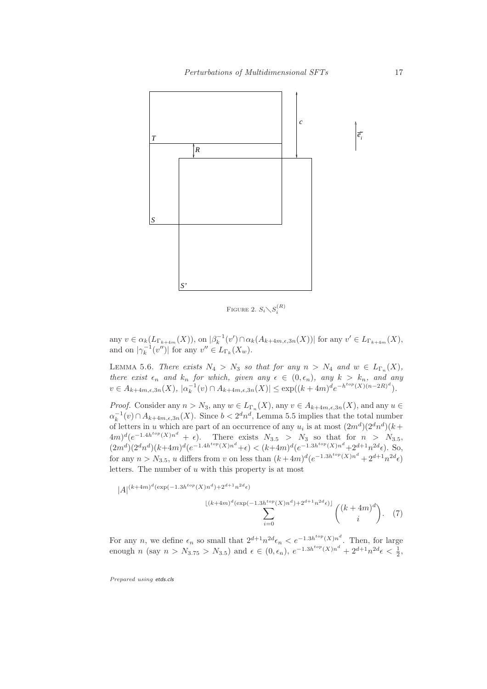

Figure 2.  $S_i \diagdown S_i^{(R)}$ 

any  $v \in \alpha_k(L_{\Gamma_{k+4m}}(X))$ , on  $|\beta_k^{-1}(v') \cap \alpha_k(A_{k+4m,\epsilon,3n}(X))|$  for any  $v' \in L_{\Gamma_{k+4m}}(X)$ , and on  $|\gamma_k^{-1}(v'')|$  for any  $v'' \in L_{\Gamma_k}(X_w)$ .

LEMMA 5.6. There exists  $N_4 > N_3$  so that for any  $n > N_4$  and  $w \in L_{\Gamma_n}(X)$ , there exist  $\epsilon_n$  and  $k_n$  for which, given any  $\epsilon \in (0,\epsilon_n)$ , any  $k > k_n$ , and any  $v \in A_{k+4m,\epsilon,3n}(X), |\alpha_k^{-1}(v) \cap A_{k+4m,\epsilon,3n}(X)| \leq \exp((k+4m)^d e^{-h^{top}(X)(n-2R)^d}).$ 

*Proof.* Consider any  $n > N_3$ , any  $w \in L_{\Gamma_n}(X)$ , any  $v \in A_{k+4m,\epsilon,3n}(X)$ , and any  $u \in$  $\alpha_k^{-1}(v) \cap A_{k+4m,\epsilon,3n}(X)$ . Since  $b < 2^d n^d$ , Lemma 5.5 implies that the total number of letters in u which are part of an occurrence of any  $u_i$  is at most  $(2m^d)(2^dn^d)(k+$  $(4m)^d(e^{-1.4h^{top}(X)n^d} + \epsilon).$  There exists  $N_{3.5} > N_3$  so that for  $n > N_{3.5}$ ,  $(2m^d)(2^dn^d)(k+4m)^d(e^{-1.4h^{top}(X)n^d}+\epsilon) < (k+4m)^d(e^{-1.3h^{top}(X)n^d}+2^{d+1}n^{2d}\epsilon)$ . So, for any  $n > N_{3.5}$ , u differs from v on less than  $(k+4m)^d(e^{-1.3h^{top}(X)n^d} + 2^{d+1}n^{2d}\epsilon)$ letters. The number of u with this property is at most

$$
|A|^{(k+4m)^{d}(\exp(-1.3h^{top}(X))n^{d})+2^{d+1}n^{2d}\epsilon)} \sum_{i=0}^{\lfloor (k+4m)^{d}(\exp(-1.3h^{top}(X))n^{d})+2^{d+1}n^{2d}\epsilon) \rfloor} {k+4m \choose i}.
$$
 (7)

For any *n*, we define  $\epsilon_n$  so small that  $2^{d+1}n^{2d}\epsilon_n < e^{-1.3h^{top}(X)n^d}$ . Then, for large enough *n* (say  $n > N_{3.75} > N_{3.5}$ ) and  $\epsilon \in (0, \epsilon_n)$ ,  $e^{-1.3h^{top}(X)n^d} + 2^{d+1}n^{2d}\epsilon < \frac{1}{2}$ ,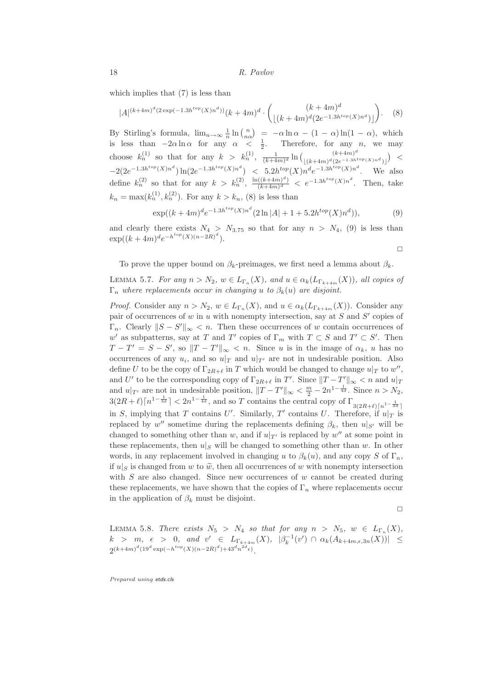which implies that  $(7)$  is less than

$$
|A|^{(k+4m)^d(2\exp(-1.3h^{top}(X)n^d))}(k+4m)^d \cdot \binom{(k+4m)^d}{\lfloor (k+4m)^d(2e^{-1.3h^{top}(X)n^d}) \rfloor}.
$$
 (8)

By Stirling's formula,  $\lim_{n\to\infty} \frac{1}{n} \ln \binom{n}{n\alpha} = -\alpha \ln \alpha - (1-\alpha) \ln(1-\alpha)$ , which is less than  $-2\alpha \ln \alpha$  for any  $\alpha < \frac{1}{2}$ . Therefore, for any *n*, we may choose  $k_n^{(1)}$  so that for any  $k > k_n^{(1)}$ ,  $\frac{1}{(k+4m)^d} \ln \binom{(k+4m)^d}{(k+4m)^d (2e^{-1.3h^d})}$  $\lfloor (k+4m)^d (2e^{-1.3h^{top}(X)n^d}) \rfloor$  $) <$  $-2(2e^{-1.3h^{top}(X)n^d})\ln(2e^{-1.3h^{top}(X)n^d}) < 5.2h^{top}(X)n^de^{-1.3h^{top}(X)n^d}$ . We also define  $k_n^{(2)}$  so that for any  $k > k_n^{(2)}$ ,  $\frac{\ln((k+4m)^d)}{(k+4m)^d}$  $\frac{((k+4m)^d)}{(k+4m)^d} < e^{-1.3h^{top}(X)n^d}$ . Then, take  $k_n = \max(k_n^{(1)}, k_n^{(2)})$ . For any  $k > k_n$ , (8) is less than

$$
\exp((k+4m)^d e^{-1.3h^{top}(X)n^d} (2\ln|A|+1+5.2h^{top}(X)n^d)),\tag{9}
$$

and clearly there exists  $N_4 > N_{3.75}$  so that for any  $n > N_4$ , (9) is less than  $\exp((k+4m)^d e^{-h^{top}(X)(n-2R)^d}).$ 

 $\Box$ 

To prove the upper bound on  $\beta_k$ -preimages, we first need a lemma about  $\beta_k$ .

LEMMA 5.7. For any  $n > N_2$ ,  $w \in L_{\Gamma_n}(X)$ , and  $u \in \alpha_k(L_{\Gamma_{k+4m}}(X))$ , all copies of  $\Gamma_n$  where replacements occur in changing u to  $\beta_k(u)$  are disjoint.

*Proof.* Consider any  $n > N_2$ ,  $w \in L_{\Gamma_n}(X)$ , and  $u \in \alpha_k(L_{\Gamma_{k+4m}}(X))$ . Consider any pair of occurrences of w in u with nonempty intersection, say at  $S$  and  $S'$  copies of  $\Gamma_n$ . Clearly  $||S - S'||_{\infty} < n$ . Then these occurrences of w contain occurrences of w' as subpatterns, say at T and T' copies of  $\Gamma_m$  with  $T \subset S$  and  $T' \subset S'$ . Then  $T - T' = S - S'$ , so  $||T - T'||_{\infty} < n$ . Since u is in the image of  $\alpha_k$ , u has no occurrences of any  $u_i$ , and so  $u|_T$  and  $u|_{T'}$  are not in undesirable position. Also define U to be the copy of  $\Gamma_{2R+\ell}$  in T which would be changed to change  $u|_T$  to  $w''$ , and U' to be the corresponding copy of  $\Gamma_{2R+\ell}$  in T'. Since  $||T-T'||_{\infty} < n$  and  $u|_T$ and  $u|_{T'}$  are not in undesirable position,  $||T - T'||_{\infty} < \frac{m}{2} - 2n^{1-\frac{1}{4d}}$ . Since  $n > N_2$ ,  $3(2R+\ell)\lceil n^{1-\frac{1}{3d}}\rceil < 2n^{1-\frac{1}{4d}},$  and so T contains the central copy of  $\Gamma_{3(2R+\ell)\lceil n^{1-\frac{1}{3d}}\rceil}$ in S, implying that T contains U'. Similarly, T' contains U. Therefore, if  $u|_T$  is replaced by  $w''$  sometime during the replacements defining  $\beta_k$ , then  $u|_{S'}$  will be changed to something other than  $w$ , and if  $u|_{T'}$  is replaced by  $w''$  at some point in these replacements, then  $u|_S$  will be changed to something other than w. In other words, in any replacement involved in changing u to  $\beta_k(u)$ , and any copy S of  $\Gamma_n$ , if  $u|_S$  is changed from w to  $\tilde{w}$ , then all occurrences of w with nonempty intersection with  $S$  are also changed. Since new occurrences of  $w$  cannot be created during these replacements, we have shown that the copies of  $\Gamma_n$  where replacements occur in the application of  $\beta_k$  must be disjoint.

$$
\Box
$$

LEMMA 5.8. There exists  $N_5 > N_4$  so that for any  $n > N_5$ ,  $w \in L_{\Gamma_n}(X)$ ,  $k > m, \epsilon > 0, \text{ and } v' \in L_{\Gamma_{k+4m}}(X), \ |\beta_k^{-1}(v')| \cap \alpha_k(A_{k+4m,\epsilon,3n}(X))| \leq$  $2^{(k+4m)^d}(19^d \exp(-h^{top}(X)(n-2R)^d)+43^dn^{2d}\epsilon)$ .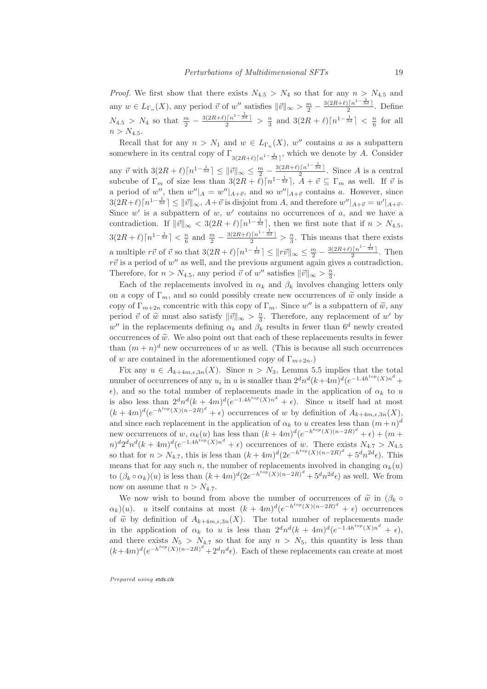*Proof.* We first show that there exists  $N_{4.5} > N_4$  so that for any  $n > N_{4.5}$  and any  $w \in L_{\Gamma_n}(X)$ , any period  $\vec{v}$  of  $w''$  satisfies  $\|\vec{v}\|_{\infty} > \frac{m}{2} - \frac{3(2R+\ell)\lceil n^{1-\frac{1}{3d}} \rceil}{2}$ . Define  $N_{4.5} > N_4$  so that  $\frac{m}{2} - \frac{3(2R+\ell)\lceil n^{1-\frac{1}{3d}} \rceil}{2} > \frac{n}{3}$  and  $3(2R+\ell)\lceil n^{1-\frac{1}{3d}} \rceil < \frac{n}{6}$  for all  $n > N_{4.5}.$ 

Recall that for any  $n > N_1$  and  $w \in L_{\Gamma_n}(X)$ , w'' contains a as a subpattern somewhere in its central copy of  $\Gamma_{3(2R+\ell)\lceil n^{1-\frac{1}{3d}}\rceil}$ , which we denote by A. Consider any  $\vec{v}$  with  $3(2R+\ell)\lceil n^{1-\frac{1}{3d}} \rceil \leq ||\vec{v}||_{\infty} \leq \frac{m}{2} - \frac{3(2R+\ell)\lceil n^{1-\frac{1}{3d}} \rceil}{1-2}$ . Since A is a central subcube of  $\Gamma_m$  of size less than  $3(2R + \ell)\lceil n^{1-\frac{1}{3d}} \rceil$ ,  $A + \vec{v} \subseteq \Gamma_m$  as well. If  $\vec{v}$  is a period of w'', then  $w''|_A = w''|_{A+\vec{v}}$ , and so  $w''|_{A+\vec{v}}$  contains a. However, since  $3(2R+\ell)\lceil n^{1-\frac{1}{3d}}\rceil \leq ||\vec{v}||_{\infty}, A+\vec{v}$  is disjoint from A, and therefore  $w''|_{A+\vec{v}} = w'|_{A+\vec{v}}$ . Since  $w'$  is a subpattern of  $w, w'$  contains no occurrences of  $a$ , and we have a contradiction. If  $\|\vec{v}\|_{\infty} < 3(2R+\ell)\lceil n^{1-\frac{1}{3d}}\rceil$ , then we first note that if  $n > N_{4.5}$ ,  $3(2R+\ell)\lceil n^{1-\frac{1}{3d}}\rceil < \frac{n}{6}$  and  $\frac{m}{2} - \frac{3(2R+\ell)\lceil n^{1-\frac{1}{3d}}\rceil}{2} > \frac{n}{3}$ . This means that there exists a multiple  $r\vec{v}$  of  $\vec{v}$  so that  $3(2R+\ell)\lceil n^{1-\frac{1}{3d}} \rceil \leq ||r\vec{v}||_{\infty} \leq \frac{m}{2} - \frac{3(2R+\ell)\lceil n^{1-\frac{1}{3d}} \rceil}{2}$ . Then  $r\vec{v}$  is a period of  $w''$  as well, and the previous argument again gives a contradiction. Therefore, for  $n > N_{4.5}$ , any period  $\vec{v}$  of  $w''$  satisfies  $\|\vec{v}\|_{\infty} > \frac{n}{3}$ .

Each of the replacements involved in  $\alpha_k$  and  $\beta_k$  involves changing letters only on a copy of  $\Gamma_m$ , and so could possibly create new occurrences of  $\tilde{w}$  only inside a copy of  $\Gamma_{m+2n}$  concentric with this copy of  $\Gamma_m$ . Since w'' is a subpattern of  $\widetilde{w}$ , any period  $\vec{v}$  of  $\widetilde{w}$  must also satisfy  $\|\vec{v}\|_{\infty} > \frac{n}{3}$ . Therefore, any replacement of w' by  $w''$  in the replacements defining  $\alpha_k$  and  $\beta_k$  results in fewer than  $6^d$  newly created occurrences of  $\tilde{w}$ . We also point out that each of these replacements results in fewer than  $(m+n)^d$  new occurrences of w as well. (This is because all such occurrences of w are contained in the aforementioned copy of  $\Gamma_{m+2n}$ .

Fix any  $u \in A_{k+4m,\epsilon,3n}(X)$ . Since  $n > N_3$ , Lemma 5.5 implies that the total number of occurrences of any  $u_i$  in u is smaller than  $2^d n^d (k+4m)^d (e^{-1.4h^{top}(X)n^d} +$  $\epsilon$ ), and so the total number of replacements made in the application of  $\alpha_k$  to u is also less than  $2^dn^d(k+4m)^d(e^{-1.4h^{top}(X)n^d} + \epsilon)$ . Since u itself had at most  $(k+4m)^d(e^{-h^{top}(X)(n-2R)^d} + \epsilon)$  occurrences of w by definition of  $A_{k+4m,\epsilon,3n}(X)$ , and since each replacement in the application of  $\alpha_k$  to u creates less than  $(m+n)^d$ new occurrences of w,  $\alpha_k(u)$  has less than  $(k+4m)^d(e^{-h^{top}(X)(n-2R)^d} + \epsilon) + (m+$  $(n)^d 2^d n^d (k+4m)^d (e^{-1.4h^{top}(X)n^d} + \epsilon)$  occurrences of w. There exists  $N_{4.7} > N_{4.5}$ so that for  $n > N_{4.7}$ , this is less than  $(k+4m)^d(2e^{-h^{top}(X)(n-2R)^d} + 5^dn^{2d}\epsilon)$ . This means that for any such n, the number of replacements involved in changing  $\alpha_k(u)$ to  $(\beta_k \circ \alpha_k)(u)$  is less than  $(k+4m)^d(2e^{-h^{top}(X)(n-2R)^d} + 5^dn^{2d}\epsilon)$  as well. We from now on assume that  $n > N_{4.7}$ .

We now wish to bound from above the number of occurrences of  $\tilde{w}$  in  $(\beta_k \circ$  $\alpha_k$  $(u)$ . u itself contains at most  $(k+4m)^d(e^{-h^{top}(X)(n-2R)^d} + \epsilon)$  occurrences of  $\widetilde{w}$  by definition of  $A_{k+4m,\epsilon,3n}(X)$ . The total number of replacements made in the application of  $\alpha_k$  to u is less than  $2^dn^d(k+4m)^d(e^{-1.4h^{top}(X)n^d} + \epsilon)$ , and there exists  $N_5 > N_{4.7}$  so that for any  $n > N_5$ , this quantity is less than  $(k+4m)^d(e^{-h^{top}(X)(n-2R)^d}+2^dn^d\epsilon)$ . Each of these replacements can create at most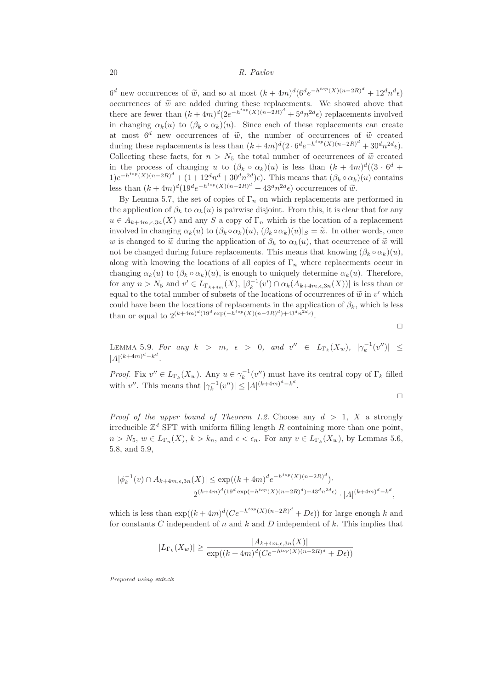$6^d$  new occurrences of  $\tilde{w}$ , and so at most  $(k+4m)^d(6^de^{-h^{top}(X)(n-2R)^d}+12^dn^de)$ occurrences of  $\tilde{w}$  are added during these replacements. We showed above that there are fewer than  $(k+4m)^d(2e^{-h^{top}(X)(n-2R)^d}+5^dn^{2d}\epsilon)$  replacements involved in changing  $\alpha_k(u)$  to  $(\beta_k \circ \alpha_k)(u)$ . Since each of these replacements can create at most  $6^d$  new occurrences of  $\tilde{w}$ , the number of occurrences of  $\tilde{w}$  created during these replacements is less than  $(k+4m)^d(2 \cdot 6^d e^{-h^{top}(X)(n-2R)^d} + 30^d n^{2d} \epsilon)$ . Collecting these facts, for  $n > N_5$  the total number of occurrences of  $\tilde{w}$  created in the process of changing u to  $(\beta_k \circ \alpha_k)(u)$  is less than  $(k+4m)^d((3 \cdot 6^d +$  $1)e^{-h^{top}(X)(n-2R)^d} + (1+12^dn^d+30^dn^{2d})\epsilon$ . This means that  $(\beta_k \circ \alpha_k)(u)$  contains less than  $(k+4m)^d(19^de^{-h^{top}(X)(n-2R)^d}+43^dn^{2d}\epsilon)$  occurrences of  $\widetilde{\omega}$ .

By Lemma 5.7, the set of copies of  $\Gamma_n$  on which replacements are performed in the application of  $\beta_k$  to  $\alpha_k(u)$  is pairwise disjoint. From this, it is clear that for any  $u \in A_{k+4m,\epsilon,3n}(X)$  and any S a copy of  $\Gamma_n$  which is the location of a replacement involved in changing  $\alpha_k(u)$  to  $(\beta_k \circ \alpha_k)(u)$ ,  $(\beta_k \circ \alpha_k)(u)|_S = \tilde{w}$ . In other words, once w is changed to  $\tilde{w}$  during the application of  $\beta_k$  to  $\alpha_k(u)$ , that occurrence of  $\tilde{w}$  will not be changed during future replacements. This means that knowing  $(\beta_k \circ \alpha_k)(u)$ , along with knowing the locations of all copies of  $\Gamma_n$  where replacements occur in changing  $\alpha_k(u)$  to  $(\beta_k \circ \alpha_k)(u)$ , is enough to uniquely determine  $\alpha_k(u)$ . Therefore, for any  $n > N_5$  and  $v' \in L_{\Gamma_{k+4m}}(X)$ ,  $|\beta_k^{-1}(v') \cap \alpha_k(A_{k+4m,\epsilon,3n}(X))|$  is less than or equal to the total number of subsets of the locations of occurrences of  $\tilde{w}$  in  $v'$  which could have been the locations of replacements in the application of  $\beta_k$ , which is less than or equal to  $2^{(k+4m)^d(19^d \exp(-h^{top}(X)(n-2R)^d)+43^dn^{2d}\epsilon)}$ .

 $\Box$ 

LEMMA 5.9. For any  $k > m$ ,  $\epsilon > 0$ , and  $v'' \in L_{\Gamma_k}(X_w)$ ,  $|\gamma_k^{-1}(v'')| \leq$  $|A|^{(k+4m)^d-k^d}$ .

*Proof.* Fix  $v'' \in L_{\Gamma_k}(X_w)$ . Any  $u \in \gamma_k^{-1}(v'')$  must have its central copy of  $\Gamma_k$  filled with v''. This means that  $|\gamma_k^{-1}(v'')| \leq |A|^{(k+4m)^d - k^d}$ .

$$
\qquad \qquad \Box
$$

*Proof of the upper bound of Theorem 1.2.* Choose any  $d > 1$ , X a strongly irreducible  $\mathbb{Z}^d$  SFT with uniform filling length R containing more than one point,  $n > N_5$ ,  $w \in L_{\Gamma_n}(X)$ ,  $k > k_n$ , and  $\epsilon < \epsilon_n$ . For any  $v \in L_{\Gamma_k}(X_w)$ , by Lemmas 5.6, 5.8, and 5.9,

$$
|\phi_k^{-1}(v) \cap A_{k+4m,\epsilon,3n}(X)| \le \exp((k+4m)^d e^{-h^{top}(X)(n-2R)^d}).
$$
  

$$
2^{(k+4m)^d (19^d \exp(-h^{top}(X)(n-2R)^d) + 43^d n^{2d} \epsilon)} \cdot |A|^{(k+4m)^d - k^d},
$$

which is less than  $\exp((k+4m)^d(Ce^{-h^{top}(X)(n-2R)^d}+D\epsilon))$  for large enough k and for constants  $C$  independent of  $n$  and  $k$  and  $D$  independent of  $k$ . This implies that

$$
|L_{\Gamma_k}(X_w)| \ge \frac{|A_{k+4m,\epsilon,3n}(X)|}{\exp((k+4m)^d(Ce^{-h^{top}(X)(n-2R)^d} + D\epsilon))}
$$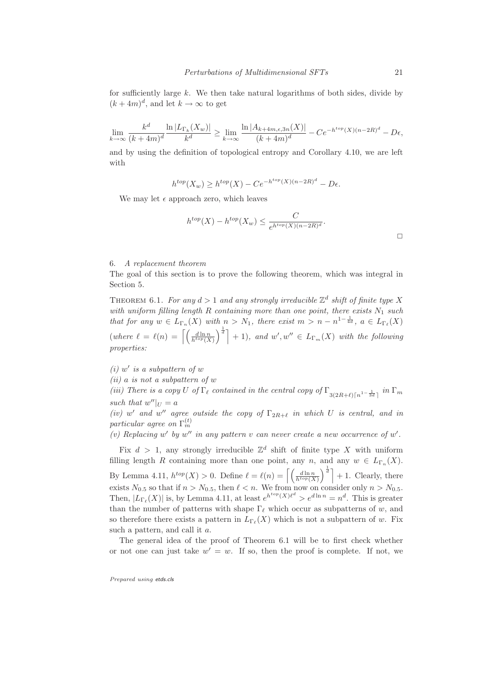for sufficiently large  $k$ . We then take natural logarithms of both sides, divide by  $(k+4m)^d$ , and let  $k \to \infty$  to get

$$
\lim_{k \to \infty} \frac{k^d}{(k+4m)^d} \frac{\ln |L_{\Gamma_k}(X_w)|}{k^d} \ge \lim_{k \to \infty} \frac{\ln |A_{k+4m,\epsilon,3n}(X)|}{(k+4m)^d} - Ce^{-h^{top}(X)(n-2R)^d} - D\epsilon,
$$

and by using the definition of topological entropy and Corollary 4.10, we are left with

 $h^{top}(X_w) \geq h^{top}(X) - Ce^{-h^{top}(X)(n-2R)^d} - D\epsilon.$ 

We may let  $\epsilon$  approach zero, which leaves

$$
h^{top}(X) - h^{top}(X_w) \le \frac{C}{e^{h^{top}(X)(n-2R)^d}}.
$$

## 6. A replacement theorem

The goal of this section is to prove the following theorem, which was integral in Section 5.

THEOREM 6.1. For any  $d > 1$  and any strongly irreducible  $\mathbb{Z}^d$  shift of finite type X with uniform filling length R containing more than one point, there exists  $N_1$  such that for any  $w \in L_{\Gamma_n}(X)$  with  $n > N_1$ , there exist  $m > n - n^{1-\frac{1}{4d}}$ ,  $a \in L_{\Gamma_\ell}(X)$ (where  $\ell = \ell(n) = \left[ \left( \frac{d \ln n}{h^{top}(X)} \right) \right]$  $\left[\begin{matrix} \frac{1}{d} \end{matrix}\right] + 1$ , and  $w', w'' \in L_{\Gamma_m}(X)$  with the following properties:

 $(i)$  w' is a subpattern of w

 $(ii)$  a is not a subpattern of  $w$ 

(iii) There is a copy U of  $\Gamma_{\ell}$  contained in the central copy of  $\Gamma_{3(2R+\ell)\lceil n^{1-\frac{1}{3d}}\rceil}$  in  $\Gamma_m$ such that  $w''|_U = a$ 

(iv) w' and w'' agree outside the copy of  $\Gamma_{2R+\ell}$  in which U is central, and in particular agree on  $\Gamma_m^{(t)}$ 

(v) Replacing w' by w'' in any pattern v can never create a new occurrence of w'.

Fix  $d > 1$ , any strongly irreducible  $\mathbb{Z}^d$  shift of finite type X with uniform filling length R containing more than one point, any  $n$ , and any  $w \in L_{\Gamma_n}(X)$ . By Lemma 4.11,  $h^{top}(X) > 0$ . Define  $\ell = \ell(n) = \left[ \frac{d \ln n}{h^{top}(X)} \right]$  $\int_{a}^{\frac{1}{d}}$  + 1. Clearly, there exists  $N_{0.5}$  so that if  $n > N_{0.5}$ , then  $\ell < n$ . We from now on consider only  $n > N_{0.5}$ . Then,  $|L_{\Gamma_{\ell}}(X)|$  is, by Lemma 4.11, at least  $e^{h^{top}(X)\ell^d} > e^{d\ln n} = n^d$ . This is greater than the number of patterns with shape  $\Gamma_\ell$  which occur as subpatterns of w, and so therefore there exists a pattern in  $L_{\Gamma_{\ell}}(X)$  which is not a subpattern of w. Fix such a pattern, and call it a.

The general idea of the proof of Theorem 6.1 will be to first check whether or not one can just take  $w' = w$ . If so, then the proof is complete. If not, we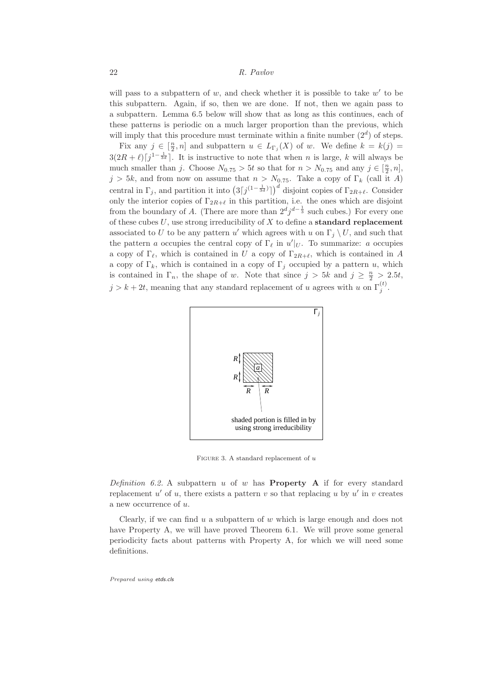will pass to a subpattern of  $w$ , and check whether it is possible to take  $w'$  to be this subpattern. Again, if so, then we are done. If not, then we again pass to a subpattern. Lemma 6.5 below will show that as long as this continues, each of these patterns is periodic on a much larger proportion than the previous, which will imply that this procedure must terminate within a finite number  $(2<sup>d</sup>)$  of steps.

Fix any  $j \in \left[\frac{n}{2}, n\right]$  and subpattern  $u \in L_{\Gamma_j}(X)$  of w. We define  $k = k(j)$  $3(2R+\ell)\lceil j^{1-\frac{1}{3d}}\rceil$ . It is instructive to note that when n is large, k will always be much smaller than j. Choose  $N_{0.75} > 5t$  so that for  $n > N_{0.75}$  and any  $j \in [\frac{n}{2}, n]$ ,  $j > 5k$ , and from now on assume that  $n > N_{0.75}$ . Take a copy of  $\Gamma_k$  (call it A) central in  $\Gamma_j$ , and partition it into  $(3[j^{(1-\frac{1}{3d})}])^d$  disjoint copies of  $\Gamma_{2R+\ell}$ . Consider only the interior copies of  $\Gamma_{2R+\ell}$  in this partition, i.e. the ones which are disjoint from the boundary of A. (There are more than  $2^d j^{d-\frac{1}{3}}$  such cubes.) For every one of these cubes  $U$ , use strong irreducibility of  $X$  to define a **standard replacement** associated to U to be any pattern u' which agrees with u on  $\Gamma_j \setminus U$ , and such that the pattern a occupies the central copy of  $\Gamma_{\ell}$  in  $u'|_{U}$ . To summarize: a occupies a copy of  $\Gamma_{\ell}$ , which is contained in U a copy of  $\Gamma_{2R+\ell}$ , which is contained in A a copy of  $\Gamma_k$ , which is contained in a copy of  $\Gamma_i$  occupied by a pattern u, which is contained in  $\Gamma_n$ , the shape of w. Note that since  $j > 5k$  and  $j \geq \frac{n}{2} > 2.5t$ ,  $j > k + 2t$ , meaning that any standard replacement of u agrees with u on  $\Gamma_j^{(t)}$ .



FIGURE 3. A standard replacement of  $u$ 

Definition 6.2. A subpattern u of w has **Property A** if for every standard replacement  $u'$  of  $u$ , there exists a pattern  $v$  so that replacing  $u$  by  $u'$  in  $v$  creates a new occurrence of u.

Clearly, if we can find  $u$  a subpattern of  $w$  which is large enough and does not have Property A, we will have proved Theorem 6.1. We will prove some general periodicity facts about patterns with Property A, for which we will need some definitions.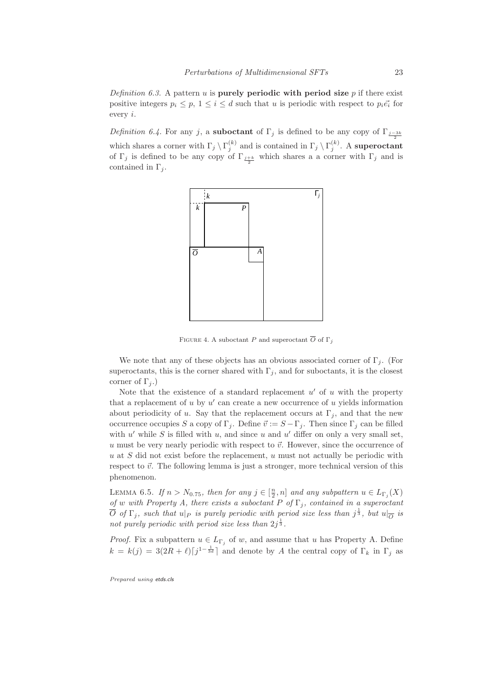Definition 6.3. A pattern u is purely periodic with period size  $p$  if there exist positive integers  $p_i \leq p$ ,  $1 \leq i \leq d$  such that u is periodic with respect to  $p_i \vec{e_i}$  for every i.

Definition 6.4. For any j, a **suboctant** of  $\Gamma_i$  is defined to be any copy of  $\Gamma_{i-3k}$ which shares a corner with  $\Gamma_j \setminus \Gamma_j^{(k)}$  and is contained in  $\Gamma_j \setminus \Gamma_j^{(k)}$ . A superoctant of  $\Gamma_j$  is defined to be any copy of  $\Gamma_{\frac{j+k}{2}}$  which shares a a corner with  $\Gamma_j$  and is contained in  $\Gamma_i$ .



FIGURE 4. A suboctant P and superoctant  $\overline{O}$  of  $\Gamma_i$ 

We note that any of these objects has an obvious associated corner of  $\Gamma_j$ . (For superoctants, this is the corner shared with  $\Gamma_i$ , and for suboctants, it is the closest corner of  $\Gamma_i$ .)

Note that the existence of a standard replacement  $u'$  of u with the property that a replacement of  $u$  by  $u'$  can create a new occurrence of  $u$  yields information about periodicity of u. Say that the replacement occurs at  $\Gamma_i$ , and that the new occurrence occupies S a copy of  $\Gamma_i$ . Define  $\vec{v} := S - \Gamma_i$ . Then since  $\Gamma_i$  can be filled with u' while S is filled with u, and since u and u' differ on only a very small set, u must be very nearly periodic with respect to  $\vec{v}$ . However, since the occurrence of  $u$  at S did not exist before the replacement,  $u$  must not actually be periodic with respect to  $\vec{v}$ . The following lemma is just a stronger, more technical version of this phenomenon.

LEMMA 6.5. If  $n > N_{0.75}$ , then for any  $j \in [\frac{n}{2}, n]$  and any subpattern  $u \in L_{\Gamma_j}(X)$ of w with Property A, there exists a suboctant P of  $\Gamma_j$ , contained in a superoctant  $\overline{O}$  of  $\Gamma_j$ , such that  $u|_P$  is purely periodic with period size less than  $j^{\frac{1}{3}}$ , but  $u|_{\overline{O}}$  is not purely periodic with period size less than  $2j^{\frac{1}{3}}$ .

*Proof.* Fix a subpattern  $u \in L_{\Gamma_j}$  of w, and assume that u has Property A. Define  $k = k(j) = 3(2R + \ell)\left[j^{1-\frac{1}{3d}}\right]$  and denote by A the central copy of  $\Gamma_k$  in  $\Gamma_j$  as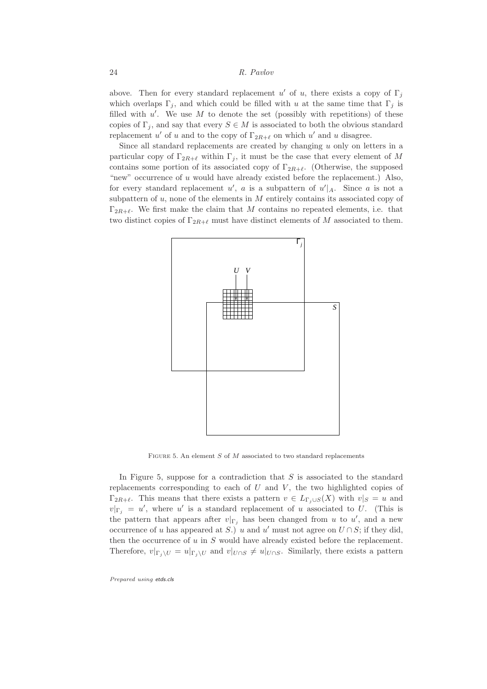above. Then for every standard replacement u' of u, there exists a copy of  $\Gamma_j$ which overlaps  $\Gamma_i$ , and which could be filled with u at the same time that  $\Gamma_i$  is filled with  $u'$ . We use M to denote the set (possibly with repetitions) of these copies of  $\Gamma_j$ , and say that every  $S \in M$  is associated to both the obvious standard replacement u' of u and to the copy of  $\Gamma_{2R+\ell}$  on which u' and u disagree.

Since all standard replacements are created by changing u only on letters in a particular copy of  $\Gamma_{2R+\ell}$  within  $\Gamma_i$ , it must be the case that every element of M contains some portion of its associated copy of  $\Gamma_{2R+\ell}$ . (Otherwise, the supposed "new" occurrence of u would have already existed before the replacement.) Also, for every standard replacement  $u'$ , a is a subpattern of  $u'|_A$ . Since a is not a subpattern of  $u$ , none of the elements in  $M$  entirely contains its associated copy of  $\Gamma_{2R+\ell}$ . We first make the claim that M contains no repeated elements, i.e. that two distinct copies of  $\Gamma_{2R+\ell}$  must have distinct elements of M associated to them.



FIGURE 5. An element  $S$  of  $M$  associated to two standard replacements

In Figure 5, suppose for a contradiction that  $S$  is associated to the standard replacements corresponding to each of  $U$  and  $V$ , the two highlighted copies of  $\Gamma_{2R+\ell}$ . This means that there exists a pattern  $v \in L_{\Gamma_i \cup S}(X)$  with  $v|_S = u$  and  $v|_{\Gamma_j} = u'$ , where u' is a standard replacement of u associated to U. (This is the pattern that appears after  $v|_{\Gamma_j}$  has been changed from u to u', and a new occurrence of u has appeared at S.) u and u' must not agree on  $U \cap S$ ; if they did, then the occurrence of  $u$  in  $S$  would have already existed before the replacement. Therefore,  $v|_{\Gamma_i \setminus U} = u|_{\Gamma_i \setminus U}$  and  $v|_{U \cap S} \neq u|_{U \cap S}$ . Similarly, there exists a pattern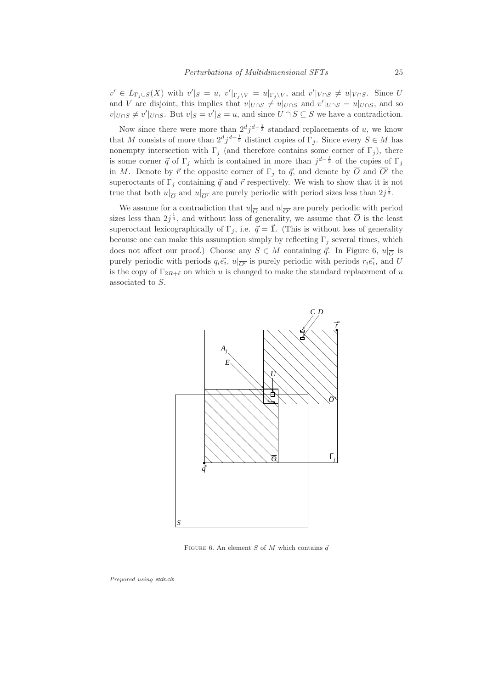$v' \in L_{\Gamma_j \cup S}(X)$  with  $v'|_S = u$ ,  $v'|_{\Gamma_j \setminus V} = u|_{\Gamma_j \setminus V}$ , and  $v'|_{V \cap S} \neq u|_{V \cap S}$ . Since U and V are disjoint, this implies that  $v|_{U \cap S} \neq u|_{U \cap S}$  and  $v'|_{U \cap S} = u|_{U \cap S}$ , and so  $v|_{U\cap S} \neq v'|_{U\cap S}$ . But  $v|_{S} = v'|_{S} = u$ , and since  $U \cap S \subseteq S$  we have a contradiction.

Now since there were more than  $2^d j^{d-\frac{1}{3}}$  standard replacements of u, we know that M consists of more than  $2^d j^{d-\frac{1}{3}}$  distinct copies of  $\Gamma_j$ . Since every  $S \in M$  has nonempty intersection with  $\Gamma_j$  (and therefore contains some corner of  $\Gamma_j$ ), there is some corner  $\vec{q}$  of  $\Gamma_j$  which is contained in more than  $j^{d-\frac{1}{3}}$  of the copies of  $\Gamma_j$ in M. Denote by  $\vec{r}$  the opposite corner of  $\Gamma_j$  to  $\vec{q}$ , and denote by  $\overline{O}$  and  $\overline{O'}$  the superoctants of  $\Gamma_j$  containing  $\vec{q}$  and  $\vec{r}$  respectively. We wish to show that it is not true that both  $u|_{\overline{O}}$  and  $u|_{\overline{O'}}$  are purely periodic with period sizes less than  $2j^{\frac{1}{3}}$ .

We assume for a contradiction that  $u|_{\overline{O}}$  and  $u|_{\overline{O'}}$  are purely periodic with period sizes less than  $2j^{\frac{1}{3}}$ , and without loss of generality, we assume that  $\overline{O}$  is the least superoctant lexicographically of  $\Gamma_i$ , i.e.  $\vec{q} = \vec{1}$ . (This is without loss of generality because one can make this assumption simply by reflecting  $\Gamma_i$  several times, which does not affect our proof.) Choose any  $S \in M$  containing  $\vec{q}$ . In Figure 6,  $u|_{\overline{O}}$  is purely periodic with periods  $q_i \vec{e_i}$ ,  $u|_{\overline{O'}}$  is purely periodic with periods  $r_i \vec{e_i}$ , and U is the copy of  $\Gamma_{2R+\ell}$  on which u is changed to make the standard replacement of u associated to S.



FIGURE 6. An element S of M which contains  $\vec{q}$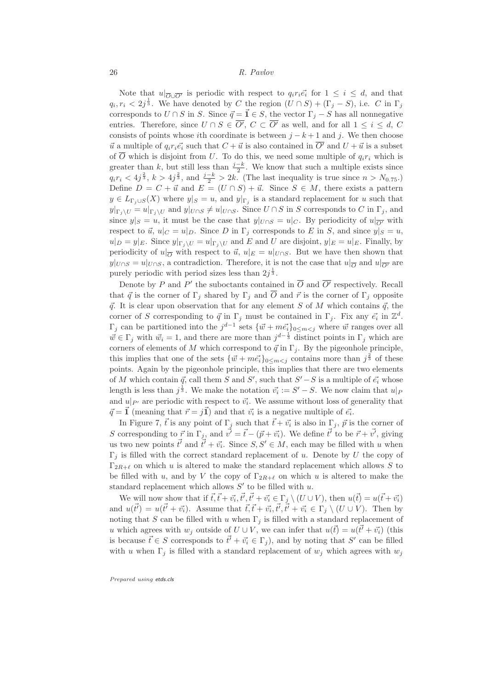Note that  $u|_{\overline{O} \cup \overline{O'}}$  is periodic with respect to  $q_i r_i \vec{e_i}$  for  $1 \leq i \leq d$ , and that  $q_i, r_i < 2j^{\frac{1}{3}}$ . We have denoted by C the region  $(U \cap S) + (\Gamma_j - S)$ , i.e. C in  $\Gamma_j$ corresponds to  $U \cap S$  in S. Since  $\vec{q} = \vec{1} \in S$ , the vector  $\Gamma_j - S$  has all nonnegative entries. Therefore, since  $U \cap S \in O'$ ,  $C \subset O'$  as well, and for all  $1 \leq i \leq d$ ,  $C$ consists of points whose ith coordinate is between  $j - k + 1$  and j. We then choose  $\vec{u}$  a multiple of  $q_i r_i \vec{e_i}$  such that  $C + \vec{u}$  is also contained in  $\overline{O'}$  and  $U + \vec{u}$  is a subset of  $\overline{O}$  which is disjoint from U. To do this, we need some multiple of  $q_i r_i$  which is greater than k, but still less than  $\frac{j-k}{2}$ . We know that such a multiple exists since  $q_i r_i < 4j^{\frac{2}{3}}, k > 4j^{\frac{2}{3}}, \text{ and } \frac{j-k}{2} > 2k.$  (The last inequality is true since  $n > N_{0.75}$ .) Define  $D = C + \vec{u}$  and  $E = (U \cap S) + \vec{u}$ . Since  $S \in M$ , there exists a pattern  $y \in L_{\Gamma_j \cup S}(X)$  where  $y|_S = u$ , and  $y|_{\Gamma_j}$  is a standard replacement for u such that  $y|_{\Gamma_i \setminus U} = u|_{\Gamma_i \setminus U}$  and  $y|_{U \cap S} \neq u|_{U \cap S}$ . Since  $U \cap S$  in S corresponds to C in  $\Gamma_j$ , and since  $y|_S = u$ , it must be the case that  $y|_{U \cap S} = u|_C$ . By periodicity of  $u|_{\overline{O'}}$  with respect to  $\vec{u}$ ,  $u|_C = u|_D$ . Since D in  $\Gamma_i$  corresponds to E in S, and since  $y|_S = u$ ,  $u|_D = y|_E$ . Since  $y|_{\Gamma_i \setminus U} = u|_{\Gamma_i \setminus U}$  and E and U are disjoint,  $y|_E = u|_E$ . Finally, by periodicity of  $u|_{\overline{O}}$  with respect to  $\overline{u}$ ,  $u|_E = u|_{U \cap S}$ . But we have then shown that  $y|_{U\cap S} = u|_{U\cap S}$ , a contradiction. Therefore, it is not the case that  $u|_{\overline{O}}$  and  $u|_{\overline{O'}}$  are purely periodic with period sizes less than  $2j^{\frac{1}{3}}$ .

Denote by  $P$  and  $P'$  the suboctants contained in  $O$  and  $O'$  respectively. Recall that  $\vec{q}$  is the corner of  $\Gamma_i$  shared by  $\Gamma_j$  and  $\overline{O}$  and  $\vec{r}$  is the corner of  $\Gamma_j$  opposite  $\vec{q}$ . It is clear upon observation that for any element S of M which contains  $\vec{q}$ , the corner of S corresponding to  $\vec{q}$  in  $\Gamma_j$  must be contained in  $\Gamma_j$ . Fix any  $\vec{e_i}$  in  $\mathbb{Z}^d$ .  $\Gamma_j$  can be partitioned into the  $j^{d-1}$  sets  $\{\vec{w} + m\vec{e_i}\}_{0 \leq m \leq j}$  where  $\vec{w}$  ranges over all  $\vec{w} \in \Gamma_j$  with  $\vec{w}_i = 1$ , and there are more than  $j^{d-\frac{1}{3}}$  distinct points in  $\Gamma_j$  which are corners of elements of M which correspond to  $\vec{q}$  in  $\Gamma_i$ . By the pigeonhole principle, this implies that one of the sets  $\{\vec{w} + m\vec{e_i}\}_{0 \leq m < j}$  contains more than  $j^{\frac{2}{3}}$  of these points. Again by the pigeonhole principle, this implies that there are two elements of M which contain  $\vec{q}$ , call them S and S', such that  $S'-S$  is a multiple of  $\vec{e_i}$  whose length is less than  $j^{\frac{1}{3}}$ . We make the notation  $\vec{v_i} := S' - S$ . We now claim that  $u|_P$ and  $u|_{P'}$  are periodic with respect to  $\vec{v_i}$ . We assume without loss of generality that  $\vec{q} = \vec{1}$  (meaning that  $\vec{r} = j\vec{1}$ ) and that  $\vec{v_i}$  is a negative multiple of  $\vec{e_i}$ .

In Figure 7,  $\vec{t}$  is any point of  $\Gamma_j$  such that  $\vec{t} + \vec{v_i}$  is also in  $\Gamma_j$ ,  $\vec{p}$  is the corner of S corresponding to  $\vec{r}$  in  $\Gamma_{\underline{j}}$ , and  $\vec{v'} = \vec{t} - (\vec{p} + \vec{v_i})$ . We define  $\vec{t'}$  to be  $\vec{r} + \vec{v'}$ , giving us two new points  $\vec{t'}$  and  $\vec{t'} + \vec{v_i}$ . Since  $S, S' \in M$ , each may be filled with u when  $\Gamma_i$  is filled with the correct standard replacement of u. Denote by U the copy of  $\Gamma_{2R+\ell}$  on which u is altered to make the standard replacement which allows S to be filled with u, and by V the copy of  $\Gamma_{2R+\ell}$  on which u is altered to make the standard replacement which allows  $S'$  to be filled with u.

We will now show that if  $\vec{t}, \vec{t} + \vec{v_i}, \vec{t'}, \vec{t'} + \vec{v_i} \in \Gamma_j \setminus (U \cup V)$ , then  $u(\vec{t}) = u(\vec{t} + \vec{v_i})$ and  $u(\vec{t}) = u(\vec{t'} + \vec{v_i})$ . Assume that  $\vec{t}, \vec{t} + \vec{v_i}, \vec{t'}, \vec{t'} + \vec{v_i} \in \Gamma_j \setminus (U \cup V)$ . Then by noting that S can be filled with u when  $\Gamma_j$  is filled with a standard replacement of u which agrees with  $w_j$  outside of  $U \cup V$ , we can infer that  $u(\vec{t}) = u(\vec{t'} + \vec{v_i})$  (this is because  $\vec{t} \in S$  corresponds to  $\vec{t'} + \vec{v_i} \in \Gamma_j$ , and by noting that  $S'$  can be filled with u when  $\Gamma_i$  is filled with a standard replacement of  $w_i$  which agrees with  $w_i$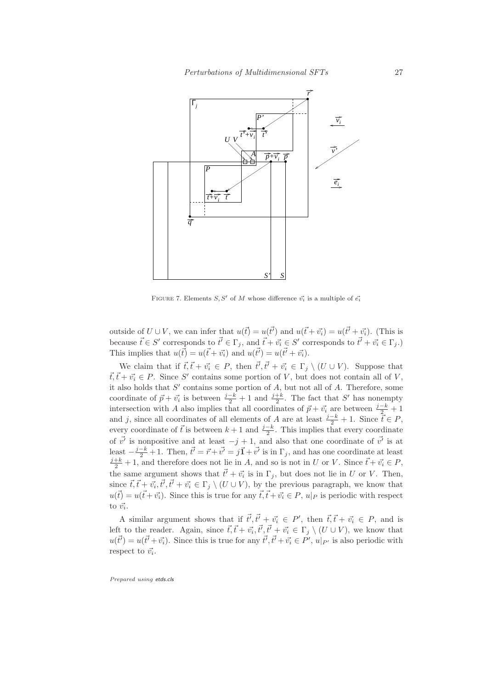

FIGURE 7. Elements  $S, S'$  of M whose difference  $\vec{v_i}$  is a multiple of  $\vec{e_i}$ 

outside of  $U \cup V$ , we can infer that  $u(\vec{t}) = u(\vec{t'})$  and  $u(\vec{t} + \vec{v_i}) = u(\vec{t'} + \vec{v_i})$ . (This is because  $\vec{t} \in S'$  corresponds to  $\vec{t'} \in \Gamma_j$ , and  $\vec{t} + \vec{v_i} \in S'$  corresponds to  $\vec{t'} + \vec{v_i} \in \Gamma_j$ . This implies that  $u(\vec{t}) = u(\vec{t} + \vec{v_i})$  and  $u(\vec{t'}) = u(\vec{t'} + \vec{v_i}).$ 

We claim that if  $\vec{t}, \vec{t} + \vec{v_i} \in P$ , then  $\vec{t'}, \vec{t'} + \vec{v_i} \in \Gamma_j \setminus (U \cup V)$ . Suppose that  $\vec{t}, \vec{t} + \vec{v_i} \in P$ . Since S' contains some portion of V, but does not contain all of V, it also holds that  $S'$  contains some portion of  $A$ , but not all of  $A$ . Therefore, some coordinate of  $\vec{p} + \vec{v_i}$  is between  $\frac{j-k}{2} + 1$  and  $\frac{j+k}{2}$ . The fact that S' has nonempty intersection with A also implies that all coordinates of  $\vec{p} + \vec{v_i}$  are between  $\frac{j-k}{2} + 1$ and j, since all coordinates of all elements of A are at least  $\frac{j-k}{2} + 1$ . Since  $\overline{t} \in P$ , every coordinate of  $\vec{t}$  is between  $k + 1$  and  $\frac{j-k}{2}$ . This implies that every coordinate of  $\vec{v'}$  is nonpositive and at least  $-j+1$ , and also that one coordinate of  $\vec{v'}$  is at least  $-\frac{j-k}{2}+1$ . Then,  $\vec{t'} = \vec{r} + \vec{v'} = j\vec{1} + \vec{v'}$  is in  $\Gamma_j$ , and has one coordinate at least  $\frac{j+k}{2}+1$ , and therefore does not lie in A, and so is not in U or V. Since  $\vec{t} + \vec{v_i} \in P$ , the same argument shows that  $\vec{t'} + \vec{v_i}$  is in  $\Gamma_j$ , but does not lie in U or V. Then, since  $\vec{t}, \vec{t} + \vec{v_i}, \vec{t'}, \vec{t'} + \vec{v_i} \in \Gamma_j \setminus (U \cup V)$ , by the previous paragraph, we know that  $u(\vec{t}) = u(\vec{t} + \vec{v_i})$ . Since this is true for any  $\vec{t}, \vec{t} + \vec{v_i} \in P$ ,  $u|_P$  is periodic with respect to  $\vec{v_i}$ .

A similar argument shows that if  $\vec{t'}, \vec{t'} + \vec{v_i} \in P'$ , then  $\vec{t}, \vec{t} + \vec{v_i} \in P$ , and is left to the reader. Again, since  $\vec{t}, \vec{t} + \vec{v_i}, \vec{t'}, \vec{t'} + \vec{v_i} \in \Gamma_j \setminus (U \cup V)$ , we know that  $u(\vec{t}) = u(\vec{t'} + \vec{v_i})$ . Since this is true for any  $\vec{t'}, \vec{t'} + \vec{v_i} \in P', u|_{P'}$  is also periodic with respect to  $\vec{v_i}$ .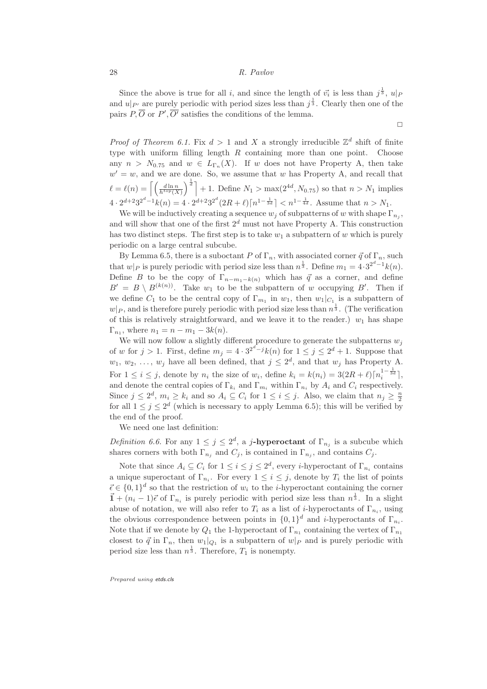Since the above is true for all i, and since the length of  $\vec{v_i}$  is less than  $j^{\frac{1}{3}}$ ,  $u|_P$ and  $u|_{P'}$  are purely periodic with period sizes less than  $j^{\frac{1}{3}}$ . Clearly then one of the pairs  $P, O$  or  $P', O'$  satisfies the conditions of the lemma.

 $\Box$ 

*Proof of Theorem 6.1.* Fix  $d > 1$  and X a strongly irreducible  $\mathbb{Z}^d$  shift of finite type with uniform filling length  $R$  containing more than one point. Choose any  $n > N_{0.75}$  and  $w \in L_{\Gamma_n}(X)$ . If w does not have Property A, then take  $w' = w$ , and we are done. So, we assume that w has Property A, and recall that  $\ell = \ell(n) = \left\lceil \left( \frac{d \ln n}{h^{top}(X)} \right) \right\rceil$  $\int_0^{\frac{1}{d}}$  + 1. Define  $N_1 > \max(2^{4d}, N_{0.75})$  so that  $n > N_1$  implies  $4 \cdot 2^{d+2} 3^{2^d-1} k(n) = 4 \cdot 2^{d+2} 3^{2^d} (2R+\ell) \lceil n^{1-\frac{1}{3d}} \rceil < n^{1-\frac{1}{4d}}$ . Assume that  $n > N_1$ .

We will be inductively creating a sequence  $w_j$  of subpatterns of w with shape  $\Gamma_{n_j}$ , and will show that one of the first  $2^d$  must not have Property A. This construction has two distinct steps. The first step is to take  $w_1$  a subpattern of w which is purely periodic on a large central subcube.

By Lemma 6.5, there is a suboctant P of  $\Gamma_n$ , with associated corner  $\vec{q}$  of  $\Gamma_n$ , such that  $w|_P$  is purely periodic with period size less than  $n^{\frac{1}{3}}$ . Define  $m_1 = 4 \cdot 3^{2^d - 1} k(n)$ . Define B to be the copy of  $\Gamma_{n-m_1-k(n)}$  which has  $\vec{q}$  as a corner, and define  $B' = B \setminus B^{(k(n))}$ . Take  $w_1$  to be the subpattern of w occupying B'. Then if we define  $C_1$  to be the central copy of  $\Gamma_{m_1}$  in  $w_1$ , then  $w_1|_{C_{1_1}}$  is a subpattern of  $w|_P$ , and is therefore purely periodic with period size less than  $n^{\frac{1}{3}}$ . (The verification of this is relatively straightforward, and we leave it to the reader.)  $w_1$  has shape  $\Gamma_{n_1}$ , where  $n_1 = n - m_1 - 3k(n)$ .

We will now follow a slightly different procedure to generate the subpatterns  $w_j$ of w for  $j > 1$ . First, define  $m_j = 4 \cdot 3^{2^d - j} k(n)$  for  $1 \le j \le 2^d + 1$ . Suppose that  $w_1, w_2, \ldots, w_j$  have all been defined, that  $j \leq 2^d$ , and that  $w_j$  has Property A. For  $1 \leq i \leq j$ , denote by  $n_i$  the size of  $w_i$ , define  $k_i = k(n_i) = 3(2R+\ell)\lceil n_i^{1-\frac{1}{3d}} \rceil$ , and denote the central copies of  $\Gamma_{k_i}$  and  $\Gamma_{m_i}$  within  $\Gamma_{n_i}$  by  $A_i$  and  $C_i$  respectively. Since  $j \leq 2^d$ ,  $m_i \geq k_i$  and so  $A_i \subseteq C_i$  for  $1 \leq i \leq j$ . Also, we claim that  $n_j \geq \frac{n}{2}$ for all  $1 \leq j \leq 2^d$  (which is necessary to apply Lemma 6.5); this will be verified by the end of the proof.

We need one last definition:

*Definition 6.6.* For any  $1 \leq j \leq 2^d$ , a j-hyperoctant of  $\Gamma_{n_j}$  is a subcube which shares corners with both  $\Gamma_{n_j}$  and  $C_j$ , is contained in  $\Gamma_{n_j}$ , and contains  $C_j$ .

Note that since  $A_i \subseteq C_i$  for  $1 \leq i \leq j \leq 2^d$ , every *i*-hyperoctant of  $\Gamma_{n_i}$  contains a unique superoctant of  $\Gamma_{n_i}$ . For every  $1 \leq i \leq j$ , denote by  $T_i$  the list of points  $\vec{\epsilon} \in \{0,1\}^d$  so that the restriction of  $w_i$  to the *i*-hyperoctant containing the corner  $\vec{1} + (n_i - 1)\vec{\epsilon}$  of  $\Gamma_{n_i}$  is purely periodic with period size less than  $n^{\frac{1}{3}}$ . In a slight abuse of notation, we will also refer to  $T_i$  as a list of *i*-hyperoctants of  $\Gamma_{n_i}$ , using the obvious correspondence between points in  $\{0,1\}^d$  and *i*-hyperoctants of  $\Gamma_{n_i}$ . Note that if we denote by  $Q_1$  the 1-hyperoctant of  $\Gamma_{n_1}$  containing the vertex of  $\Gamma_{n_1}$ closest to  $\vec{q}$  in  $\Gamma_n$ , then  $w_1|_{Q_1}$  is a subpattern of  $w|_P$  and is purely periodic with period size less than  $n^{\frac{1}{3}}$ . Therefore,  $T_1$  is nonempty.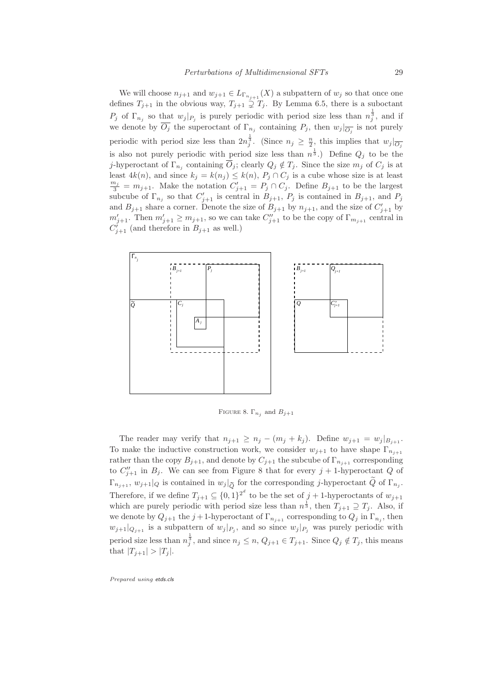We will choose  $n_{j+1}$  and  $w_{j+1} \in L_{\Gamma_{n_{j+1}}}(X)$  a subpattern of  $w_j$  so that once one defines  $T_{j+1}$  in the obvious way,  $T_{j+1} \supsetneq T_j$ . By Lemma 6.5, there is a suboctant  $P_j$  of  $\Gamma_{n_j}$  so that  $w_j|_{P_j}$  is purely periodic with period size less than  $n_j^{\frac{1}{3}}$ , and if we denote by  $O_j$  the superoctant of  $\Gamma_{n_j}$  containing  $P_j$ , then  $w_j|_{\overline{O_j}}$  is not purely periodic with period size less than  $2n_j^{\frac{1}{3}}$ . (Since  $n_j \geq \frac{n}{2}$ , this implies that  $w_j|_{\overline{O_j}}$ is also not purely periodic with period size less than  $n^{\frac{1}{3}}$ . Define  $Q_j$  to be the j-hyperoctant of  $\Gamma_{n_j}$  containing  $O_j$ ; clearly  $Q_j \notin T_j$ . Since the size  $m_j$  of  $C_j$  is at least  $4k(n)$ , and since  $k_j = k(n_j) \leq k(n)$ ,  $P_j \cap C_j$  is a cube whose size is at least  $\frac{m_j}{3} = m_{j+1}$ . Make the notation  $C'_{j+1} = P_j \cap C_j$ . Define  $B_{j+1}$  to be the largest subcube of  $\Gamma_{n_j}$  so that  $C'_{j+1}$  is central in  $B_{j+1}$ ,  $P_j$  is contained in  $B_{j+1}$ , and  $P_j$ and  $B_{j+1}$  share a corner. Denote the size of  $B_{j+1}$  by  $n_{j+1}$ , and the size of  $C'_{j+1}$  by  $m'_{j+1}$ . Then  $m'_{j+1} \ge m_{j+1}$ , so we can take  $C''_{j+1}$  to be the copy of  $\Gamma_{m_{j+1}}$  central in  $C'_{j+1}$  (and therefore in  $B_{j+1}$  as well.)



FIGURE 8.  $\Gamma_{n_j}$  and  $B_{j+1}$ 

The reader may verify that  $n_{j+1} \geq n_j - (m_j + k_j)$ . Define  $w_{j+1} = w_j |_{B_{j+1}}$ . To make the inductive construction work, we consider  $w_{j+1}$  to have shape  $\Gamma_{n_{j+1}}$ rather than the copy  $B_{j+1}$ , and denote by  $C_{j+1}$  the subcube of  $\Gamma_{n_{j+1}}$  corresponding to  $C''_{j+1}$  in  $B_j$ . We can see from Figure 8 that for every  $j+1$ -hyperoctant Q of  $\Gamma_{n_{j+1}}, w_{j+1}|_Q$  is contained in  $w_j|_{\widetilde{Q}}$  for the corresponding j-hyperoctant  $Q$  of  $\Gamma_{n_j}$ . Therefore, if we define  $T_{j+1} \subseteq \{0,1\}^{2^d}$  to be the set of  $j+1$ -hyperoctants of  $w_{j+1}$ which are purely periodic with period size less than  $n^{\frac{1}{3}}$ , then  $T_{j+1} \supseteq T_j$ . Also, if we denote by  $Q_{j+1}$  the  $j+1$ -hyperoctant of  $\Gamma_{n_{j+1}}$  corresponding to  $Q_j$  in  $\Gamma_{n_j}$ , then  $w_{j+1}|_{Q_{j+1}}$  is a subpattern of  $w_j|_{P_j}$ , and so since  $w_j|_{P_j}$  was purely periodic with period size less than  $n_j^{\frac{1}{3}}$ , and since  $n_j \leq n$ ,  $Q_{j+1} \in T_{j+1}$ . Since  $Q_j \notin T_j$ , this means that  $|T_{j+1}| > |T_j|$ .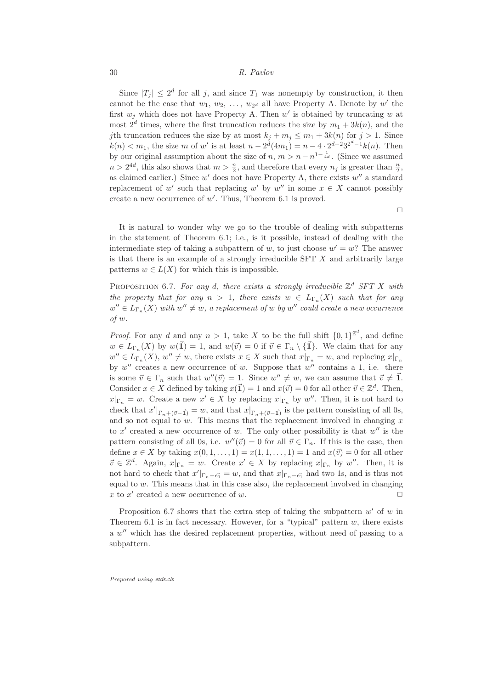Since  $|T_j| \leq 2^d$  for all j, and since  $T_1$  was nonempty by construction, it then cannot be the case that  $w_1, w_2, \ldots, w_{2^d}$  all have Property A. Denote by  $w'$  the first  $w_j$  which does not have Property A. Then w' is obtained by truncating w at most  $2^d$  times, where the first truncation reduces the size by  $m_1 + 3k(n)$ , and the jth truncation reduces the size by at most  $k_j + m_j \leq m_1 + 3k(n)$  for  $j > 1$ . Since  $k(n) < m_1$ , the size m of w' is at least  $n - 2^d(4m_1) = n - 4 \cdot 2^{d+2} 3^{2^d-1} k(n)$ . Then by our original assumption about the size of  $n, m > n - n^{1 - \frac{1}{4d}}$ . (Since we assumed  $n > 2^{4d}$ , this also shows that  $m > \frac{n}{2}$ , and therefore that every  $n_j$  is greater than  $\frac{n}{2}$ , as claimed earlier.) Since  $w'$  does not have Property A, there exists  $w''$  a standard replacement of w' such that replacing w' by w'' in some  $x \in X$  cannot possibly create a new occurrence of  $w'$ . Thus, Theorem 6.1 is proved.

 $\Box$ 

It is natural to wonder why we go to the trouble of dealing with subpatterns in the statement of Theorem 6.1; i.e., is it possible, instead of dealing with the intermediate step of taking a subpattern of w, to just choose  $w' = w$ ? The answer is that there is an example of a strongly irreducible  $SFT X$  and arbitrarily large patterns  $w \in L(X)$  for which this is impossible.

PROPOSITION 6.7. For any d, there exists a strongly irreducible  $\mathbb{Z}^d$  SFT X with the property that for any  $n > 1$ , there exists  $w \in L_{\Gamma_n}(X)$  such that for any  $w'' \in L_{\Gamma_n}(X)$  with  $w'' \neq w$ , a replacement of w by  $w''$  could create a new occurrence of w.

*Proof.* For any d and any  $n > 1$ , take X to be the full shift  $\{0,1\}^{\mathbb{Z}^d}$ , and define  $w \in L_{\Gamma_n}(X)$  by  $w(\vec{1}) = 1$ , and  $w(\vec{v}) = 0$  if  $\vec{v} \in \Gamma_n \setminus {\{\vec{1}\}}$ . We claim that for any  $w'' \in L_{\Gamma_n}(X)$ ,  $w'' \neq w$ , there exists  $x \in X$  such that  $x|_{\Gamma_n} = w$ , and replacing  $x|_{\Gamma_n}$ by  $w''$  creates a new occurrence of w. Suppose that  $w''$  contains a 1, i.e. there is some  $\vec{v} \in \Gamma_n$  such that  $w''(\vec{v}) = 1$ . Since  $w'' \neq w$ , we can assume that  $\vec{v} \neq 1$ . Consider  $x \in X$  defined by taking  $x(\mathbf{I}) = 1$  and  $x(\vec{v}) = 0$  for all other  $\vec{v} \in \mathbb{Z}^d$ . Then,  $x|_{\Gamma_n} = w$ . Create a new  $x' \in X$  by replacing  $x|_{\Gamma_n}$  by  $w''$ . Then, it is not hard to check that  $x'|_{\Gamma_n + (\vec{v}-\vec{1})} = w$ , and that  $x|_{\Gamma_n + (\vec{v}-\vec{1})}$  is the pattern consisting of all 0s, and so not equal to  $w$ . This means that the replacement involved in changing  $x$ to x' created a new occurrence of w. The only other possibility is that  $w''$  is the pattern consisting of all 0s, i.e.  $w''(\vec{v}) = 0$  for all  $\vec{v} \in \Gamma_n$ . If this is the case, then define  $x \in X$  by taking  $x(0, 1, \ldots, 1) = x(1, 1, \ldots, 1) = 1$  and  $x(\vec{v}) = 0$  for all other  $\vec{v} \in \mathbb{Z}^d$ . Again,  $x|_{\Gamma_n} = w$ . Create  $x' \in X$  by replacing  $x|_{\Gamma_n}$  by  $w''$ . Then, it is not hard to check that  $x'|_{\Gamma_n - \vec{e_1}} = w$ , and that  $x|_{\Gamma_n - \vec{e_1}}$  had two 1s, and is thus not equal to  $w$ . This means that in this case also, the replacement involved in changing x to  $x'$  created a new occurrence of w.

Proposition 6.7 shows that the extra step of taking the subpattern  $w'$  of  $w$  in Theorem 6.1 is in fact necessary. However, for a "typical" pattern  $w$ , there exists a w'' which has the desired replacement properties, without need of passing to a subpattern.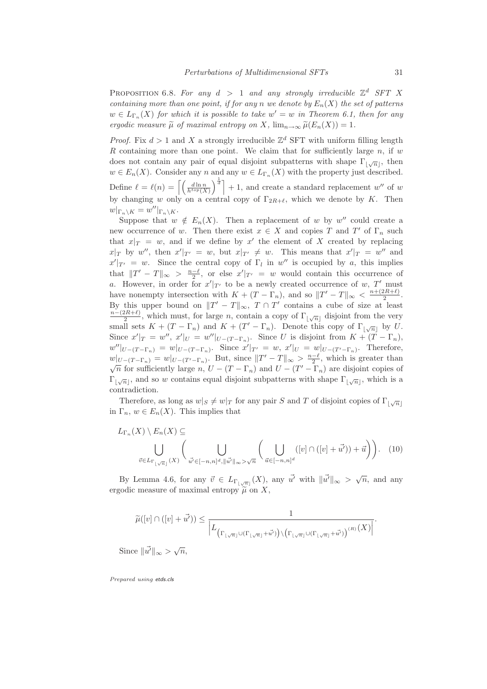PROPOSITION 6.8. For any  $d > 1$  and any strongly irreducible  $\mathbb{Z}^d$  SFT X containing more than one point, if for any n we denote by  $E_n(X)$  the set of patterns  $w \in L_{\Gamma_n}(X)$  for which it is possible to take  $w' = w$  in Theorem 6.1, then for any ergodic measure  $\tilde{\mu}$  of maximal entropy on X,  $\lim_{n\to\infty} \tilde{\mu}(E_n(X)) = 1$ .

*Proof.* Fix  $d > 1$  and X a strongly irreducible  $\mathbb{Z}^d$  SFT with uniform filling length R containing more than one point. We claim that for sufficiently large  $n$ , if  $w$ does not contain any pair of equal disjoint subpatterns with shape  $\Gamma_{\lfloor \sqrt{n} \rfloor}$ , then  $w \in E_n(X)$ . Consider any n and any  $w \in L_{\Gamma_n}(X)$  with the property just described. Define  $\ell = \ell(n) = \left[ \left( \frac{d \ln n}{h^{top}(X)} \right) \right]$  $\int_{0}^{\frac{1}{d}}$  + 1, and create a standard replacement w'' of w by changing w only on a central copy of  $\Gamma_{2R+\ell}$ , which we denote by K. Then  $w|_{\Gamma_n \setminus K} = w''|_{\Gamma_n \setminus K}.$ 

Suppose that  $w \notin E_n(X)$ . Then a replacement of w by w'' could create a new occurrence of w. Then there exist  $x \in X$  and copies T and T' of  $\Gamma_n$  such that  $x|_T = w$ , and if we define by x' the element of X created by replacing  $x|_T$  by w'', then  $x'|_{T'} = w$ , but  $x|_{T'} \neq w$ . This means that  $x'|_T = w''$  and  $x'|_{T'} = w$ . Since the central copy of  $\Gamma_l$  in w'' is occupied by a, this implies that  $||T' - T||_{\infty} > \frac{n-\ell}{2}$ , or else  $x'|_{T'} = w$  would contain this occurrence of a. However, in order for  $x'|_{T'}$  to be a newly created occurrence of  $w, T'$  must have nonempty intersection with  $K + (T - \Gamma_n)$ , and so  $||T' - T||_{\infty} < \frac{n + (2R + \ell)}{2}$  $\frac{\zeta R + \zeta}{2}$ . By this upper bound on  $||T' - T||_{\infty}$ ,  $T \cap T'$  contains a cube of size at least  $\frac{n-(2R+\ell)}{2}$ , which must, for large *n*, contain a copy of  $\Gamma_{\lfloor \sqrt{n} \rfloor}$  disjoint from the very small sets  $K + (T - \Gamma_n)$  and  $K + (T' - \Gamma_n)$ . Denote this copy of  $\Gamma_{\lfloor \sqrt{n} \rfloor}$  by U. Since  $x'|_T = w''$ ,  $x'|_U = w''|_{U-(T-\Gamma_n)}$ . Since U is disjoint from  $K + (T-\Gamma_n)$ ,  $w''|_{U-(T-\Gamma_n)} = w|_{U-(T-\Gamma_n)}$ . Since  $x'|_{T'} = w$ ,  $x'|_{U} = w|_{U-(T'-\Gamma_n)}$ . Therefore,  $w|_{U-(T-\Gamma_n)} = w|_{U-(T'-\Gamma_n)}$ . But, since  $||T'-T||_{\infty} > \frac{n-\ell}{2}$ , which is greater than  $\sqrt{n}$  for sufficiently large n,  $U - (T - \Gamma_n)$  and  $U - (T' - \Gamma_n)$  are disjoint copies of  $\Gamma_{\lfloor \sqrt{n} \rfloor}$ , and so w contains equal disjoint subpatterns with shape  $\Gamma_{\lfloor \sqrt{n} \rfloor}$ , which is a contradiction.

Therefore, as long as  $w|_S \neq w|_T$  for any pair S and T of disjoint copies of  $\Gamma_{\lfloor \sqrt{n} \rfloor}$ in  $\Gamma_n$ ,  $w \in E_n(X)$ . This implies that

$$
L_{\Gamma_n}(X) \setminus E_n(X) \subseteq \bigcup_{\vec{v} \in L_{\Gamma \cup \sqrt{n}}} \left( \bigcup_{\vec{w'} \in [-n,n]^d, \|\vec{w'}\|_{\infty} > \sqrt{n}} \left( \bigcup_{\vec{u} \in [-n,n]^d} ([v] \cap ([v] + \vec{u'})) + \vec{u} \right) \right).
$$
 (10)

By Lemma 4.6, for any  $\vec{v} \in L_{\Gamma_{\lfloor \sqrt{n} \rfloor}}(X)$ , any  $\vec{u'}$  with  $\|\vec{u'}\|_{\infty} > \sqrt{n}$ , and any ergodic measure of maximal entropy  $\tilde{\mu}$  on X,

$$
\widetilde{\mu}([v] \cap ([v] + \overrightarrow{u'})) \le \frac{1}{\left| L_{\left(\Gamma_{\lfloor \sqrt{n} \rfloor} \cup (\Gamma_{\lfloor \sqrt{n} \rfloor} + \overrightarrow{u'}) \right) \setminus \left(\Gamma_{\lfloor \sqrt{n} \rfloor} \cup (\Gamma_{\lfloor \sqrt{n} \rfloor} + \overrightarrow{u'}) \right)^{(\overline{n})} } \right|}.
$$

Since  $\|\vec{u}'\|_{\infty} > \sqrt{n}$ ,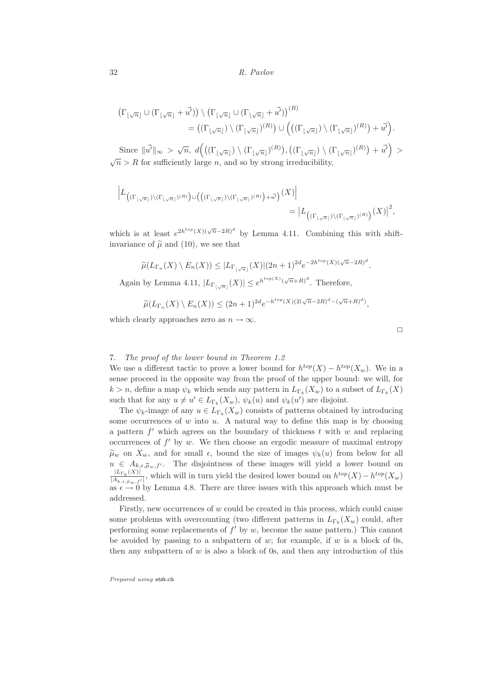$$
\begin{split} \left(\Gamma_{\lfloor \sqrt{n} \rfloor} \cup (\Gamma_{\lfloor \sqrt{n} \rfloor} + \vec{u'})\right) \setminus \left(\Gamma_{\lfloor \sqrt{n} \rfloor} \cup (\Gamma_{\lfloor \sqrt{n} \rfloor} + \vec{u'})\right)^{(R)} \\ &= \left((\Gamma_{\lfloor \sqrt{n} \rfloor}) \setminus (\Gamma_{\lfloor \sqrt{n} \rfloor})^{(R)}\right) \cup \left(\left((\Gamma_{\lfloor \sqrt{n} \rfloor}) \setminus (\Gamma_{\lfloor \sqrt{n} \rfloor})^{(R)}\right) + \vec{u'}\right). \end{split}
$$

Since  $\|\vec{u'}\|_{\infty} > \sqrt{n}, d\left( ((\Gamma_{\lfloor \sqrt{n} \rfloor}) \setminus (\Gamma_{\lfloor \sqrt{n} \rfloor})^{(R)}), ((\Gamma_{\lfloor \sqrt{n} \rfloor}) \setminus (\Gamma_{\lfloor \sqrt{n} \rfloor})^{(R)}) + \vec{u'} \right) >$  $\sqrt{n}$  > R for sufficiently large n, and so by strong irreducibility,

$$
\left| L_{\left( (\Gamma_{\lfloor \sqrt{n} \rfloor}) \backslash (\Gamma_{\lfloor \sqrt{n} \rfloor})^{(R)} \right) \cup \left( \left( (\Gamma_{\lfloor \sqrt{n} \rfloor}) \backslash (\Gamma_{\lfloor \sqrt{n} \rfloor})^{(R)} \right) + \vec{\omega'} \right)}(X) \right| } \\ = \left| L_{\left( (\Gamma_{\lfloor \sqrt{n} \rfloor}) \backslash (\Gamma_{\lfloor \sqrt{n} \rfloor})^{(R)} \right)}(X) \right|^2,
$$

which is at least  $e^{2h^{top}(X)(\sqrt{n}-2R)^d}$  by Lemma 4.11. Combining this with shiftinvariance of  $\tilde{\mu}$  and (10), we see that

$$
\widetilde{\mu}(L_{\Gamma_n}(X)\setminus E_n(X))\leq |L_{\Gamma_{\lfloor\sqrt{n}\rfloor}}(X)|(2n+1)^{2d}e^{-2h^{top}(X)(\sqrt{n}-2R)^d}.
$$

Again by Lemma 4.11,  $|L_{\Gamma_{\lfloor \sqrt{n} \rfloor}}(X)| \leq e^{h^{top(X)}(\sqrt{n}+R)^d}$ . Therefore,

$$
\widetilde{\mu}(L_{\Gamma_n}(X)\setminus E_n(X)) \le (2n+1)^{2d} e^{-h^{top}(X)(2(\sqrt{n}-2R)^d - (\sqrt{n}+R)^d)},
$$

which clearly approaches zero as  $n \to \infty$ .

# 7. The proof of the lower bound in Theorem 1.2

We use a different tactic to prove a lower bound for  $h^{top}(X) - h^{top}(X_w)$ . We in a sense proceed in the opposite way from the proof of the upper bound: we will, for  $k > n$ , define a map  $\psi_k$  which sends any pattern in  $L_{\Gamma_k}(X_w)$  to a subset of  $L_{\Gamma_k}(X)$ such that for any  $u \neq u' \in L_{\Gamma_k}(X_w)$ ,  $\psi_k(u)$  and  $\psi_k(u')$  are disjoint.

The  $\psi_k$ -image of any  $u \in L_{\Gamma_k}(X_w)$  consists of patterns obtained by introducing some occurrences of  $w$  into  $u$ . A natural way to define this map is by choosing a pattern  $f'$  which agrees on the boundary of thickness t with w and replacing occurrences of  $f'$  by w. We then choose an ergodic measure of maximal entropy  $\tilde{\mu}_w$  on  $X_w$ , and for small  $\epsilon$ , bound the size of images  $\psi_k(u)$  from below for all  $u \in A_{k,\epsilon,\tilde{\mu}_w,f'}$ . The disjointness of these images will yield a lower bound on  $|L_{\Gamma_k}(X)|$  $\frac{|L_{\Gamma_k}(X)|}{|A_{k,\epsilon,\tilde{\mu}_w,f'}|}$ , which will in turn yield the desired lower bound on  $h^{top}(X) - h^{top}(X_w)$ as  $\epsilon \to 0$  by Lemma 4.8. There are three issues with this approach which must be addressed.

Firstly, new occurrences of w could be created in this process, which could cause some problems with overcounting (two different patterns in  $L_{\Gamma_k}(X_w)$  could, after performing some replacements of  $f'$  by  $w$ , become the same pattern.) This cannot be avoided by passing to a subpattern of  $w$ ; for example, if  $w$  is a block of 0s, then any subpattern of  $w$  is also a block of 0s, and then any introduction of this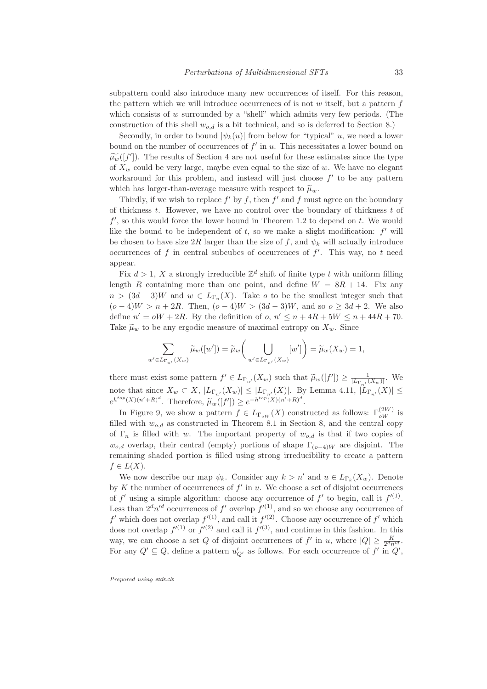subpattern could also introduce many new occurrences of itself. For this reason, the pattern which we will introduce occurrences of is not  $w$  itself, but a pattern  $f$ which consists of  $w$  surrounded by a "shell" which admits very few periods. (The construction of this shell  $w_{o,d}$  is a bit technical, and so is deferred to Section 8.)

Secondly, in order to bound  $|\psi_k(u)|$  from below for "typical" u, we need a lower bound on the number of occurrences of  $f'$  in  $u$ . This necessitates a lower bound on  $\widetilde{\mu_w}([f'])$ . The results of Section 4 are not useful for these estimates since the type of  $X_w$  could be very large, maybe even equal to the size of w. We have no elegant workaround for this problem, and instead will just choose  $f'$  to be any pattern which has larger-than-average measure with respect to  $\tilde{\mu}_w$ .

Thirdly, if we wish to replace  $f'$  by f, then  $f'$  and f must agree on the boundary of thickness  $t$ . However, we have no control over the boundary of thickness  $t$  of  $f'$ , so this would force the lower bound in Theorem 1.2 to depend on t. We would like the bound to be independent of  $t$ , so we make a slight modification:  $f'$  will be chosen to have size 2R larger than the size of f, and  $\psi_k$  will actually introduce occurrences of f in central subcubes of occurrences of  $f'$ . This way, no t need appear.

Fix  $d > 1$ , X a strongly irreducible  $\mathbb{Z}^d$  shift of finite type t with uniform filling length R containing more than one point, and define  $W = 8R + 14$ . Fix any  $n > (3d-3)W$  and  $w \in L_{\Gamma_n}(X)$ . Take o to be the smallest integer such that  $(o-4)W > n + 2R$ . Then,  $(o-4)W > (3d-3)W$ , and so  $o \geq 3d+2$ . We also define  $n' = \omega W + 2R$ . By the definition of  $o, n' \leq n + 4R + 5W \leq n + 44R + 70$ . Take  $\tilde{\mu}_w$  to be any ergodic measure of maximal entropy on  $X_w$ . Since

$$
\sum_{w'\in L_{\Gamma_{n'}}(X_w)}\widetilde{\mu}_w([w'])=\widetilde{\mu}_w\bigg(\bigcup_{w'\in L_{\Gamma_{n'}}(X_w)}[w']\bigg)=\widetilde{\mu}_w(X_w)=1,
$$

there must exist some pattern  $f' \in L_{\Gamma_{n'}}(X_w)$  such that  $\widetilde{\mu}_w([f']) \geq \frac{1}{|L_{\Gamma_{n'}}(X_w)|}$ . We note that since  $X_w \subset X$ ,  $|L_{\Gamma_{n'}}(X_w)| \leq |L_{\Gamma_{n'}}(X)|$ . By Lemma 4.11,  $|L_{\Gamma_{n'}}(X)| \leq$  $e^{h^{top}(X)(n'+R)^d}$ . Therefore,  $\widetilde{\mu}_w([f']) \geq e^{-h^{top}(X)(n'+R)^d}$ .

In Figure 9, we show a pattern  $f \in L_{\Gamma_{oW}}(X)$  constructed as follows:  $\Gamma_{oW}^{(2W)}$  is filled with  $w_{o,d}$  as constructed in Theorem 8.1 in Section 8, and the central copy of  $\Gamma_n$  is filled with w. The important property of  $w_{o,d}$  is that if two copies of  $w_{o,d}$  overlap, their central (empty) portions of shape  $\Gamma_{(o-4)W}$  are disjoint. The remaining shaded portion is filled using strong irreducibility to create a pattern  $f\in L(X).$ 

We now describe our map  $\psi_k$ . Consider any  $k > n'$  and  $u \in L_{\Gamma_k}(X_w)$ . Denote by K the number of occurrences of  $f'$  in u. We choose a set of disjoint occurrences of f' using a simple algorithm: choose any occurrence of f' to begin, call it  $f^{(1)}$ . Less than  $2^d n'^d$  occurrences of  $f'$  overlap  $f^{(1)}$ , and so we choose any occurrence of  $f'$  which does not overlap  $f'(1)$ , and call it  $f'(2)$ . Choose any occurrence of  $f'$  which does not overlap  $f^{(1)}$  or  $f^{(2)}$  and call it  $f^{(3)}$ , and continue in this fashion. In this way, we can choose a set Q of disjoint occurrences of  $f'$  in u, where  $|Q| \geq \frac{K}{2^d n'^d}$ . For any  $Q' \subseteq Q$ , define a pattern  $u'_{Q'}$  as follows. For each occurrence of  $f'$  in  $Q'$ ,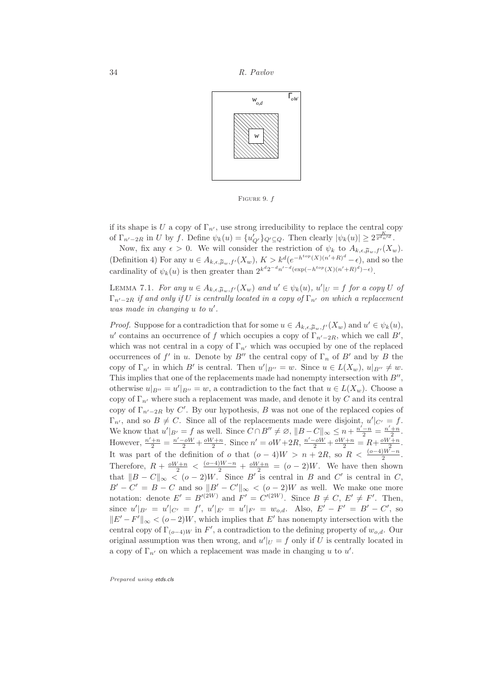

FIGURE 9.  $f$ 

if its shape is U a copy of  $\Gamma_{n'}$ , use strong irreducibility to replace the central copy of  $\Gamma_{n'-2R}$  in U by f. Define  $\psi_k(u) = \{u'_{Q'}\}_{Q' \subseteq Q}$ . Then clearly  $|\psi_k(u)| \geq 2^{\frac{K}{2^d n'^d}}$ .

Now, fix any  $\epsilon > 0$ . We will consider the restriction of  $\psi_k$  to  $A_{k,\epsilon,\tilde{\mu}_w,f'}(X_w)$ . (Definition 4) For any  $u \in A_{k,\epsilon,\tilde{\mu}_w,f'}(X_w), K > k^d (e^{-h^{top}(X)(n'+R)^d} - \epsilon)$ , and so the cardinality of  $\psi_k(u)$  is then greater than  $2^{k^d 2^{-d} n'^{-d} (\exp(-h^{top}(X)(n'+R)^d) - \epsilon)}$ .

LEMMA 7.1. For any  $u \in A_{k,\epsilon,\tilde{\mu}_w,f'}(X_w)$  and  $u' \in \psi_k(u), u'|_{U} = f$  for a copy U of  $\Gamma_{n'-2R}$  if and only if U is centrally located in a copy of  $\Gamma_{n'}$  on which a replacement was made in changing  $u$  to  $u'$ .

*Proof.* Suppose for a contradiction that for some  $u \in A_{k,\epsilon,\tilde{\mu}_w,f'}(X_w)$  and  $u' \in \psi_k(u)$ , u' contains an occurrence of f which occupies a copy of  $\Gamma_{n'-2R}$ , which we call B', which was not central in a copy of  $\Gamma_{n'}$  which was occupied by one of the replaced occurrences of  $f'$  in u. Denote by  $B''$  the central copy of  $\Gamma_n$  of  $B'$  and by B the copy of  $\Gamma_{n'}$  in which B' is central. Then  $u'|_{B''} = w$ . Since  $u \in L(X_w)$ ,  $u|_{B''} \neq w$ . This implies that one of the replacements made had nonempty intersection with  $B''$ , otherwise  $u|_{B''} = u'|_{B''} = w$ , a contradiction to the fact that  $u \in L(X_w)$ . Choose a copy of  $\Gamma_{n'}$  where such a replacement was made, and denote it by C and its central copy of  $\Gamma_{n'-2R}$  by C'. By our hypothesis, B was not one of the replaced copies of  $\Gamma_{n'}$ , and so  $B \neq C$ . Since all of the replacements made were disjoint,  $u'|_{C'} = f$ . We know that  $u'|_{B'} = f$  as well. Since  $C \cap B'' \neq \emptyset$ ,  $||B - C||_{\infty} \leq n + \frac{n'-n}{2} = \frac{n'+n}{2}$ . However,  $\frac{n'+n}{2} = \frac{n'-\delta W}{2} + \frac{\delta W+n}{2}$ . Since  $n' = \delta W + 2R$ ,  $\frac{n'-\delta W}{2} + \frac{\delta W+n}{2} = R + \frac{\delta W+n}{2}$ . It was part of the definition of o that  $(o-4)W > n + 2R$ , so  $R < \frac{(o-4)W-n}{2}$ . Therefore,  $R + \frac{\omega W + n}{2} < \frac{(\omega - 4)W - n}{2} + \frac{\omega W + n}{2} = (\omega - 2)W$ . We have then shown that  $||B - C||_{\infty} < (o - 2)W$ . Since B' is central in B and C' is central in C,  $B'-C'=B-C$  and so  $||B'-C'||_{\infty} < (o-2)W$  as well. We make one more notation: denote  $E' = B'^{(2W)}$  and  $F' = C'^{(2W)}$ . Since  $B \neq C, E' \neq F'$ . Then, since  $u'|_{B'} = u'|_{C'} = f'$ ,  $u'|_{E'} = u'|_{F'} = w_{o,d}$ . Also,  $E' - F' = B' - C'$ , so  $||E' - F'||_{\infty} < (o - 2)W$ , which implies that E' has nonempty intersection with the central copy of  $\Gamma_{(o-4)W}$  in  $F'$ , a contradiction to the defining property of  $w_{o,d}$ . Our original assumption was then wrong, and  $u'|_U = f$  only if U is centrally located in a copy of  $\Gamma_{n'}$  on which a replacement was made in changing u to u'.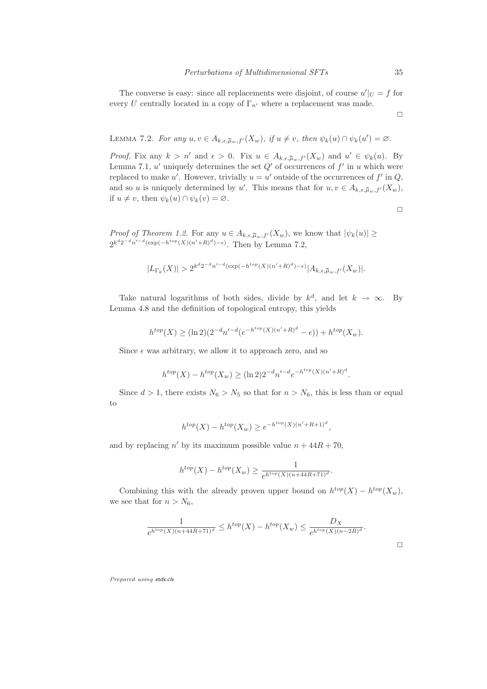The converse is easy: since all replacements were disjoint, of course  $u'|_{U} = f$  for every U centrally located in a copy of  $\Gamma_{n'}$  where a replacement was made.

$$
\Box
$$

LEMMA 7.2. For any  $u, v \in A_{k,\epsilon,\tilde{\mu}_w,f'}(X_w)$ , if  $u \neq v$ , then  $\psi_k(u) \cap \psi_k(u') = \varnothing$ .

*Proof.* Fix any  $k > n'$  and  $\epsilon > 0$ . Fix  $u \in A_{k,\epsilon,\tilde{\mu}_w,f'}(X_w)$  and  $u' \in \psi_k(u)$ . By Lemma 7.1,  $u'$  uniquely determines the set  $Q'$  of occurrences of  $f'$  in  $u$  which were replaced to make u'. However, trivially  $u = u'$  outside of the occurrences of  $f'$  in  $Q$ , and so u is uniquely determined by u'. This means that for  $u, v \in A_{k,\epsilon,\tilde{\mu}_w,f'}(X_w)$ , if  $u \neq v$ , then  $\psi_k(u) \cap \psi_k(v) = \varnothing$ .

$$
\Box
$$

*Proof of Theorem 1.2.* For any  $u \in A_{k,\epsilon,\tilde{\mu}_w,f'}(X_w)$ , we know that  $|\psi_k(u)| \ge$  $2^{k^d 2^{-d} n'^{-d}(\exp(-h^{top}(X)(n'+R)^d)-\epsilon)}$ . Then by Lemma 7.2,

$$
|L_{\Gamma_k}(X)| > 2^{k^d 2^{-d} n'^{-d} (\exp(-h^{top}(X)(n'+R)^d) - \epsilon)} |A_{k,\epsilon,\tilde{\mu}_w,f'}(X_w)|.
$$

Take natural logarithms of both sides, divide by  $k^d$ , and let  $k \to \infty$ . By Lemma 4.8 and the definition of topological entropy, this yields

$$
h^{top}(X) \ge (\ln 2)(2^{-d}n'^{-d}(e^{-h^{top}(X)(n'+R)^d}-\epsilon)) + h^{top}(X_w).
$$

Since  $\epsilon$  was arbitrary, we allow it to approach zero, and so

$$
h^{top}(X) - h^{top}(X_w) \ge (\ln 2)2^{-d} n'^{-d} e^{-h^{top}(X)(n'+R)^d}.
$$

Since  $d > 1$ , there exists  $N_6 > N_5$  so that for  $n > N_6$ , this is less than or equal to

$$
h^{top}(X) - h^{top}(X_w) \ge e^{-h^{top}(X)(n'+R+1)^d},
$$

and by replacing  $n'$  by its maximum possible value  $n + 44R + 70$ ,

$$
h^{top}(X) - h^{top}(X_w) \ge \frac{1}{e^{h^{top}(X)(n + 44R + 71)^d}}
$$

Combining this with the already proven upper bound on  $h^{top}(X) - h^{top}(X_w)$ , we see that for  $n > N_6$ ,

$$
\frac{1}{e^{h^{top}(X)(n+44R+71)^d}} \le h^{top}(X) - h^{top}(X_w) \le \frac{D_X}{e^{h^{top}(X)(n-2R)^d}}.
$$

.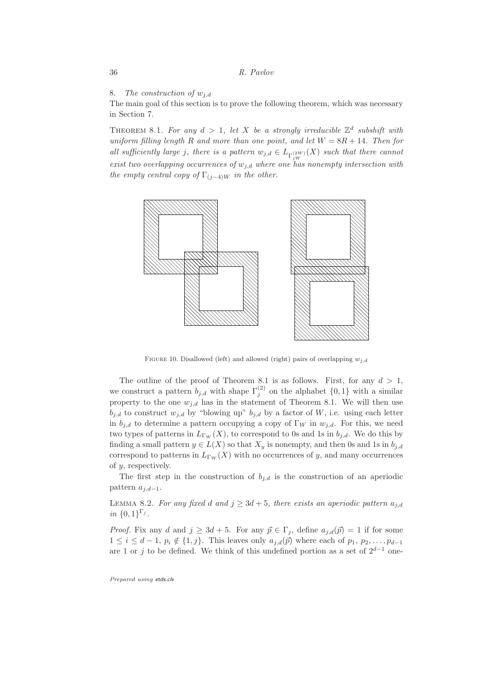8. The construction of  $w_{i,d}$ 

The main goal of this section is to prove the following theorem, which was necessary in Section 7.

THEOREM 8.1. For any  $d > 1$ , let X be a strongly irreducible  $\mathbb{Z}^d$  subshift with uniform filling length R and more than one point, and let  $W = 8R + 14$ . Then for all sufficiently large j, there is a pattern  $w_{j,d} \in L_{\Gamma_{jW}^{(2W)}}(X)$  such that there cannot exist two overlapping occurrences of  $w_{i,d}$  where one has nonempty intersection with the empty central copy of  $\Gamma_{(j-4)W}$  in the other.



FIGURE 10. Disallowed (left) and allowed (right) pairs of overlapping  $w_{i,d}$ 

The outline of the proof of Theorem 8.1 is as follows. First, for any  $d > 1$ , we construct a pattern  $b_{j,d}$  with shape  $\Gamma_j^{(2)}$  on the alphabet  $\{0,1\}$  with a similar property to the one  $w_{j,d}$  has in the statement of Theorem 8.1. We will then use  $b_{j,d}$  to construct  $w_{j,d}$  by "blowing up"  $b_{j,d}$  by a factor of W, i.e. using each letter in  $b_{j,d}$  to determine a pattern occupying a copy of  $\Gamma_W$  in  $w_{j,d}$ . For this, we need two types of patterns in  $L_{\Gamma_W}(X)$ , to correspond to 0s and 1s in  $b_{j,d}$ . We do this by finding a small pattern  $y \in L(X)$  so that  $X_y$  is nonempty, and then 0s and 1s in  $b_{j,d}$ correspond to patterns in  $L_{\Gamma_W}(X)$  with no occurrences of y, and many occurrences of y, respectively.

The first step in the construction of  $b_{j,d}$  is the construction of an aperiodic pattern  $a_{j,d-1}$ .

LEMMA 8.2. For any fixed d and  $j \geq 3d + 5$ , there exists an aperiodic pattern  $a_{i,d}$ in  $\{0,1\}^{\Gamma_j}$ .

*Proof.* Fix any d and  $j \ge 3d + 5$ . For any  $\vec{p} \in \Gamma_j$ , define  $a_{j,d}(\vec{p}) = 1$  if for some  $1 \leq i \leq d-1$ ,  $p_i \notin \{1, j\}$ . This leaves only  $a_{j,d}(\vec{p})$  where each of  $p_1, p_2, \ldots, p_{d-1}$ are 1 or j to be defined. We think of this undefined portion as a set of  $2^{d-1}$  one-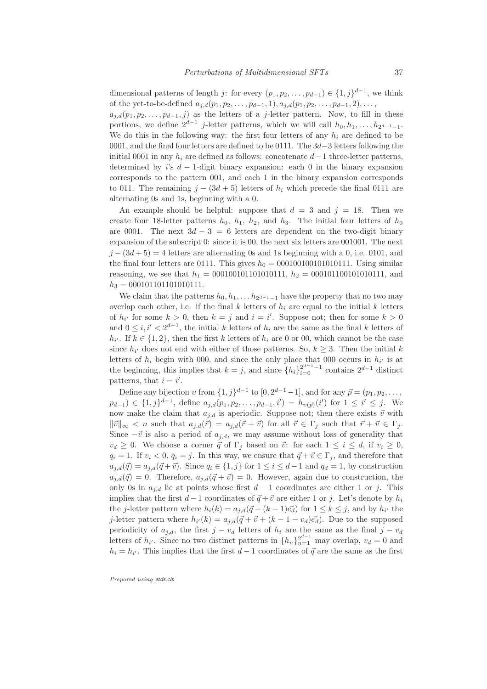dimensional patterns of length j: for every  $(p_1, p_2, \ldots, p_{d-1}) \in \{1, j\}^{d-1}$ , we think of the yet-to-be-defined  $a_{i,d}(p_1,p_2,\ldots,p_{d-1}, 1), a_{i,d}(p_1,p_2,\ldots,p_{d-1}, 2),\ldots$ 

 $a_{i,d}(p_1,p_2,\ldots,p_{d-1},j)$  as the letters of a j-letter pattern. Now, to fill in these portions, we define  $2^{d-1}$  j-letter patterns, which we will call  $h_0, h_1, \ldots, h_{2^{d-1}-1}$ . We do this in the following way: the first four letters of any  $h_i$  are defined to be 0001, and the final four letters are defined to be 0111. The 3d−3 letters following the initial 0001 in any  $h_i$  are defined as follows: concatenate  $d-1$  three-letter patterns, determined by i's  $d-1$ -digit binary expansion: each 0 in the binary expansion corresponds to the pattern 001, and each 1 in the binary expansion corresponds to 011. The remaining  $j - (3d + 5)$  letters of  $h_i$  which precede the final 0111 are alternating 0s and 1s, beginning with a 0.

An example should be helpful: suppose that  $d = 3$  and  $j = 18$ . Then we create four 18-letter patterns  $h_0$ ,  $h_1$ ,  $h_2$ , and  $h_3$ . The initial four letters of  $h_0$ are 0001. The next  $3d - 3 = 6$  letters are dependent on the two-digit binary expansion of the subscript 0: since it is 00, the next six letters are 001001. The next  $j - (3d + 5) = 4$  letters are alternating 0s and 1s beginning with a 0, i.e. 0101, and the final four letters are 0111. This gives  $h_0 = 0001001001010111$ . Using similar reasoning, we see that  $h_1 = 00010010101010111$ ,  $h_2 = 0001011001010111$ , and  $h_3 = 000101101101010111.$ 

We claim that the patterns  $h_0, h_1, \ldots h_{2^{d-1}-1}$  have the property that no two may overlap each other, i.e. if the final k letters of  $h_i$  are equal to the initial k letters of  $h_{i'}$  for some  $k > 0$ , then  $k = j$  and  $i = i'$ . Suppose not; then for some  $k > 0$ and  $0 \leq i, i' < 2^{d-1}$ , the initial k letters of  $h_i$  are the same as the final k letters of  $h_{i'}$ . If  $k \in \{1, 2\}$ , then the first k letters of  $h_i$  are 0 or 00, which cannot be the case since  $h_{i'}$  does not end with either of those patterns. So,  $k \geq 3$ . Then the initial k letters of  $h_i$  begin with 000, and since the only place that 000 occurs in  $h_{i'}$  is at the beginning, this implies that  $k = j$ , and since  $\{h_i\}_{i=0}^{2^{d-1}-1}$  contains  $2^{d-1}$  distinct patterns, that  $i = i'$ .

Define any bijection  $v$  from  $\{1, j\}^{d-1}$  to  $[0, 2^{d-1}-1]$ , and for any  $\vec{p} = (p_1, p_2, \ldots, p_d)$  $p_{d-1}$ ) ∈ {1,j}<sup>d-1</sup>, define  $a_{j,d}(p_1, p_2, \ldots, p_{d-1}, i') = h_{\upsilon(\vec{p})}(i')$  for 1 ≤  $i'$  ≤ j. We now make the claim that  $a_{j,d}$  is aperiodic. Suppose not; then there exists  $\vec{v}$  with  $\|\vec{v}\|_{\infty} < n$  such that  $a_{j,d}(\vec{r}) = a_{j,d}(\vec{r} + \vec{v})$  for all  $\vec{r} \in \Gamma_j$  such that  $\vec{r} + \vec{v} \in \Gamma_j$ . Since  $-\vec{v}$  is also a period of  $a_{j,d}$ , we may assume without loss of generality that  $v_d \geq 0$ . We choose a corner  $\vec{q}$  of  $\Gamma_j$  based on  $\vec{v}$ : for each  $1 \leq i \leq d$ , if  $v_i \geq 0$ ,  $q_i = 1$ . If  $v_i < 0$ ,  $q_i = j$ . In this way, we ensure that  $\vec{q} + \vec{v} \in \Gamma_j$ , and therefore that  $a_{j,d}(\vec{q}) = a_{j,d}(\vec{q} + \vec{v})$ . Since  $q_i \in \{1, j\}$  for  $1 \leq i \leq d-1$  and  $q_d = 1$ , by construction  $a_{j,d}(\vec{q}) = 0$ . Therefore,  $a_{j,d}(\vec{q} + \vec{v}) = 0$ . However, again due to construction, the only 0s in  $a_{i,d}$  lie at points whose first  $d-1$  coordinates are either 1 or j. This implies that the first  $d-1$  coordinates of  $\vec{q} + \vec{v}$  are either 1 or j. Let's denote by  $h_i$ the *j*-letter pattern where  $h_i(k) = a_{j,d}(\vec{q} + (k-1)\vec{e_d})$  for  $1 \leq k \leq j$ , and by  $h_{i'}$  the j-letter pattern where  $h_{i'}(k) = a_{j,d}(\vec{q} + \vec{v} + (k-1-v_d)\vec{e_d})$ . Due to the supposed periodicity of  $a_{j,d}$ , the first  $j - v_d$  letters of  $h_i$  are the same as the final  $j - v_d$ letters of  $h_{i'}$ . Since no two distinct patterns in  $\{h_n\}_{n=1}^{2^{d-1}}$  may overlap,  $v_d = 0$  and  $h_i = h_{i'}$ . This implies that the first  $d-1$  coordinates of  $\vec{q}$  are the same as the first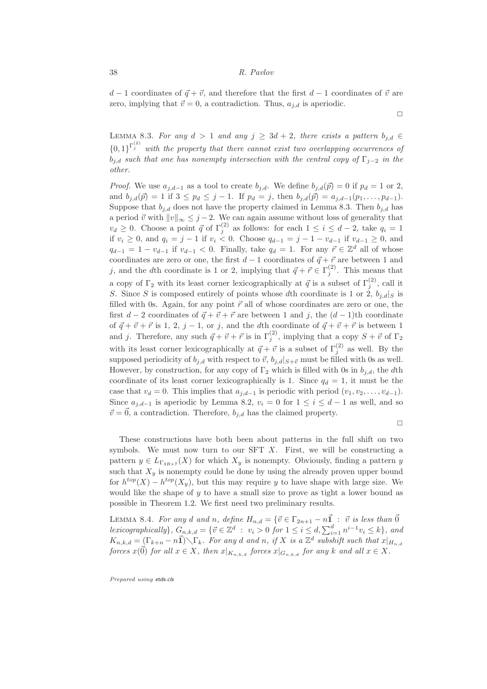$d-1$  coordinates of  $\vec{q} + \vec{v}$ , and therefore that the first  $d-1$  coordinates of  $\vec{v}$  are zero, implying that  $\vec{v} = 0$ , a contradiction. Thus,  $a_{i,d}$  is aperiodic.

LEMMA 8.3. For any  $d > 1$  and any  $j \geq 3d + 2$ , there exists a pattern  $b_{j,d} \in$  ${0,1}^{\Gamma_j^{(2)}}$  with the property that there cannot exist two overlapping occurrences of  $b_{i,d}$  such that one has nonempty intersection with the central copy of  $\Gamma_{i-2}$  in the other.

*Proof.* We use  $a_{j,d-1}$  as a tool to create  $b_{j,d}$ . We define  $b_{j,d}(\vec{p}) = 0$  if  $p_d = 1$  or 2, and  $b_{j,d}(\vec{p}) = 1$  if  $3 \leq p_d \leq j - 1$ . If  $p_d = j$ , then  $b_{j,d}(\vec{p}) = a_{j,d-1}(p_1,\ldots,p_{d-1})$ . Suppose that  $b_{i,d}$  does not have the property claimed in Lemma 8.3. Then  $b_{i,d}$  has a period  $\vec{v}$  with  $||v||_{\infty} \leq j - 2$ . We can again assume without loss of generality that  $v_d \geq 0$ . Choose a point  $\vec{q}$  of  $\Gamma_j^{(2)}$  as follows: for each  $1 \leq i \leq d-2$ , take  $q_i = 1$ if  $v_i \ge 0$ , and  $q_i = j - 1$  if  $v_i < 0$ . Choose  $q_{d-1} = j - 1 - v_{d-1}$  if  $v_{d-1} \ge 0$ , and  $q_{d-1} = 1 - v_{d-1}$  if  $v_{d-1} < 0$ . Finally, take  $q_d = 1$ . For any  $\vec{r} \in \mathbb{Z}^d$  all of whose coordinates are zero or one, the first  $d - 1$  coordinates of  $\vec{q} + \vec{r}$  are between 1 and j, and the dth coordinate is 1 or 2, implying that  $\vec{q} + \vec{r} \in \Gamma_j^{(2)}$ . This means that a copy of  $\Gamma_2$  with its least corner lexicographically at  $\vec{q}$  is a subset of  $\Gamma_j^{(2)}$ , call it S. Since S is composed entirely of points whose dth coordinate is 1 or  $2, b_{i,d}|_S$  is filled with 0s. Again, for any point  $\vec{r}$  all of whose coordinates are zero or one, the first  $d - 2$  coordinates of  $\vec{q} + \vec{v} + \vec{r}$  are between 1 and j, the  $(d - 1)$ th coordinate of  $\vec{q} + \vec{v} + \vec{r}$  is 1, 2, j – 1, or j, and the dth coordinate of  $\vec{q} + \vec{v} + \vec{r}$  is between 1 and j. Therefore, any such  $\vec{q} + \vec{v} + \vec{r}$  is in  $\Gamma_j^{(2)}$ , implying that a copy  $S + \vec{v}$  of  $\Gamma_2$ with its least corner lexicographically at  $\vec{q} + \vec{v}$  is a subset of  $\Gamma_j^{(2)}$  as well. By the supposed periodicity of  $b_{j,d}$  with respect to  $\vec{v}$ ,  $b_{j,d}|_{S+\vec{v}}$  must be filled with 0s as well. However, by construction, for any copy of  $\Gamma_2$  which is filled with 0s in  $b_{i,d}$ , the dth coordinate of its least corner lexicographically is 1. Since  $q_d = 1$ , it must be the case that  $v_d = 0$ . This implies that  $a_{i,d-1}$  is periodic with period  $(v_1, v_2, \ldots, v_{d-1})$ . Since  $a_{j,d-1}$  is aperiodic by Lemma 8.2,  $v_i = 0$  for  $1 \le i \le d-1$  as well, and so  $\vec{v} = 0$ , a contradiction. Therefore,  $b_{i,d}$  has the claimed property.

 $\Box$ 

 $\Box$ 

These constructions have both been about patterns in the full shift on two symbols. We must now turn to our SFT  $X$ . First, we will be constructing a pattern  $y \in L_{\Gamma_{3R+\tau}}(X)$  for which  $X_y$  is nonempty. Obviously, finding a pattern y such that  $X<sub>y</sub>$  is nonempty could be done by using the already proven upper bound for  $h^{top}(X) - h^{top}(X_y)$ , but this may require y to have shape with large size. We would like the shape of  $y$  to have a small size to prove as tight a lower bound as possible in Theorem 1.2. We first need two preliminary results.

LEMMA 8.4. For any d and n, define  $H_{n,d} = \{\vec{v} \in \Gamma_{2n+1} - n\vec{1} : \vec{v} \text{ is less than } \vec{0}\}$ lexicographically},  $G_{n,k,d} = \{\vec{v} \in \mathbb{Z}^d : v_i > 0 \text{ for } 1 \leq i \leq d, \sum_{i=1}^d n^{i-1}v_i \leq k\}$ , and  $K_{n,k,d} = \underline{(\Gamma_{k+n} - n\mathbf{1})} \setminus \Gamma_k$ . For any d and n, if X is a  $\mathbb{Z}^d$  subshift such that  $x|_{H_{n,d}}$ forces  $x(\vec{0})$  for all  $x \in X$ , then  $x|_{K_{n,k,d}}$  forces  $x|_{G_{n,k,d}}$  for any k and all  $x \in X$ .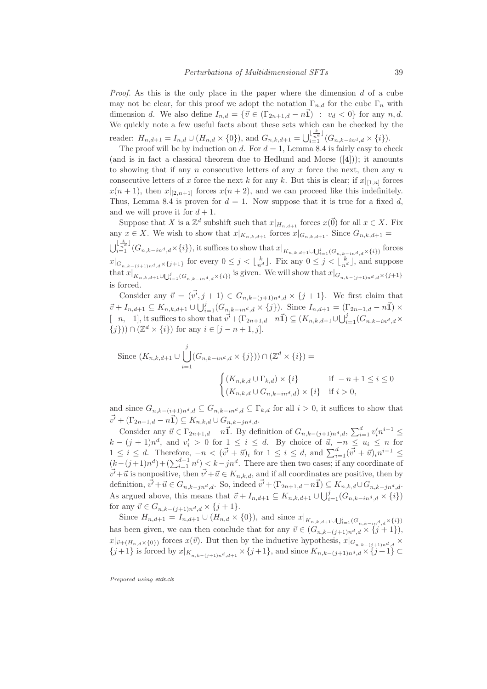*Proof.* As this is the only place in the paper where the dimension  $d$  of a cube may not be clear, for this proof we adopt the notation  $\Gamma_{n,d}$  for the cube  $\Gamma_n$  with dimension d. We also define  $I_{n,d} = \{\vec{v} \in (\Gamma_{2n+1,d} - n\vec{1}) : v_d < 0\}$  for any  $n,d$ . We quickly note a few useful facts about these sets which can be checked by the reader:  $H_{n,d+1} = I_{n,d} \cup (H_{n,d} \times \{0\}),$  and  $G_{n,k,d+1} = \bigcup_{i=1}^{\lfloor \frac{k}{n^d} \rfloor} (G_{n,k-in^d,d} \times \{i\}).$ 

The proof will be by induction on d. For  $d = 1$ , Lemma 8.4 is fairly easy to check (and is in fact a classical theorem due to Hedlund and Morse  $([4])$ ); it amounts to showing that if any  $n$  consecutive letters of any  $x$  force the next, then any  $n$ consecutive letters of x force the next k for any k. But this is clear; if  $x|_{[1,n]}$  forces  $x(n + 1)$ , then  $x|_{[2,n+1]}$  forces  $x(n + 2)$ , and we can proceed like this indefinitely. Thus, Lemma 8.4 is proven for  $d = 1$ . Now suppose that it is true for a fixed d, and we will prove it for  $d+1$ .

Suppose that X is a  $\mathbb{Z}^d$  subshift such that  $x|_{H_{n,d+1}}$  forces  $x(\vec{0})$  for all  $x \in X$ . Fix any  $x \in X$ . We wish to show that  $x|_{K_{n,k,d+1}}$  forces  $x|_{G_{n,k,d+1}}$ . Since  $G_{n,k,d+1} =$  $\bigcup_{i=1}^{\lfloor \frac{k}{n^d} \rfloor} (G_{n,k-in^d,d} \times \{i\}),$  it suffices to show that  $x|_{K_{n,k,d+1} \cup \bigcup_{i=1}^j (G_{n,k-in^d,d} \times \{i\})}$  forces  $x|_{G_{n,k-(j+1)n^d,d}\times\{j+1\}}$  for every  $0\leq j<\lfloor\frac{k}{n^d}\rfloor$ . Fix any  $0\leq j<\lfloor\frac{k}{n^d}\rfloor$ , and suppose that  $x|_{K_{n,k,d+1}\cup\bigcup_{i=1}^j(G_{n,k-ind,d}\times\{i\})}$  is given. We will show that  $x|_{G_{n,k-(j+1)n^d,d}\times\{j+1\}}$ is forced.

Consider any  $\vec{v} = (\vec{v'}, j + 1) \in G_{n,k-(j+1)n^d, d} \times \{j+1\}.$  We first claim that  $\vec{v} + I_{n,d+1} \subseteq K_{n,k,d+1} \cup \bigcup_{i=1}^{j} (G_{n,k-in^d,d} \times \{j\})$ . Since  $I_{n,d+1} = (\Gamma_{2n+1,d} - n\vec{\mathbf{1}}) \times$  $[-n, -1]$ , it suffices to show that  $\vec{v'} + (\Gamma_{2n+1,d} - n\vec{1}) \subseteq (K_{n,k,d+1} \cup \bigcup_{i=1}^{j} (G_{n,k-in^d,d} \times$  $\{j\})\cap (\mathbb{Z}^d\times\{i\})$  for any  $i\in [j-n+1,j].$ 

Since 
$$
(K_{n,k,d+1} \cup \bigcup_{i=1}^{j} (G_{n,k-in^d,d} \times \{j\})) \cap (\mathbb{Z}^d \times \{i\}) =
$$
  

$$
\begin{cases} (K_{n,k,d} \cup \Gamma_{k,d}) \times \{i\} & \text{if } -n+1 \leq i \leq 0 \\ (K_{n,k,d} \cup G_{n,k-in^d,d}) \times \{i\} & \text{if } i > 0, \end{cases}
$$

and since  $G_{n,k-(i+1)n^d,d} \subseteq G_{n,k-in^d,d} \subseteq \Gamma_{k,d}$  for all  $i > 0$ , it suffices to show that  $\vec{v'} + (\Gamma_{2n+1,d} - n\vec{1}) \subseteq K_{n,k,d} \cup G_{n,k-jn^d,d}.$ 

Consider any  $\vec{u} \in \Gamma_{2n+1,d} - n\vec{1}$ . By definition of  $G_{n,k-(j+1)n^d,d}$ ,  $\sum_{i=1}^d v'_i n^{i-1} \leq$  $k - (j + 1)n^d$ , and  $v'_i > 0$  for  $\frac{1}{i} \leq i \leq d$ . By choice of  $\vec{u}, -n \leq u_i \leq n$  for  $1 \leq i \leq d$ . Therefore,  $-n < (\vec{v'} + \vec{u})_i$  for  $1 \leq i \leq d$ , and  $\sum_{i=1}^d (\vec{v'} + \vec{u})_i n^{i-1} \leq$  $(k-(j+1)n^d) + (\sum_{i=1}^{d-1} n^i)$   $\leq k-jn^d$ . There are then two cases; if any coordinate of  $v'+\vec{u}$  is nonpositive, then  $v'+\vec{u} \in K_{n,k,d}$ , and if all coordinates are positive, then by definition,  $\vec{v'}+\vec{u} \in G_{n,k-jn^d,d}$ . So, indeed  $\vec{v'}+(\Gamma_{2n+1,d}-n\vec{1}) \subseteq K_{n,k,d} \cup G_{n,k-jn^d,d}$ . As argued above, this means that  $\vec{v} + I_{n,d+1} \subseteq K_{n,k,d+1} \cup \bigcup_{i=1}^{j} (G_{n,k-in^d,d} \times \{i\})$ for any  $\vec{v} \in G_{n,k-(j+1)n^d,d} \times \{j+1\}.$ 

Since  $H_{n,d+1} = I_{n,d+1} \cup (H_{n,d} \times \{0\})$ , and since  $x|_{K_{n,k,d+1} \cup \bigcup_{i=1}^j (G_{n,k-ind,d} \times \{i\})}$ has been given, we can then conclude that for any  $\vec{v} \in (G_{n,k-(j+1)n^d,d} \times \{j+1\}),$  $x|_{\vec{v}+(H_{n,d}\times\{0\})}$  forces  $x(\vec{v})$ . But then by the inductive hypothesis,  $x|_{G_{n,k-(j+1)n^d,d}} \times$  $\{j+1\}$  is forced by  $x|_{K_{n,k-(j+1)n^d,d+1}} \times \{j+1\}$ , and since  $K_{n,k-(j+1)n^d,d} \times \{j+1\}$  ⊂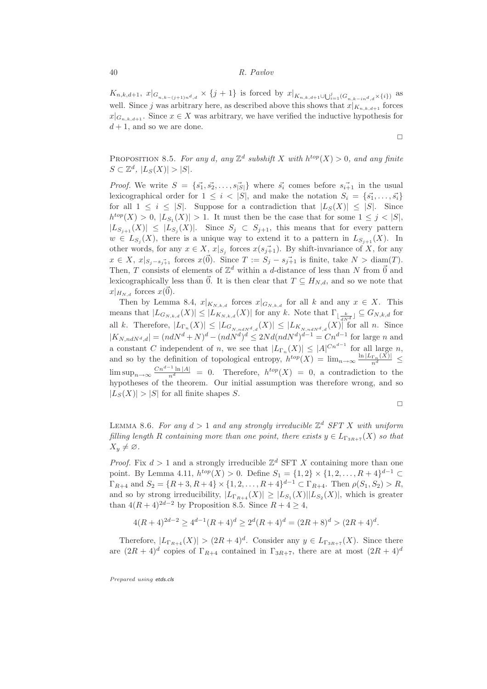$K_{n,k,d+1}, x|_{G_{n,k-(j+1)n^d,d}} \times \{j+1\}$  is forced by  $x|_{K_{n,k,d+1} \cup \bigcup_{i=1}^j (G_{n,k-ind,d} \times \{i\})}$  as well. Since j was arbitrary here, as described above this shows that  $x|_{K_{n,k,d+1}}$  forces  $x|_{G_{n,k,d+1}}$ . Since  $x \in X$  was arbitrary, we have verified the inductive hypothesis for  $d+1$ , and so we are done.

$$
\Box
$$

PROPOSITION 8.5. For any d, any  $\mathbb{Z}^d$  subshift X with  $h^{top}(X) > 0$ , and any finite  $S \subset \mathbb{Z}^d$ ,  $|L_S(X)| > |S|$ .

*Proof.* We write  $S = \{\vec{s_1}, \vec{s_2}, \dots, \vec{s_{|S|}}\}$  where  $\vec{s_i}$  comes before  $s_{i+1}$  in the usual lexicographical order for  $1 \leq i \leq |S|$ , and make the notation  $S_i = \{\vec{s_1}, \ldots, \vec{s_i}\}$ for all  $1 \leq i \leq |S|$ . Suppose for a contradiction that  $|L_S(X)| \leq |S|$ . Since  $h^{top}(X) > 0, |L_{S_1}(X)| > 1.$  It must then be the case that for some  $1 \leq j < |S|$ ,  $|L_{S_{j+1}}(X)| \leq |L_{S_j}(X)|$ . Since  $S_j \subset S_{j+1}$ , this means that for every pattern  $w \in L_{S_j}(X)$ , there is a unique way to extend it to a pattern in  $L_{S_{j+1}}(X)$ . In other words, for any  $x \in X$ ,  $x|_{S_j}$  forces  $x(s_{j+1})$ . By shift-invariance of X, for any  $x \in X$ ,  $x|_{S_i-s_i^+1}$  forces  $x(\vec{0})$ . Since  $T := S_j - s_{j+1}^+$  is finite, take  $N > \text{diam}(T)$ . Then, T consists of elements of  $\mathbb{Z}^d$  within a d-distance of less than N from  $\vec{0}$  and lexicographically less than  $\vec{0}$ . It is then clear that  $T \subseteq H_{N,d}$ , and so we note that  $x|_{H_{N,d}}$  forces  $x(\vec{0})$ .

Then by Lemma 8.4,  $x|_{K_{N,k,d}}$  forces  $x|_{G_{N,k,d}}$  for all k and any  $x \in X$ . This means that  $|L_{G_{N,k,d}}(X)| \leq |L_{K_{N,k,d}}(X)|$  for any k. Note that  $\Gamma_{\lfloor \frac{k}{dN^d} \rfloor} \subseteq G_{N,k,d}$  for all k. Therefore,  $|L_{\Gamma_n}(X)| \leq |L_{G_{N,n dN^d,d}}(X)| \leq |L_{K_{N,n dN^d,d}}(X)|^2$  for all n. Since  $|K_{N,ndN^d,d}| = (ndN^d + N)^d - (ndN^d)^d \leq 2Nd(ndN^d)^{d-1} = Cn^{d-1}$  for large n and a constant C independent of n, we see that  $|L_{\Gamma_n}(X)| \leq |A|^{Cn^{d-1}}$  for all large n, and so by the definition of topological entropy,  $h^{top}(X) = \lim_{n \to \infty} \frac{\ln |L_{\Gamma_n}(X)|}{n^d} \le$  $\limsup_{n\to\infty} \frac{Cn^{d-1}\ln|A|}{n^d} = 0$ . Therefore,  $h^{top}(X) = 0$ , a contradiction to the hypotheses of the theorem. Our initial assumption was therefore wrong, and so  $|L_S(X)| > |S|$  for all finite shapes S.

$$
\Box
$$

LEMMA 8.6. For any  $d > 1$  and any strongly irreducible  $\mathbb{Z}^d$  SFT X with uniform filling length R containing more than one point, there exists  $y \in L_{\Gamma_{3R+7}}(X)$  so that  $X_y \neq \emptyset$ .

*Proof.* Fix  $d > 1$  and a strongly irreducible  $\mathbb{Z}^d$  SFT X containing more than one point. By Lemma 4.11,  $h^{top}(X) > 0$ . Define  $S_1 = \{1, 2\} \times \{1, 2, ..., R + 4\}^{d-1} \subset$  $\Gamma_{R+4}$  and  $S_2 = \{R+3, R+4\} \times \{1, 2, ..., R+4\}^{d-1} \subset \Gamma_{R+4}$ . Then  $\rho(S_1, S_2) > R$ , and so by strong irreducibility,  $|L_{\Gamma_{R+4}}(X)| \geq |L_{S_1}(X)||L_{S_2}(X)|$ , which is greater than  $4(R+4)^{2d-2}$  by Proposition 8.5. Since  $R+4 \geq 4$ ,

$$
4(R+4)^{2d-2} \ge 4^{d-1}(R+4)^d \ge 2^d(R+4)^d = (2R+8)^d > (2R+4)^d.
$$

Therefore,  $|L_{\Gamma_{R+4}}(X)| > (2R+4)^d$ . Consider any  $y \in L_{\Gamma_{3R+7}}(X)$ . Since there are  $(2R+4)^d$  copies of  $\Gamma_{R+4}$  contained in  $\Gamma_{3R+7}$ , there are at most  $(2R+4)^d$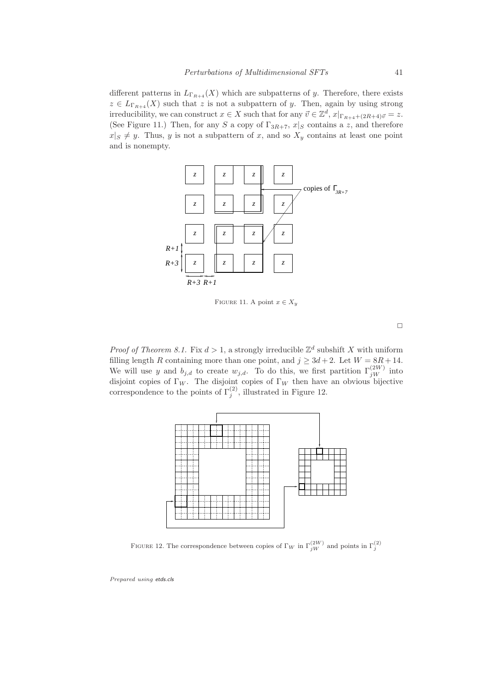different patterns in  $L_{\Gamma_{R+4}}(X)$  which are subpatterns of y. Therefore, there exists  $z \in L_{\Gamma_{R+4}}(X)$  such that z is not a subpattern of y. Then, again by using strong irreducibility, we can construct  $x \in X$  such that for any  $\vec{v} \in \mathbb{Z}^d$ ,  $x|_{\Gamma_{R+4}+(2R+4)\vec{v}} = z$ . (See Figure 11.) Then, for any S a copy of  $\Gamma_{3R+7}$ ,  $x|_S$  contains a z, and therefore  $x|S \neq y$ . Thus, y is not a subpattern of x, and so  $X_y$  contains at least one point and is nonempty.



FIGURE 11. A point  $x \in X_y$ 

 $\Box$ 

*Proof of Theorem 8.1.* Fix  $d > 1$ , a strongly irreducible  $\mathbb{Z}^d$  subshift X with uniform filling length R containing more than one point, and  $j \geq 3d + 2$ . Let  $W = 8R + 14$ . We will use y and  $b_{j,d}$  to create  $w_{j,d}$ . To do this, we first partition  $\Gamma_{jW}^{(2W)}$  into disjoint copies of Γ<sub>W</sub>. The disjoint copies of Γ<sub>W</sub> then have an obvious bijective correspondence to the points of  $\Gamma_j^{(2)}$ , illustrated in Figure 12.



FIGURE 12. The correspondence between copies of  $\Gamma_W$  in  $\Gamma_{jW}^{(2W)}$  and points in  $\Gamma_j^{(2)}$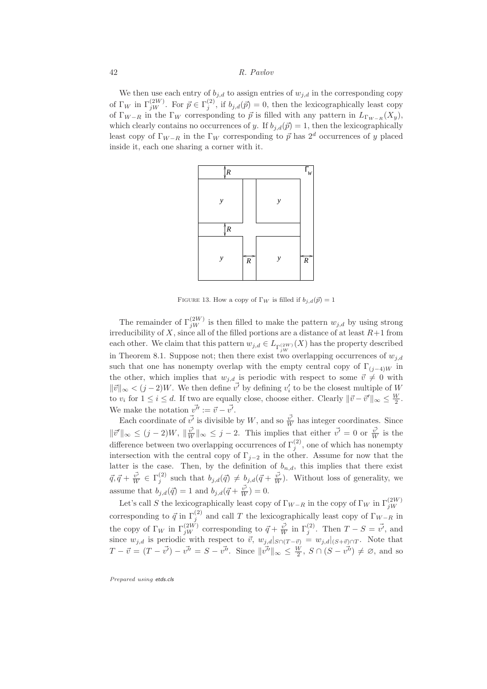We then use each entry of  $b_{j,d}$  to assign entries of  $w_{j,d}$  in the corresponding copy of  $\Gamma_W$  in  $\Gamma_{jW}^{(2W)}$ . For  $\vec{p} \in \Gamma_j^{(2)}$ , if  $b_{j,d}(\vec{p}) = 0$ , then the lexicographically least copy of  $\Gamma_{W-R}$  in the  $\Gamma_W$  corresponding to  $\vec{p}$  is filled with any pattern in  $L_{\Gamma_{W-R}}(X_y)$ , which clearly contains no occurrences of y. If  $b_{i,d}(\vec{p}) = 1$ , then the lexicographically least copy of  $\Gamma_{W-R}$  in the  $\Gamma_W$  corresponding to  $\vec{p}$  has  $2^d$  occurrences of y placed inside it, each one sharing a corner with it.



FIGURE 13. How a copy of  $\Gamma_W$  is filled if  $b_{j,d}(\vec{p}) = 1$ 

The remainder of  $\Gamma_{jW}^{(2W)}$  is then filled to make the pattern  $w_{j,d}$  by using strong irreducibility of  $X$ , since all of the filled portions are a distance of at least  $R+1$  from each other. We claim that this pattern  $w_{j,d} \in L_{\Gamma_{jW}^{(2W)}}(X)$  has the property described in Theorem 8.1. Suppose not; then there exist two overlapping occurrences of  $w_{j,d}$ such that one has nonempty overlap with the empty central copy of  $\Gamma_{(j-4)W}$  in the other, which implies that  $w_{j,d}$  is periodic with respect to some  $\vec{v} \neq 0$  with  $\|\vec{v}\|_{\infty} < (j-2)W$ . We then define  $\vec{v'}$  by defining  $v'_i$  to be the closest multiple of W to  $v_i$  for  $1 \leq i \leq d$ . If two are equally close, choose either. Clearly  $\|\vec{v} - \vec{v}'\|_{\infty} \leq \frac{W}{2}$ . We make the notation  $v^{\vec{\mathcal{v}}'} := \vec{v} - \vec{v'}$ .

Each coordinate of  $\vec{v'}$  is divisible by W, and so  $\vec{\overline{w'}}$  has integer coordinates. Since  $\|\vec{v}'\|_{\infty} \leq (j-2)W, \|\vec{v'}\|_{\infty} \leq j-2.$  This implies that either  $\vec{v'} = 0$  or  $\vec{\vec{v'}}$  is the difference between two overlapping occurrences of  $\Gamma_j^{(2)}$ , one of which has nonempty intersection with the central copy of  $\Gamma_{i-2}$  in the other. Assume for now that the latter is the case. Then, by the definition of  $b_{n,d}$ , this implies that there exist  $\vec{q}, \vec{q} + \frac{\vec{v'}}{W} \in \Gamma_j^{(2)}$  such that  $b_{j,d}(\vec{q}) \neq b_{j,d}(\vec{q} + \frac{\vec{v'}}{W})$ . Without loss of generality, we assume that  $b_{j,d}(\vec{q}) = 1$  and  $b_{j,d}(\vec{q} + \frac{\vec{v'}}{W}) = 0$ .

Let's call S the lexicographically least copy of  $\Gamma_{W-R}$  in the copy of  $\Gamma_W$  in  $\Gamma_{jW}^{(2W)}$ corresponding to  $\vec{q}$  in  $\Gamma_j^{(2)}$  and call T the lexicographically least copy of  $\Gamma_{W-R}$  in the copy of  $\Gamma_W$  in  $\Gamma_{jW}^{(2W)}$  corresponding to  $\vec{q} + \frac{\vec{v'}}{W}$  in  $\Gamma_j^{(2)}$ . Then  $T - S = \vec{v'}$ , and since  $w_{j,d}$  is periodic with respect to  $\vec{v}$ ,  $w_{j,d}|_{S\cap(T-\vec{v})} = w_{j,d}|_{(S+\vec{v})\cap T}$ . Note that  $T - \vec{v} = (T - \vec{v'}) - \vec{v''} = S - \vec{v''}$ . Since  $\|\vec{v''}\|_{\infty} \leq \frac{W}{2}$ ,  $S \cap (S - \vec{v''}) \neq \emptyset$ , and so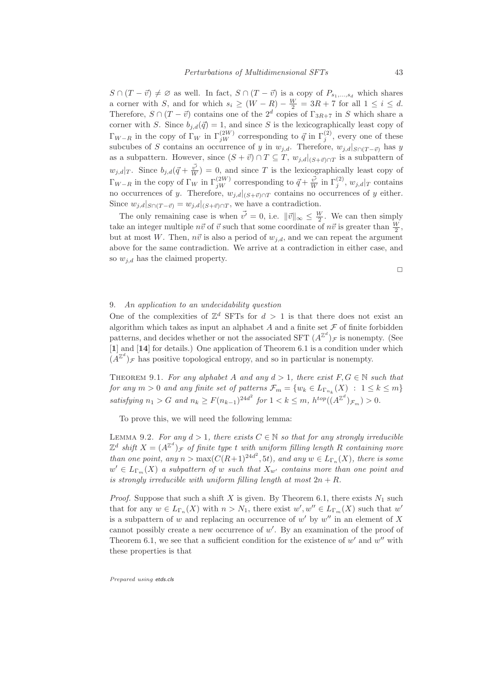$S \cap (T - \vec{v}) \neq \emptyset$  as well. In fact,  $S \cap (T - \vec{v})$  is a copy of  $P_{s_1,...,s_d}$  which shares a corner with S, and for which  $s_i \geq (W - R) - \frac{W}{2} = 3R + 7$  for all  $1 \leq i \leq d$ . Therefore,  $S \cap (T - \vec{v})$  contains one of the  $2^d$  copies of  $\Gamma_{3R+7}$  in S which share a corner with S. Since  $b_{j,d}(\vec{q}) = 1$ , and since S is the lexicographically least copy of  $\Gamma_{W-R}$  in the copy of  $\Gamma_W$  in  $\Gamma_{jW}^{(2W)}$  corresponding to  $\vec{q}$  in  $\Gamma_j^{(2)}$ , every one of these subcubes of S contains an occurrence of y in  $w_{i,d}$ . Therefore,  $w_{i,d}|_{S\cap(T-\vec{v})}$  has y as a subpattern. However, since  $(S + \vec{v}) \cap T \subseteq T$ ,  $w_{j,d}|_{(S + \vec{v}) \cap T}$  is a subpattern of  $w_{j,d}|_T$ . Since  $b_{j,d}(\vec{q} + \frac{\vec{v'}}{W}) = 0$ , and since T is the lexicographically least copy of  $\Gamma_{W-R}$  in the copy of  $\Gamma_W$  in  $\Gamma_{jW}^{(2W)}$  corresponding to  $\vec{q} + \frac{\vec{v'}}{W}$  in  $\Gamma_j^{(2)}$ ,  $w_{j,d}|_T$  contains no occurrences of y. Therefore,  $w_{j,d}|_{(S+\vec{v}) \cap T}$  contains no occurrences of y either. Since  $w_{j,d}|_{S \cap (T - \vec{v})} = w_{j,d}|_{(S + \vec{v}) \cap T}$ , we have a contradiction.

The only remaining case is when  $\vec{v'} = 0$ , i.e.  $\|\vec{v}\|_{\infty} \leq \frac{W}{2}$ . We can then simply take an integer multiple  $n\vec{v}$  of  $\vec{v}$  such that some coordinate of  $n\vec{v}$  is greater than  $\frac{W}{2}$ , but at most W. Then,  $n\vec{v}$  is also a period of  $w_{i,d}$ , and we can repeat the argument above for the same contradiction. We arrive at a contradiction in either case, and so  $w_{i,d}$  has the claimed property.

 $\Box$ 

## 9. An application to an undecidability question

One of the complexities of  $\mathbb{Z}^d$  SFTs for  $d > 1$  is that there does not exist an algorithm which takes as input an alphabet  $A$  and a finite set  $\mathcal F$  of finite forbidden patterns, and decides whether or not the associated SFT  $(A^{\mathbb{Z}^d})_{\mathcal{F}}$  is nonempty. (See [1] and [14] for details.) One application of Theorem 6.1 is a condition under which  $(A^{\mathbb{Z}^d})_{\mathcal{F}}$  has positive topological entropy, and so in particular is nonempty.

THEOREM 9.1. For any alphabet A and any  $d > 1$ , there exist  $F, G \in \mathbb{N}$  such that for any  $m > 0$  and any finite set of patterns  $\mathcal{F}_m = \{w_k \in L_{\Gamma_{n_k}}(X) : 1 \leq k \leq m\}$ satisfying  $n_1 > G$  and  $n_k \ge F(n_{k-1})^{24d^2}$  for  $1 < k \le m$ ,  $h^{top}((A^{\mathbb{Z}^d})_{\mathcal{F}_m}) > 0$ .

To prove this, we will need the following lemma:

LEMMA 9.2. For any  $d > 1$ , there exists  $C \in \mathbb{N}$  so that for any strongly irreducible  $\mathbb{Z}^d$  shift  $X = (A^{\mathbb{Z}^d})_{\mathcal{F}}$  of finite type t with uniform filling length R containing more than one point, any  $n > \max(C(R+1)^{24d^2}, 5t)$ , and any  $w \in L_{\Gamma_n}(X)$ , there is some  $w' \in L_{\Gamma_m}(X)$  a subpattern of w such that  $X_{w'}$  contains more than one point and is strongly irreducible with uniform filling length at most  $2n + R$ .

*Proof.* Suppose that such a shift X is given. By Theorem 6.1, there exists  $N_1$  such that for any  $w \in L_{\Gamma_n}(X)$  with  $n > N_1$ , there exist  $w', w'' \in L_{\Gamma_m}(X)$  such that  $w'$ is a subpattern of w and replacing an occurrence of w' by  $w''$  in an element of X cannot possibly create a new occurrence of  $w'$ . By an examination of the proof of Theorem 6.1, we see that a sufficient condition for the existence of  $w'$  and  $w''$  with these properties is that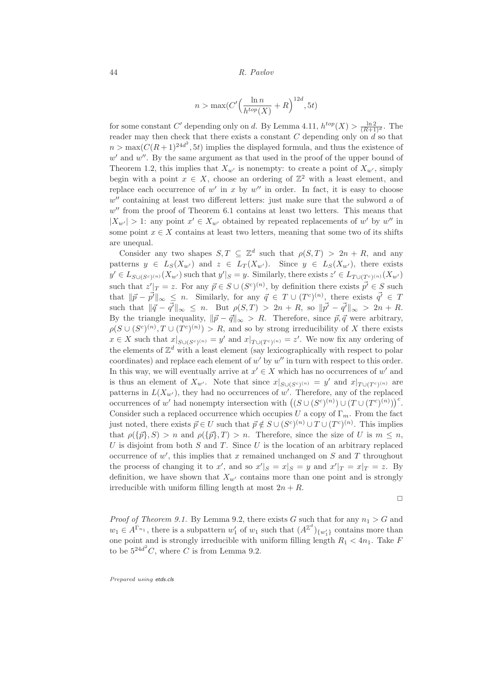$$
n > \max(C'\Big(\frac{\ln n}{h^{top}(X)} + R\Big)^{12d}, 5t)
$$

for some constant C' depending only on d. By Lemma 4.11,  $h^{top}(X) > \frac{\ln 2}{(R+1)^d}$ . The reader may then check that there exists a constant C depending only on  $\tilde{d}$  so that  $n > \max(C(R+1)^{24d^2}, 5t)$  implies the displayed formula, and thus the existence of  $w'$  and  $w''$ . By the same argument as that used in the proof of the upper bound of Theorem 1.2, this implies that  $X_{w'}$  is nonempty: to create a point of  $X_{w'}$ , simply begin with a point  $x \in X$ , choose an ordering of  $\mathbb{Z}^2$  with a least element, and replace each occurrence of  $w'$  in x by  $w''$  in order. In fact, it is easy to choose  $w''$  containing at least two different letters: just make sure that the subword  $a$  of  $w''$  from the proof of Theorem 6.1 contains at least two letters. This means that  $|X_{w'}| > 1$ : any point  $x' \in X_{w'}$  obtained by repeated replacements of w' by w'' in some point  $x \in X$  contains at least two letters, meaning that some two of its shifts are unequal.

Consider any two shapes  $S, T \subseteq \mathbb{Z}^d$  such that  $\rho(S,T) > 2n + R$ , and any patterns  $y \in L_S(X_{w'})$  and  $z \in L_T(X_{w'})$ . Since  $y \in L_S(X_{w'})$ , there exists  $y' \in L_{S\cup (S^c)^{(n)}}(X_{w'})$  such that  $y'|_{S} = y$ . Similarly, there exists  $z' \in L_{T\cup (T^c)^{(n)}}(X_{w'})$ such that  $z' \rvert_T = z$ . For any  $\vec{p} \in S \cup (S^c)^{(n)}$ , by definition there exists  $\vec{p'} \in S$  such that  $\|\vec{p} - \vec{p'}\|_{\infty} \leq n$ . Similarly, for any  $\vec{q} \in T \cup (T^{c})^{(n)}$ , there exists  $\vec{q'} \in T$ such that  $\|\vec{q} - \vec{q'}\|_{\infty} \leq n$ . But  $\rho(S,T) > 2n + R$ , so  $\|\vec{p'} - \vec{q'}\|_{\infty} > 2n + R$ . By the triangle inequality,  $\|\vec{p} - \vec{q}\|_{\infty} > R$ . Therefore, since  $\vec{p}, \vec{q}$  were arbitrary,  $\rho(S \cup (S^c)^{(n)}, T \cup (T^c)^{(n)}) > R$ , and so by strong irreducibility of X there exists  $x \in X$  such that  $x|_{S \cup (S^c)^{(n)}} = y'$  and  $x|_{T \cup (T^c)^{(n)}} = z'$ . We now fix any ordering of the elements of  $\mathbb{Z}^d$  with a least element (say lexicographically with respect to polar coordinates) and replace each element of  $w'$  by  $w''$  in turn with respect to this order. In this way, we will eventually arrive at  $x' \in X$  which has no occurrences of w' and is thus an element of  $X_{w'}$ . Note that since  $x|_{S\cup (S^c)^{(n)}} = y'$  and  $x|_{T\cup (T^c)^{(n)}}$  are patterns in  $L(X_{w'})$ , they had no occurrences of w'. Therefore, any of the replaced occurrences of w' had nonempty intersection with  $((S \cup (S^c)^{(n)}) \cup (T \cup (T^c)^{(n)}))$ <sup>c</sup>. Consider such a replaced occurrence which occupies U a copy of  $\Gamma_m$ . From the fact just noted, there exists  $\vec{p} \in U$  such that  $\vec{p} \notin S \cup (S^c)^{(n)} \cup T \cup (T^c)^{(n)}$ . This implies that  $\rho({\bar{p}},S) > n$  and  $\rho({\bar{p}},T) > n$ . Therefore, since the size of U is  $m \leq n$ , U is disjoint from both S and T. Since U is the location of an arbitrary replaced occurrence of  $w'$ , this implies that x remained unchanged on S and T throughout the process of changing it to x', and so  $x'|_S = x|_S = y$  and  $x'|_T = x|_T = z$ . By definition, we have shown that  $X_{w'}$  contains more than one point and is strongly irreducible with uniform filling length at most  $2n + R$ .

 $\Box$ 

*Proof of Theorem 9.1.* By Lemma 9.2, there exists G such that for any  $n_1 > G$  and  $w_1 \in A^{\Gamma_{n_1}}$ , there is a subpattern  $w'_1$  of  $w_1$  such that  $(A^{\mathbb{Z}^d})_{\{w'_1\}}$  contains more than one point and is strongly irreducible with uniform filling length  $R_1 < 4n_1$ . Take F to be  $5^{24d^2}C$ , where C is from Lemma 9.2.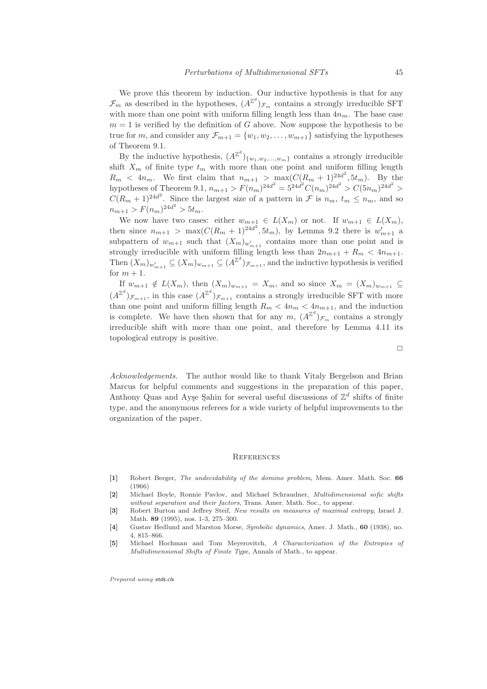We prove this theorem by induction. Our inductive hypothesis is that for any  $\mathcal{F}_m$  as described in the hypotheses,  $(A^{\mathbb{Z}^d})_{\mathcal{F}_m}$  contains a strongly irreducible SFT with more than one point with uniform filling length less than  $4n_m$ . The base case  $m = 1$  is verified by the definition of G above. Now suppose the hypothesis to be true for m, and consider any  $\mathcal{F}_{m+1} = \{w_1, w_2, \ldots, w_{m+1}\}\$  satisfying the hypotheses of Theorem 9.1.

By the inductive hypothesis,  $(A^{\mathbb{Z}^d})_{\{w_1, w_2, ..., w_m\}}$  contains a strongly irreducible shift  $X_m$  of finite type  $t_m$  with more than one point and uniform filling length  $R_m$  <  $4n_m$ . We first claim that  $n_{m+1} > \max(C(R_m + 1)^{24d^2}, 5t_m)$ . By the hypotheses of Theorem 9.1,  $n_{m+1} > F(n_m)^{24d^2} = 5^{24d^2} C(n_m)^{24d^2} > C(5n_m)^{24d^2} >$  $C(R_m + 1)^{24d^2}$ . Since the largest size of a pattern in  $\mathcal F$  is  $n_m$ ,  $t_m \leq n_m$ , and so  $n_{m+1} > F(n_m)^{24d^2} > 5t_m.$ 

We now have two cases: either  $w_{m+1} \in L(X_m)$  or not. If  $w_{m+1} \in L(X_m)$ , then since  $n_{m+1} > \max(C(R_m + 1)^{24d^2}, 5t_m)$ , by Lemma 9.2 there is  $w'_{m+1}$  a subpattern of  $w_{m+1}$  such that  $(X_m)_{w'_{m+1}}$  contains more than one point and is strongly irreducible with uniform filling length less than  $2n_{m+1} + R_m < 4n_{m+1}$ . Then  $(X_m)_{w'_{m+1}} \subseteq (X_m)_{w_{m+1}} \subseteq (A^{\mathbb{Z}^d})_{\mathcal{F}_{m+1}}$ , and the inductive hypothesis is verified for  $m + 1$ .

If  $w_{m+1} \notin L(X_m)$ , then  $(X_m)_{w_{m+1}} = X_m$ , and so since  $X_m = (X_m)_{w_{m+1}} \subseteq$  $(A^{\mathbb{Z}^d})_{\mathcal{F}_{m+1}}$ , in this case  $(A^{\mathbb{Z}^d})_{\mathcal{F}_{m+1}}$  contains a strongly irreducible SFT with more than one point and uniform filling length  $R_m < 4n_m < 4n_{m+1}$ , and the induction is complete. We have then shown that for any  $m$ ,  $(A^{\mathbb{Z}^d})_{\mathcal{F}_m}$  contains a strongly irreducible shift with more than one point, and therefore by Lemma 4.11 its topological entropy is positive.

Acknowledgements. The author would like to thank Vitaly Bergelson and Brian Marcus for helpful comments and suggestions in the preparation of this paper, Anthony Quas and Ayşe Şahin for several useful discussions of  $\mathbb{Z}^d$  shifts of finite type, and the anonymous referees for a wide variety of helpful improvements to the organization of the paper.

#### **REFERENCES**

- [1] Robert Berger, The undecidability of the domino problem, Mem. Amer. Math. Soc. 66 (1966)
- [2] Michael Boyle, Ronnie Pavlov, and Michael Schraudner, Multidimensional sofic shifts without separation and their factors, Trans. Amer. Math. Soc., to appear.
- [3] Robert Burton and Jeffrey Steif, New results on measures of maximal entropy, Israel J. Math. 89 (1995), nos. 1-3, 275–300.
- [4] Gustav Hedlund and Marston Morse, Symbolic dynamics, Amer. J. Math., 60 (1938), no. 4, 815–866.
- [5] Michael Hochman and Tom Meyerovitch, A Characterization of the Entropies of Multidimensional Shifts of Finite Type, Annals of Math., to appear.

Prepared using etds.cls

 $\Box$